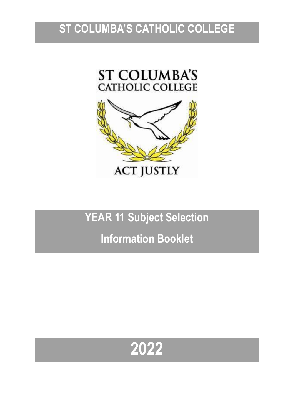## **ST COLUMBA'S CATHOLIC COLLEGE**





## **YEAR 11 Subject Selection**

## **Information Booklet**

# **2022**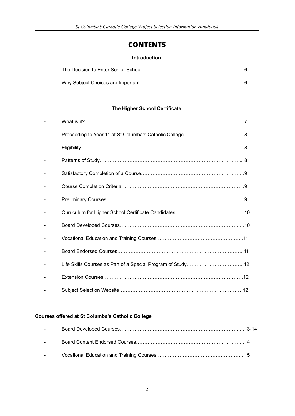### **CONTENTS**

#### **Introduction**

| $\sim$ 100 $\sim$ 100 $\sim$ |  |
|------------------------------|--|
| <b>Service</b>               |  |

#### **The Higher School Certificate**

#### **Courses offered at St Columba's Catholic College**

| $\sim 10^{-10}$ |  |
|-----------------|--|
|                 |  |
| $\sim$          |  |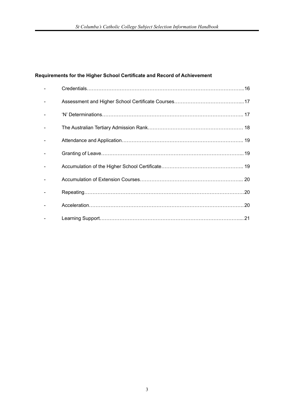#### **Requirements for the Higher School Certificate and Record of Achievement**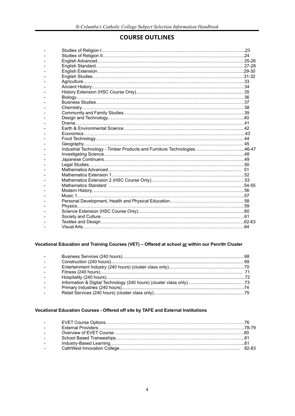### **COURSE OUTLINES**

| Industrial Technology - Timber Products and Furniture Technologies46-47                                        |  |
|----------------------------------------------------------------------------------------------------------------|--|
|                                                                                                                |  |
|                                                                                                                |  |
|                                                                                                                |  |
|                                                                                                                |  |
|                                                                                                                |  |
|                                                                                                                |  |
| Mathematics Standard music.com/music.com/music.com/music.com/music.com/music.com/music-55-55-55-55-55-55-55-55 |  |
|                                                                                                                |  |
|                                                                                                                |  |
|                                                                                                                |  |
|                                                                                                                |  |
|                                                                                                                |  |
|                                                                                                                |  |
|                                                                                                                |  |
|                                                                                                                |  |
|                                                                                                                |  |

#### **Vocational Education and Training Courses (VET) – Offered at school or within our Penrith Cluster**

| $\Delta \sim 100$      |  |
|------------------------|--|
| $\sim$                 |  |
| $\sim$ 10 $\pm$        |  |
| $\sim$ $^{-1}$         |  |
| $\Delta \sim 10^{-11}$ |  |
| $\sim$                 |  |
| $\sim$ 10 $\pm$        |  |
|                        |  |

#### **Vocational Education Courses - Offered off site by TAFE and External Institutions**

| <b>Service Contract</b> |  |
|-------------------------|--|
| <b>Service</b>          |  |
| <b>Service Contract</b> |  |
| <b>Service</b>          |  |
| <b>Service</b>          |  |
| <b>Service</b>          |  |
|                         |  |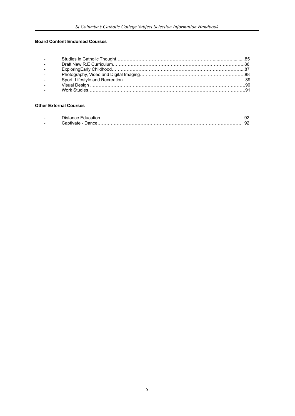#### **Board Content Endorsed Courses**

| $\sim 100$ km s $^{-1}$ |  |
|-------------------------|--|
| $\sim$ $-$              |  |
| $\sim 100$              |  |
| $\sim$ 10 $\pm$         |  |
| $\sim$                  |  |
| $\sim$                  |  |
| $\sim$                  |  |

#### **Other External Courses**

| $\overline{\phantom{a}}$ |  |
|--------------------------|--|
| $\overline{\phantom{a}}$ |  |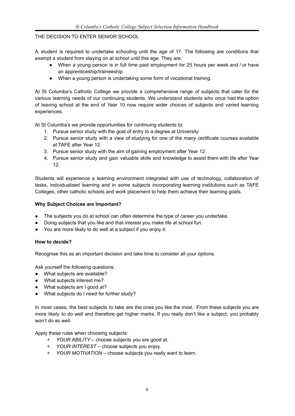#### THE DECISION TO ENTER SENIOR SCHOOL

A student is required to undertake schooling until the age of 17. The following are conditions that exempt a student from staying on at school until this age. They are:

- When a young person is in full time paid employment for 25 hours per week and / or have an apprenticeship/traineeship
- When a young person is undertaking some form of vocational training.

At St Columba's Catholic College we provide a comprehensive range of subjects that cater for the various learning needs of our continuing students. We understand students who once had the option of leaving school at the end of Year 10 now require wider choices of subjects and varied learning experiences.

At St Columba's we provide opportunities for continuing students to:

- 1. Pursue senior study with the goal of entry to a degree at University.
- 2. Pursue senior study with a view of studying for one of the many certificate courses available at TAFE after Year 12.
- 3. Pursue senior study with the aim of gaining employment after Year 12.
- 4. Pursue senior study and gain valuable skills and knowledge to assist them with life after Year 12.

Students will experience a learning environment integrated with use of technology, collaboration of tasks, individualised learning and in some subjects incorporating learning institutions such as TAFE Colleges, other catholic schools and work placement to help them achieve their learning goals.

#### **Why Subject Choices are Important?**

- The subjects you do at school can often determine the type of career you undertake.
- Doing subjects that you like and that interest you make life at school fun.
- You are more likely to do well at a subject if you enjoy it.

#### **How to decide?**

Recognise this as an important decision and take time to consider all your options.

Ask yourself the following questions:

- What subjects are available?
- What subjects interest me?
- What subjects am I good at?
- What subjects do I need for further study?

In most cases, the best subjects to take are the ones you like the most. From these subjects you are more likely to do well and therefore get higher marks. If you really don't like a subject, you probably won't do as well.

Apply these rules when choosing subjects:

- ∗ *YOUR ABILITY* choose subjects you are good at.
- ∗ *YOUR INTEREST* choose subjects you enjoy.
- ∗ *YOUR MOTIVATION* choose subjects you really want to learn.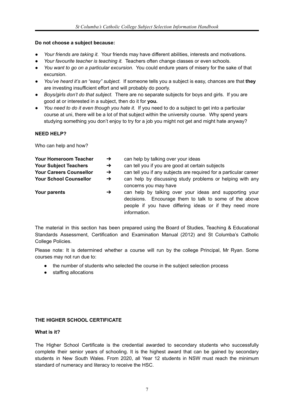#### **Do not choose a subject because:**

- *● Your friends are taking it.* Your friends may have different abilities, interests and motivations.
- *● Your favourite teacher is teaching it.* Teachers often change classes or even schools.
- *● You want to go on a particular excursion.* You could endure years of misery for the sake of that excursion.
- *● You've heard it's an "easy" subject.* If someone tells you a subject is easy, chances are that **they** are investing insufficient effort and will probably do poorly.
- *● Boys/girls don't do that subject.* There are no separate subjects for boys and girls. If you are good at or interested in a subject, then do it for **you.**
- *You need to do it even though you hate it.* If you need to do a subject to get into a particular course at uni, there will be a lot of that subject within the university course. Why spend years studying something you don't enjoy to try for a job you might not get and might hate anyway?

#### **NEED HELP?**

Who can help and how?

| <b>Your Homeroom Teacher</b>   | $\rightarrow$ | can help by talking over your ideas                                                                                                                                                          |
|--------------------------------|---------------|----------------------------------------------------------------------------------------------------------------------------------------------------------------------------------------------|
| <b>Your Subject Teachers</b>   | $\rightarrow$ | can tell you if you are good at certain subjects                                                                                                                                             |
| <b>Your Careers Counsellor</b> | $\rightarrow$ | can tell you if any subjects are required for a particular career                                                                                                                            |
| <b>Your School Counsellor</b>  | $\rightarrow$ | can help by discussing study problems or helping with any<br>concerns you may have                                                                                                           |
| Your parents                   | →             | can help by talking over your ideas and supporting your<br>decisions. Encourage them to talk to some of the above<br>people if you have differing ideas or if they need more<br>information. |

The material in this section has been prepared using the Board of Studies, Teaching & Educational Standards Assessment, Certification and Examination Manual (2012) and St Columba's Catholic College Policies.

Please note: It is determined whether a course will run by the college Principal, Mr Ryan. Some courses may not run due to:

- the number of students who selected the course in the subject selection process
- staffing allocations

#### **THE HIGHER SCHOOL CERTIFICATE**

#### **What is it?**

The Higher School Certificate is the credential awarded to secondary students who successfully complete their senior years of schooling. It is the highest award that can be gained by secondary students in New South Wales. From 2020, all Year 12 students in NSW must reach the minimum standard of numeracy and literacy to receive the HSC.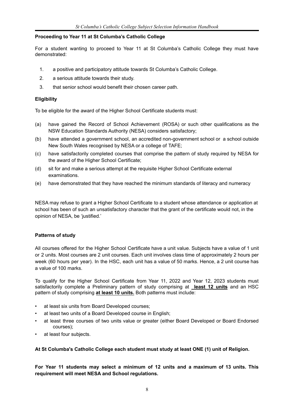#### **Proceeding to Year 11 at St Columba's Catholic College**

For a student wanting to proceed to Year 11 at St Columba's Catholic College they must have demonstrated:

- 1. a positive and participatory attitude towards St Columba's Catholic College.
- 2. a serious attitude towards their study.
- 3. that senior school would benefit their chosen career path.

#### **Eligibility**

To be eligible for the award of the Higher School Certificate students must:

- (a) have gained the Record of School Achievement (ROSA) or such other qualifications as the NSW Education Standards Authority (NESA) considers satisfactory;
- (b) have attended a government school, an accredited non-government school or a school outside New South Wales recognised by NESA or a college of TAFE;
- (c) have satisfactorily completed courses that comprise the pattern of study required by NESA for the award of the Higher School Certificate;
- (d) sit for and make a serious attempt at the requisite Higher School Certificate external examinations.
- (e) have demonstrated that they have reached the minimum standards of literacy and numeracy

NESA may refuse to grant a Higher School Certificate to a student whose attendance or application at school has been of such an unsatisfactory character that the grant of the certificate would not, in the opinion of NESA, be 'justified.'

#### **Patterns of study**

All courses offered for the Higher School Certificate have a unit value. Subjects have a value of 1 unit or 2 units. Most courses are 2 unit courses. Each unit involves class time of approximately 2 hours per week (60 hours per year). In the HSC, each unit has a value of 50 marks. Hence, a 2 unit course has a value of 100 marks.

To qualify for the Higher School Certificate from Year 11, 2022 and Year 12, 2023 students must satisfactorily complete a Preliminary pattern of study comprising at **least 12 units** and an HSC pattern of study comprising **at least 10 units.** Both patterns must include:

- at least six units from Board Developed courses;
- at least two units of a Board Developed course in English;
- at least three courses of two units value or greater (either Board Developed or Board Endorsed courses);
- at least four subjects.

#### **At St Columba's Catholic College each student must study at least ONE (1) unit of Religion.**

**For Year 11 students may select a minimum of 12 units and a maximum of 13 units. This requirement will meet NESA and School regulations.**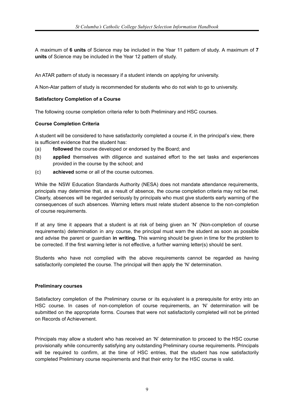A maximum of **6 units** of Science may be included in the Year 11 pattern of study. A maximum of **7 units** of Science may be included in the Year 12 pattern of study.

An ATAR pattern of study is necessary if a student intends on applying for university.

A Non-Atar pattern of study is recommended for students who do not wish to go to university.

#### **Satisfactory Completion of a Course**

The following course completion criteria refer to both Preliminary and HSC courses.

#### **Course Completion Criteria**

A student will be considered to have satisfactorily completed a course if, in the principal's view, there is sufficient evidence that the student has:

- (a) **followed** the course developed or endorsed by the Board; and
- (b) **applied** themselves with diligence and sustained effort to the set tasks and experiences provided in the course by the school; and
- (c) **achieved** some or all of the course outcomes.

While the NSW Education Standards Authority (NESA) does not mandate attendance requirements, principals may determine that, as a result of absence, the course completion criteria may not be met. Clearly, absences will be regarded seriously by principals who must give students early warning of the consequences of such absences. Warning letters must relate student absence to the non-completion of course requirements.

If at any time it appears that a student is at risk of being given an 'N' (Non-completion of course requirements) determination in any course, the principal must warn the student as soon as possible and advise the parent or guardian **in writing.** This warning should be given in time for the problem to be corrected. If the first warning letter is not effective, a further warning letter(s) should be sent.

Students who have not complied with the above requirements cannot be regarded as having satisfactorily completed the course. The principal will then apply the 'N' determination.

#### **Preliminary courses**

Satisfactory completion of the Preliminary course or its equivalent is a prerequisite for entry into an HSC course. In cases of non-completion of course requirements, an 'N' determination will be submitted on the appropriate forms. Courses that were not satisfactorily completed will not be printed on Records of Achievement.

Principals may allow a student who has received an 'N' determination to proceed to the HSC course provisionally while concurrently satisfying any outstanding Preliminary course requirements. Principals will be required to confirm, at the time of HSC entries, that the student has now satisfactorily completed Preliminary course requirements and that their entry for the HSC course is valid.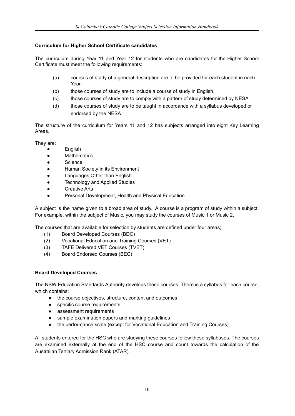#### **Curriculum for Higher School Certificate candidates**

The curriculum during Year 11 and Year 12 for students who are candidates for the Higher School Certificate must meet the following requirements:

- (a) courses of study of a general description are to be provided for each student in each Year,
- (b) those courses of study are to include a course of study in English,
- (c) those courses of study are to comply with a pattern of study determined by NESA
- (d) those courses of study are to be taught in accordance with a syllabus developed or endorsed by the NESA

The structure of the curriculum for Years 11 and 12 has subjects arranged into eight Key Learning Areas.

They are:

- **English**
- Mathematics
- Science
- Human Society in its Environment
- Languages Other than English
- Technology and Applied Studies
- Creative Arts
- Personal Development, Health and Physical Education.

A subject is the name given to a broad area of study. A course is a program of study within a subject. For example, within the subject of Music, you may study the courses of Music 1 or Music 2.

The courses that are available for selection by students are defined under four areas;

- (1) Board Developed Courses (BDC)
- (2) Vocational Education and Training Courses (VET)
- (3) TAFE Delivered VET Courses (TVET)
- (4) Board Endorsed Courses (BEC)

#### **Board Developed Courses**

The NSW Education Standards Authority develops these courses. There is a syllabus for each course, which contains:

- the course objectives, structure, content and outcomes
- specific course requirements
- assessment requirements
- sample examination papers and marking guidelines
- the performance scale (except for Vocational Education and Training Courses)

All students entered for the HSC who are studying these courses follow these syllabuses. The courses are examined externally at the end of the HSC course and count towards the calculation of the Australian Tertiary Admission Rank (ATAR).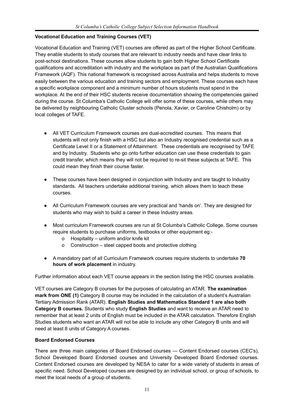#### **Vocational Education and Training Courses (VET)**

Vocational Education and Training (VET) courses are offered as part of the Higher School Certificate. They enable students to study courses that are relevant to industry needs and have clear links to post-school destinations. These courses allow students to gain both Higher School Certificate qualifications and accreditation with industry and the workplace as part of the Australian Qualifications Framework (AQF). This national framework is recognised across Australia and helps students to move easily between the various education and training sectors and employment. These courses each have a specific workplace component and a minimum number of hours students must spend in the workplace. At the end of their HSC students receive documentation showing the competencies gained during the course. St Columba's Catholic College will offer some of these courses, while others may be delivered by neighbouring Catholic Cluster schools (Penola, Xavier, or Caroline Chisholm) or by local colleges of TAFE.

- All VET Curriculum Framework courses are dual-accredited courses. This means that students will not only finish with a HSC but also an Industry recognised credential such as a Certificate Level II or a Statement of Attainment. These credentials are recognised by TAFE and by Industry. Students who go onto further education can use these credentials to gain credit transfer, which means they will not be required to re-sit these subjects at TAFE. This could mean they finish their course faster.
- These courses have been designed in conjunction with Industry and are taught to Industry standards. All teachers undertake additional training, which allows them to teach these courses.
- All Curriculum Framework courses are very practical and 'hands on'. They are designed for students who may wish to build a career in these Industry areas.
- Most curriculum Framework courses are run at St Columba's Catholic College. Some courses require students to purchase uniforms, textbooks or other equipment eg:
	- o Hospitality uniform and/or knife kit
	- o Construction steel capped boots and protective clothing
- A mandatory part of all Curriculum Framework courses require students to undertake **70 hours of work placement** in industry.

Further information about each VET course appears in the section listing the HSC courses available.

VET courses are Category B courses for the purposes of calculating an ATAR. **The examination mark from ONE (1)** Category B course may be included in the calculation of a student's Australian Tertiary Admission Rank (ATAR). **English Studies and Mathematics Standard 1 are also both Category B courses.** Students who study **English Studies** and want to receive an ATAR need to remember that at least 2 units of English must be included in the ATAR calculation. Therefore English Studies students who want an ATAR will not be able to include any other Category B units and will need at least 8 units of Category A courses.

#### **Board Endorsed Courses**

There are three main categories of Board Endorsed courses — Content Endorsed courses (CEC's), School Developed Board Endorsed courses and University Developed Board Endorsed courses. Content Endorsed courses are developed by NESA to cater for a wide variety of students in areas of specific need. School Developed courses are designed by an individual school, or group of schools, to meet the local needs of a group of students.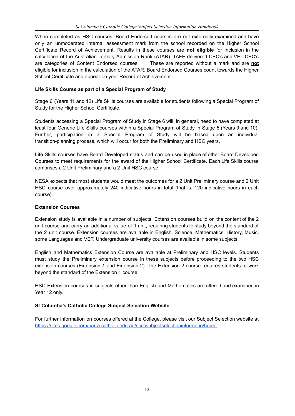When completed as HSC courses, Board Endorsed courses are not externally examined and have only an unmoderated internal assessment mark from the school recorded on the Higher School Certificate Record of Achievement. Results in these courses are **not eligible** for inclusion in the calculation of the Australian Tertiary Admission Rank (ATAR). TAFE delivered CEC's and VET CEC's are categories of Content Endorsed courses. These are reported without a mark and are **not** eligible for inclusion in the calculation of the ATAR. Board Endorsed Courses count towards the Higher School Certificate and appear on your Record of Achievement.

#### **Life Skills Course as part of a Special Program of Study**

Stage 6 (Years 11 and 12) Life Skills courses are available for students following a Special Program of Study for the Higher School Certificate.

Students accessing a Special Program of Study in Stage 6 will, in general, need to have completed at least four Generic Life Skills courses within a Special Program of Study in Stage 5 (Years 9 and 10). Further, participation in a Special Program of Study will be based upon an individual transition-planning process, which will occur for both the Preliminary and HSC years.

Life Skills courses have Board Developed status and can be used in place of other Board Developed Courses to meet requirements for the award of the Higher School Certificate. Each Life Skills course comprises a 2 Unit Preliminary and a 2 Unit HSC course.

NESA expects that most students would meet the outcomes for a 2 Unit Preliminary course and 2 Unit HSC course over approximately 240 indicative hours in total (that is, 120 indicative hours in each course).

#### **Extension Courses**

Extension study is available in a number of subjects. Extension courses build on the content of the 2 unit course and carry an additional value of 1 unit, requiring students to study beyond the standard of the 2 unit course. Extension courses are available in English, Science, Mathematics, History, Music, some Languages and VET. Undergraduate university courses are available in some subjects.

English and Mathematics Extension Course are available at Preliminary and HSC levels. Students must study the Preliminary extension course in these subjects before proceeding to the two HSC extension courses (Extension 1 and Extension 2). The Extension 2 course requires students to work beyond the standard of the Extension 1 course.

HSC Extension courses in subjects other than English and Mathematics are offered and examined in Year 12 only.

#### **St Columba's Catholic College Subject Selection Website**

For further information on courses offered at the College, please visit our Subject Selection website at [https://sites.google.com/parra.catholic.edu.au/scccsubjectselectioninformatio/home.](https://sites.google.com/parra.catholic.edu.au/scccsubjectselectioninformatio/home)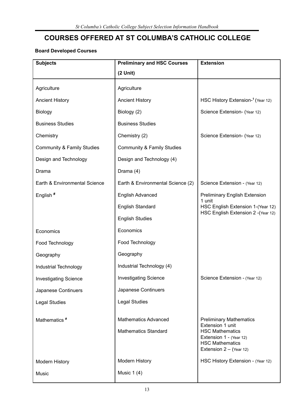## **COURSES OFFERED AT ST COLUMBA'S CATHOLIC COLLEGE**

#### **Board Developed Courses**

| <b>Subjects</b>                       | <b>Preliminary and HSC Courses</b><br><b>Extension</b> |                                                                                                          |
|---------------------------------------|--------------------------------------------------------|----------------------------------------------------------------------------------------------------------|
|                                       | $(2$ Unit)                                             |                                                                                                          |
| Agriculture                           | Agriculture                                            |                                                                                                          |
| <b>Ancient History</b>                | <b>Ancient History</b>                                 | HSC History Extension- <sup>1</sup> (Year 12)                                                            |
| Biology                               | Biology (2)                                            | Science Extension- (Year 12)                                                                             |
| <b>Business Studies</b>               | <b>Business Studies</b>                                |                                                                                                          |
| Chemistry                             | Chemistry (2)                                          | Science Extension- (Year 12)                                                                             |
| <b>Community &amp; Family Studies</b> | <b>Community &amp; Family Studies</b>                  |                                                                                                          |
| Design and Technology                 | Design and Technology (4)                              |                                                                                                          |
| Drama                                 | Drama (4)                                              |                                                                                                          |
| Earth & Environmental Science         | Earth & Environmental Science (2)                      | Science Extension - (Year 12)                                                                            |
| English <sup>#</sup>                  | <b>English Advanced</b>                                | <b>Preliminary English Extension</b><br>1 unit                                                           |
|                                       | <b>English Standard</b>                                | HSC English Extension 1-(Year 12)                                                                        |
|                                       | <b>English Studies</b>                                 | HSC English Extension 2 - (Year 12)                                                                      |
| Economics                             | Economics                                              |                                                                                                          |
| Food Technology                       | Food Technology                                        |                                                                                                          |
| Geography                             | Geography                                              |                                                                                                          |
| Industrial Technology                 | Industrial Technology (4)                              |                                                                                                          |
| <b>Investigating Science</b>          | <b>Investigating Science</b>                           | Science Extension - (Year 12)                                                                            |
| Japanese Continuers                   | Japanese Continuers                                    |                                                                                                          |
| <b>Legal Studies</b>                  | <b>Legal Studies</b>                                   |                                                                                                          |
| Mathematics <sup>#</sup>              | <b>Mathematics Advanced</b>                            | <b>Preliminary Mathematics</b>                                                                           |
|                                       |                                                        | Extension 1 unit                                                                                         |
|                                       | <b>Mathematics Standard</b>                            | <b>HSC Mathematics</b><br>Extension 1 - (Year 12)<br><b>HSC Mathematics</b><br>Extension $2 - (Year 12)$ |
|                                       | Modern History                                         | HSC History Extension - (Year 12)                                                                        |
| <b>Modern History</b>                 | Music $1(4)$                                           |                                                                                                          |
| Music                                 |                                                        |                                                                                                          |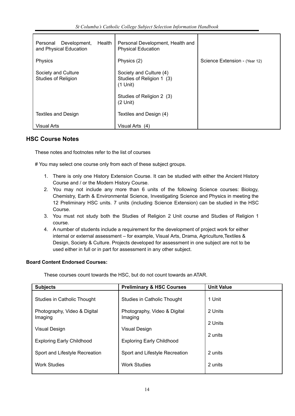| Development,<br>Health<br>Personal<br>and Physical Education | Personal Development, Health and<br><b>Physical Education</b>      |                               |
|--------------------------------------------------------------|--------------------------------------------------------------------|-------------------------------|
| Physics                                                      | Physics (2)                                                        | Science Extension - (Year 12) |
| Society and Culture<br><b>Studies of Religion</b>            | Society and Culture (4)<br>Studies of Religion 1 (3)<br>$(1$ Unit) |                               |
|                                                              | Studies of Religion 2 (3)<br>$(2$ Unit)                            |                               |
| <b>Textiles and Design</b>                                   | Textiles and Design (4)                                            |                               |
| Visual Arts                                                  | Visual Arts (4)                                                    |                               |

#### **HSC Course Notes**

These notes and footnotes refer to the list of courses

# You may select one course only from each of these subject groups.

- 1. There is only one History Extension Course. It can be studied with either the Ancient History Course and / or the Modern History Course.
- 2. You may not include any more than 6 units of the following Science courses: Biology, Chemistry, Earth & Environmental Science, Investigating Science and Physics in meeting the 12 Preliminary HSC units. 7 units (including Science Extension) can be studied in the HSC Course.
- 3. You must not study both the Studies of Religion 2 Unit course and Studies of Religion 1 course.
- 4. A number of students include a requirement for the development of project work for either internal or external assessment – for example, Visual Arts, Drama, Agriculture,Textiles & Design, Society & Culture. Projects developed for assessment in one subject are not to be used either in full or in part for assessment in any other subject.

#### **Board Content Endorsed Courses:**

These courses count towards the HSC, but do not count towards an ATAR.

| <b>Subjects</b>                         | <b>Preliminary &amp; HSC Courses</b>    | <b>Unit Value</b> |
|-----------------------------------------|-----------------------------------------|-------------------|
| Studies in Catholic Thought             | Studies in Catholic Thought             | 1 Unit            |
| Photography, Video & Digital<br>Imaging | Photography, Video & Digital<br>Imaging | 2 Units           |
| Visual Design                           | Visual Design                           | 2 Units           |
| <b>Exploring Early Childhood</b>        | <b>Exploring Early Childhood</b>        | 2 units           |
| Sport and Lifestyle Recreation          | Sport and Lifestyle Recreation          | 2 units           |
| <b>Work Studies</b>                     | <b>Work Studies</b>                     | 2 units           |
|                                         |                                         |                   |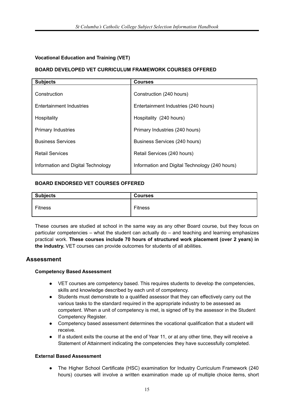#### **Vocational Education and Training (VET)**

#### **BOARD DEVELOPED VET CURRICULUM FRAMEWORK COURSES OFFERED**

| <b>Subjects</b>                    | <b>Courses</b>                                 |
|------------------------------------|------------------------------------------------|
| Construction                       | Construction (240 hours)                       |
| <b>Entertainment Industries</b>    | Entertainment Industries (240 hours)           |
| Hospitality                        | Hospitality (240 hours)                        |
| <b>Primary Industries</b>          | Primary Industries (240 hours)                 |
| <b>Business Services</b>           | Business Services (240 hours)                  |
| <b>Retail Services</b>             | Retail Services (240 hours)                    |
| Information and Digital Technology | Information and Digital Technology (240 hours) |

#### **BOARD ENDORSED VET COURSES OFFERED**

| <b>Subjects</b> | <b>Courses</b> |
|-----------------|----------------|
| <b>Fitness</b>  | <b>Fitness</b> |

These courses are studied at school in the same way as any other Board course, but they focus on particular competencies – what the student can actually do – and teaching and learning emphasizes practical work. **These courses include 70 hours of structured work placement (over 2 years) in the industry.** VET courses can provide outcomes for students of all abilities.

#### **Assessment**

#### **Competency Based Assessment**

- VET courses are competency based. This requires students to develop the competencies, skills and knowledge described by each unit of competency.
- Students must demonstrate to a qualified assessor that they can effectively carry out the various tasks to the standard required in the appropriate industry to be assessed as competent. When a unit of competency is met, is signed off by the assessor in the Student Competency Register.
- Competency based assessment determines the vocational qualification that a student will receive.
- **●** If a student exits the course at the end of Year 11, or at any other time, they will receive a Statement of Attainment indicating the competencies they have successfully completed.

#### **External Based Assessment**

**●** The Higher School Certificate (HSC) examination for Industry Curriculum Framework (240 hours) courses will involve a written examination made up of multiple choice items, short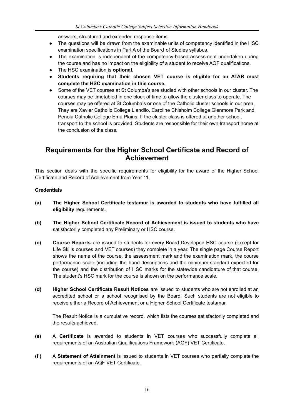answers, structured and extended response items.

- **●** The questions will be drawn from the examinable units of competency identified in the HSC examination specifications in Part A of the Board of Studies syllabus.
- **●** The examination is independent of the competency-based assessment undertaken during the course and has no impact on the eligibility of a student to receive AQF qualifications.
- **●** The HSC examination is **optional.**
- **● Students requiring that their chosen VET course is eligible for an ATAR must complete the HSC examination in this course.**
- **●** Some of the VET courses at St Columba's are studied with other schools in our cluster. The courses may be timetabled in one block of time to allow the cluster class to operate. The courses may be offered at St Columba's or one of the Catholic cluster schools in our area. They are Xavier Catholic College Llandilo, Caroline Chisholm College Glenmore Park and Penola Catholic College Emu Plains. If the cluster class is offered at another school, transport to the school is provided. Students are responsible for their own transport home at the conclusion of the class.

### **Requirements for the Higher School Certificate and Record of Achievement**

This section deals with the specific requirements for eligibility for the award of the Higher School Certificate and Record of Achievement from Year 11.

#### **Credentials**

- **(a) The Higher School Certificate testamur is awarded to students who have fulfilled all eligibility** requirements.
- **(b) The Higher School Certificate Record of Achievement is issued to students who have** satisfactorily completed any Preliminary or HSC course.
- **(c) Course Reports** are issued to students for every Board Developed HSC course (except for Life Skills courses and VET courses) they complete in a year. The single page Course Report shows the name of the course, the assessment mark and the examination mark, the course performance scale (including the band descriptions and the minimum standard expected for the course) and the distribution of HSC marks for the statewide candidature of that course. The student's HSC mark for the course is shown on the performance scale.
- **(d) Higher School Certificate Result Notices** are issued to students who are not enrolled at an accredited school or a school recognised by the Board. Such students are not eligible to receive either a Record of Achievement or a Higher School Certificate testamur.

The Result Notice is a cumulative record, which lists the courses satisfactorily completed and the results achieved.

- **(e)** A **Certificate** is awarded to students in VET courses who successfully complete all requirements of an Australian Qualifications Framework (AQF) VET Certificate.
- **(f )** A **Statement of Attainment** is issued to students in VET courses who partially complete the requirements of an AQF VET Certificate.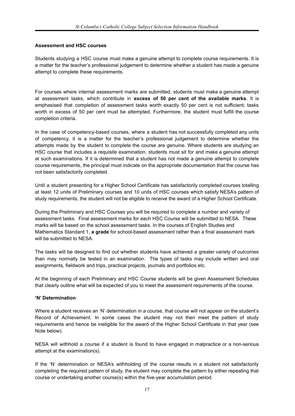#### **Assessment and HSC courses**

Students studying a HSC course must make a genuine attempt to complete course requirements. It is a matter for the teacher's professional judgement to determine whether a student has made a genuine attempt to complete these requirements.

For courses where internal assessment marks are submitted, students must make a genuine attempt at assessment tasks, which contribute in **excess of 50 per cent of the available marks**. It is emphasised that completion of assessment tasks worth exactly 50 per cent is not sufficient; tasks worth in excess of 50 per cent must be attempted. Furthermore, the student must fulfill the course completion criteria.

In the case of competency-based courses, where a student has not successfully completed any units of competency, it is a matter for the teacher's professional judgement to determine whether the attempts made by the student to complete the course are genuine. Where students are studying an HSC course that includes a requisite examination, students must sit for and make a genuine attempt at such examinations. If it is determined that a student has not made a genuine attempt to complete course requirements, the principal must indicate on the appropriate documentation that the course has not been satisfactorily completed.

Until a student presenting for a Higher School Certificate has satisfactorily completed courses totalling at least 12 units of Preliminary courses and 10 units of HSC courses which satisfy NESA's pattern of study requirements, the student will not be eligible to receive the award of a Higher School Certificate.

During the Preliminary and HSC Courses you will be required to complete a number and variety of assessment tasks. Final assessment marks for each HSC Course will be submitted to NESA. These marks will be based on the school assessment tasks. In the courses of English Studies and Mathematics Standard 1, **a grade** for school-based assessment rather than a final assessment mark will be submitted to NESA.

The tasks will be designed to find out whether students have achieved a greater variety of outcomes than may normally be tested in an examination. The types of tasks may include written and oral assignments, fieldwork and trips, practical projects, journals and portfolios etc.

At the beginning of each Preliminary and HSC Course students will be given Assessment Schedules that clearly outline what will be expected of you to meet the assessment requirements of the course.

#### **'N' Determination**

Where a student receives an 'N' determination in a course, that course will not appear on the student's Record of Achievement. In some cases the student may not then meet the pattern of study requirements and hence be ineligible for the award of the Higher School Certificate in that year (see Note below).

NESA will withhold a course if a student is found to have engaged in malpractice or a non-serious attempt at the examination(s).

If the 'N' determination or NESA's withholding of the course results in a student not satisfactorily completing the required pattern of study, the student may complete the pattern by either repeating that course or undertaking another course(s) within the five-year accumulation period.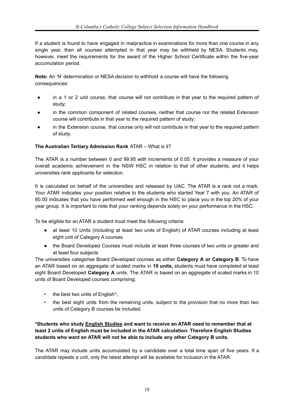If a student is found to have engaged in malpractice in examinations for more than one course in any single year, then all courses attempted in that year may be withheld by NESA. Students may, however, meet the requirements for the award of the Higher School Certificate within the five-year accumulation period.

**Note:** An 'N' determination or NESA decision to withhold a course will have the following consequences:

- in a 1 or 2 unit course, that course will not contribute in that year to the required pattern of study;
- in the common component of related courses, neither that course nor the related Extension course will contribute in that year to the required pattern of study;
- in the Extension course, that course only will not contribute in that year to the required pattern of study.

#### **The Australian Tertiary Admission Rank** ATAR – What is it?

The ATAR is a number between 0 and 99.95 with increments of 0.05. It provides a measure of your overall academic achievement in the NSW HSC in relation to that of other students, and it helps universities rank applicants for selection.

It is calculated on behalf of the universities and released by UAC. The ATAR is a rank not a mark. Your ATAR indicates your position relative to the students who started Year 7 with you. An ATAR of 80.00 indicates that you have performed well enough in the HSC to place you in the top 20% of your year group. It is important to note that your ranking depends solely on your performance in the HSC.

To be eligible for an ATAR a student must meet the following criteria:

- at least 10 Units (including at least two units of English) of ATAR courses including at least eight unit of Category A courses.
- the Board Developed Courses must include at least three courses of two units or greater and at least four subjects

The universities categorise Board Developed courses as either **Category A or Category B**. To have an ATAR based on an aggregate of scaled marks in **10 units,** students must have completed at least eight Board Developed **Category A** units. The ATAR is based on an aggregate of scaled marks in 10 units of Board Developed courses comprising:

- the best two units of English\*;
- the best eight units from the remaining units, subject to the provision that no more than two units of Category B courses be included.

**\*Students who study English Studies and want to receive an ATAR need to remember that at least 2 units of English must be included in the ATAR calculation. Therefore English Studies students who want an ATAR will not be able to include any other Category B units.**

The ATAR may include units accumulated by a candidate over a total time span of five years. If a candidate repeats a unit, only the latest attempt will be available for inclusion in the ATAR.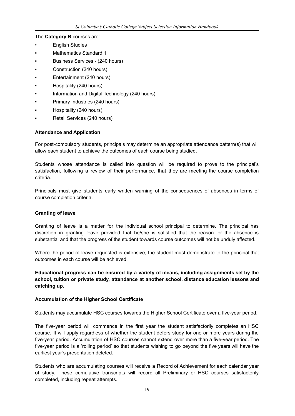The **Category B** courses are:

- **English Studies**
- Mathematics Standard 1
- Business Services (240 hours)
- Construction (240 hours)
- Entertainment (240 hours)
- Hospitality (240 hours)
- Information and Digital Technology (240 hours)
- Primary Industries (240 hours)
- Hospitality (240 hours)
- Retail Services (240 hours)

#### **Attendance and Application**

For post-compulsory students, principals may determine an appropriate attendance pattern(s) that will allow each student to achieve the outcomes of each course being studied.

Students whose attendance is called into question will be required to prove to the principal's satisfaction, following a review of their performance, that they are meeting the course completion criteria.

Principals must give students early written warning of the consequences of absences in terms of course completion criteria.

#### **Granting of leave**

Granting of leave is a matter for the individual school principal to determine. The principal has discretion in granting leave provided that he/she is satisfied that the reason for the absence is substantial and that the progress of the student towards course outcomes will not be unduly affected.

Where the period of leave requested is extensive, the student must demonstrate to the principal that outcomes in each course will be achieved.

**Educational progress can be ensured by a variety of means, including assignments set by the school, tuition or private study, attendance at another school, distance education lessons and catching up.**

#### **Accumulation of the Higher School Certificate**

Students may accumulate HSC courses towards the Higher School Certificate over a five-year period.

The five-year period will commence in the first year the student satisfactorily completes an HSC course. It will apply regardless of whether the student defers study for one or more years during the five-year period. Accumulation of HSC courses cannot extend over more than a five-year period. The five-year period is a 'rolling period' so that students wishing to go beyond the five years will have the earliest year's presentation deleted.

Students who are accumulating courses will receive a Record of Achievement for each calendar year of study. These cumulative transcripts will record all Preliminary or HSC courses satisfactorily completed, including repeat attempts.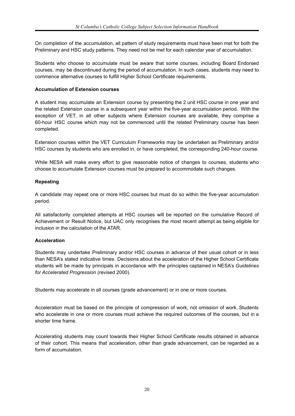On completion of the accumulation, all pattern of study requirements must have been met for both the Preliminary and HSC study patterns. They need not be met for each calendar year of accumulation.

Students who choose to accumulate must be aware that some courses, including Board Endorsed courses, may be discontinued during the period of accumulation. In such cases, students may need to commence alternative courses to fulfill Higher School Certificate requirements.

#### **Accumulation of Extension courses**

A student may accumulate an Extension course by presenting the 2 unit HSC course in one year and the related Extension course in a subsequent year within the five-year accumulation period. With the exception of VET, in all other subjects where Extension courses are available, they comprise a 60-hour HSC course which may not be commenced until the related Preliminary course has been completed.

Extension courses within the VET Curriculum Frameworks may be undertaken as Preliminary and/or HSC courses by students who are enrolled in, or have completed, the corresponding 240-hour course.

While NESA will make every effort to give reasonable notice of changes to courses, students who choose to accumulate Extension courses must be prepared to accommodate such changes.

#### **Repeating**

A candidate may repeat one or more HSC courses but must do so within the five-year accumulation period.

All satisfactorily completed attempts at HSC courses will be reported on the cumulative Record of Achievement or Result Notice, but UAC only recognises the most recent attempt as being eligible for inclusion in the calculation of the ATAR.

#### **Acceleration**

Students may undertake Preliminary and/or HSC courses in advance of their usual cohort or in less than NESA's stated indicative times. Decisions about the acceleration of the Higher School Certificate students will be made by principals in accordance with the principles captained in NESA's *Guidelines for Accelerated Progression* (revised 2000).

Students may accelerate in all courses (grade advancement) or in one or more courses.

Acceleration must be based on the principle of compression of work, not omission of work. Students who accelerate in one or more courses must achieve the required outcomes of the courses, but in a shorter time frame.

Accelerating students may count towards their Higher School Certificate results obtained in advance of their cohort. This means that acceleration, other than grade advancement, can be regarded as a form of accumulation.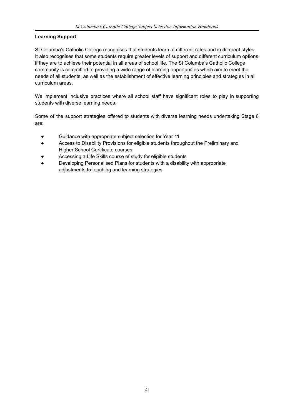#### **Learning Support**

St Columba's Catholic College recognises that students learn at different rates and in different styles. It also recognises that some students require greater levels of support and different curriculum options if they are to achieve their potential in all areas of school life. The St Columba's Catholic College community is committed to providing a wide range of learning opportunities which aim to meet the needs of all students, as well as the establishment of effective learning principles and strategies in all curriculum areas.

We implement inclusive practices where all school staff have significant roles to play in supporting students with diverse learning needs.

Some of the support strategies offered to students with diverse learning needs undertaking Stage 6 are:

- Guidance with appropriate subject selection for Year 11
- Access to Disability Provisions for eligible students throughout the Preliminary and Higher School Certificate courses
- Accessing a Life Skills course of study for eligible students
- Developing Personalised Plans for students with a disability with appropriate adjustments to teaching and learning strategies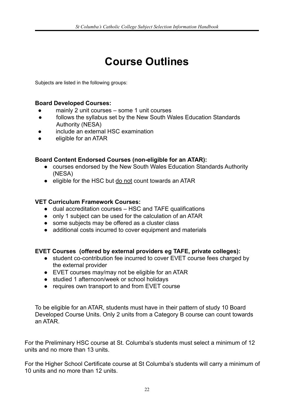## **Course Outlines**

Subjects are listed in the following groups:

#### **Board Developed Courses:**

- mainly 2 unit courses some 1 unit courses
- follows the syllabus set by the New South Wales Education Standards Authority (NESA)
- include an external HSC examination
- eligible for an ATAR

#### **Board Content Endorsed Courses (non-eligible for an ATAR):**

- courses endorsed by the New South Wales Education Standards Authority (NESA)
- eligible for the HSC but do not count towards an ATAR

#### **VET Curriculum Framework Courses:**

- dual accreditation courses HSC and TAFE qualifications
- only 1 subject can be used for the calculation of an ATAR
- some subjects may be offered as a cluster class
- additional costs incurred to cover equipment and materials

#### **EVET Courses (offered by external providers eg TAFE, private colleges):**

- student co-contribution fee incurred to cover EVET course fees charged by the external provider
- EVET courses may/may not be eligible for an ATAR
- studied 1 afternoon/week or school holidays
- requires own transport to and from EVET course

To be eligible for an ATAR, students must have in their pattern of study 10 Board Developed Course Units. Only 2 units from a Category B course can count towards an ATAR.

For the Preliminary HSC course at St. Columba's students must select a minimum of 12 units and no more than 13 units.

For the Higher School Certificate course at St Columba's students will carry a minimum of 10 units and no more than 12 units.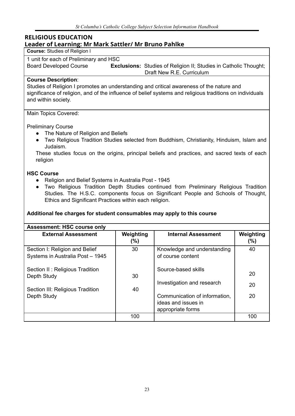#### **RELIGIOUS EDUCATION Leader of Learning: Mr Mark Sattler/ Mr Bruno Pahlke**

#### **Course:** Studies of Religion l

1 unit for each of Preliminary and HSC

Board Developed Course **Exclusions:** Studies of Religion II; Studies in Catholic Thought; Draft New R.E. Curriculum

#### **Course Description**:

Studies of Religion I promotes an understanding and critical awareness of the nature and significance of religion, and of the influence of belief systems and religious traditions on individuals and within society.

#### Main Topics Covered:

#### Preliminary Course

- The Nature of Religion and Beliefs
- Two Religious Tradition Studies selected from Buddhism, Christianity, Hinduism, Islam and Judaism.

These studies focus on the origins, principal beliefs and practices, and sacred texts of each religion

#### **HSC Course**

- Religion and Belief Systems in Australia Post 1945
- Two Religious Tradition Depth Studies continued from Preliminary Religious Tradition Studies. The H.S.C. components focus on Significant People and Schools of Thought, Ethics and Significant Practices within each religion.

#### **Additional fee charges for student consumables may apply to this course**

| <b>Assessment: HSC course only</b>                                 |                  |                                                                           |                  |  |  |
|--------------------------------------------------------------------|------------------|---------------------------------------------------------------------------|------------------|--|--|
| <b>External Assessment</b>                                         | Weighting<br>(%) | <b>Internal Assessment</b>                                                | Weighting<br>(%) |  |  |
| Section I: Religion and Belief<br>Systems in Australia Post - 1945 | 30               | Knowledge and understanding<br>of course content                          | 40               |  |  |
| Section II: Religious Tradition<br>Depth Study                     | 30               | Source-based skills<br>Investigation and research                         | 20<br>20         |  |  |
| Section III: Religious Tradition<br>Depth Study                    | 40               | Communication of information,<br>ideas and issues in<br>appropriate forms | 20               |  |  |
|                                                                    | 100              |                                                                           | 100              |  |  |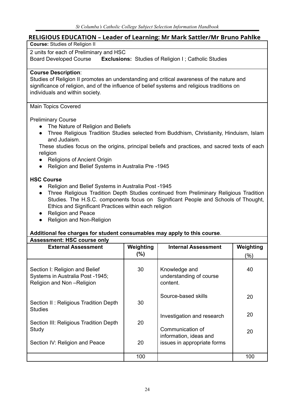#### **RELIGIOUS EDUCATION – Leader of Learning: Mr Mark Sattler/Mr Bruno Pahlke**

**Course:** Studies of Religion II

2 units for each of Preliminary and HSC

Board Developed Course **Exclusions:** Studies of Religion I ; Catholic Studies

#### **Course Description**:

Studies of Religion II promotes an understanding and critical awareness of the nature and significance of religion, and of the influence of belief systems and religious traditions on individuals and within society.

#### Main Topics Covered

Preliminary Course

- The Nature of Religion and Beliefs
- Three Religious Tradition Studies selected from Buddhism, Christianity, Hinduism, Islam and Judaism.

These studies focus on the origins, principal beliefs and practices, and sacred texts of each religion

- Religions of Ancient Origin
- Religion and Belief Systems in Australia Pre -1945

#### **HSC Course**

- Religion and Belief Systems in Australia Post -1945
- Three Religious Tradition Depth Studies continued from Preliminary Religious Tradition Studies. The H.S.C. components focus on Significant People and Schools of Thought, Ethics and Significant Practices within each religion
- Religion and Peace
- Religion and Non-Religion

#### **Additional fee charges for student consumables may apply to this course**.

| <b>Assessment: HSC course only</b>                                                              |           |                                                      |           |  |
|-------------------------------------------------------------------------------------------------|-----------|------------------------------------------------------|-----------|--|
| <b>External Assessment</b>                                                                      | Weighting | <b>Internal Assessment</b>                           | Weighting |  |
|                                                                                                 | $(\%)$    |                                                      | (%)       |  |
| Section I: Religion and Belief<br>Systems in Australia Post -1945;<br>Religion and Non-Religion | 30        | Knowledge and<br>understanding of course<br>content. | 40        |  |
| Section II: Religious Tradition Depth<br><b>Studies</b>                                         | 30        | Source-based skills                                  | 20        |  |
| Section III: Religious Tradition Depth                                                          | 20        | Investigation and research                           | 20        |  |
| Study                                                                                           |           | Communication of<br>information, ideas and           | 20        |  |
| Section IV: Religion and Peace                                                                  | 20        | issues in appropriate forms                          |           |  |
|                                                                                                 | 100       |                                                      | 100       |  |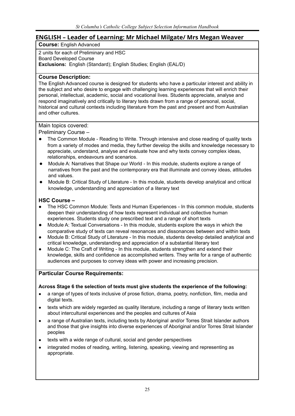#### **ENGLISH – Leader of Learning: Mr Michael Milgate/ Mrs Megan Weaver**

**Course:** English Advanced

2 units for each of Preliminary and HSC Board Developed Course **Exclusions:** English (Standard); English Studies; English (EAL/D)

#### **Course Description:**

The English Advanced course is designed for students who have a particular interest and ability in the subject and who desire to engage with challenging learning experiences that will enrich their personal, intellectual, academic, social and vocational lives. Students appreciate, analyse and respond imaginatively and critically to literary texts drawn from a range of personal, social, historical and cultural contexts including literature from the past and present and from Australian and other cultures.

Main topics covered:

Preliminary Course –

- The Common Module Reading to Write. Through intensive and close reading of quality texts from a variety of modes and media, they further develop the skills and knowledge necessary to appreciate, understand, analyse and evaluate how and why texts convey complex ideas, relationships, endeavours and scenarios.
- Module A: Narratives that Shape our World In this module, students explore a range of narratives from the past and the contemporary era that illuminate and convey ideas, attitudes and values.
- Module B: Critical Study of Literature In this module, students develop analytical and critical knowledge, understanding and appreciation of a literary text

#### **HSC Course –**

- **●** The HSC Common Module: Texts and Human Experiences In this common module, students deepen their understanding of how texts represent individual and collective human experiences. Students study one prescribed text and a range of short texts
- **●** Module A: Textual Conversations In this module, students explore the ways in which the comparative study of texts can reveal resonances and dissonances between and within texts
- Module B: Critical Study of Literature In this module, students develop detailed analytical and critical knowledge, understanding and appreciation of a substantial literary text
- Module C: The Craft of Writing In this module, students strengthen and extend their knowledge, skills and confidence as accomplished writers. They write for a range of authentic audiences and purposes to convey ideas with power and increasing precision.

#### **Particular Course Requirements:**

#### **Across Stage 6 the selection of texts must give students the experience of the following:**

- a range of types of texts inclusive of prose fiction, drama, poetry, nonfiction, film, media and digital texts.
- texts which are widely regarded as quality literature, including a range of literary texts written about intercultural experiences and the peoples and cultures of Asia
- a range of Australian texts, including texts by Aboriginal and/or Torres Strait Islander authors and those that give insights into diverse experiences of Aboriginal and/or Torres Strait Islander peoples
- texts with a wide range of cultural, social and gender perspectives
- integrated modes of reading, writing, listening, speaking, viewing and representing as appropriate.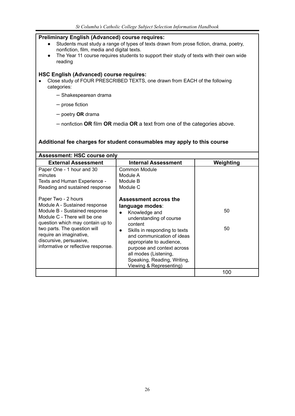#### **Preliminary English (Advanced) course requires:** Students must study a range of types of texts drawn from prose fiction, drama, poetry, nonfiction, film, media and digital texts. ● The Year 11 course requires students to support their study of texts with their own wide reading **HSC English (Advanced) course requires:** • Close study of FOUR PRESCRIBED TEXTS, one drawn from EACH of the following categories: – Shakespearean drama – prose fiction – poetry **OR** drama – nonfiction **OR** film **OR** media **OR** a text from one of the categories above. **Additional fee charges for student consumables may apply to this course Assessment: HSC course only External Assessment Internal Assessment Weighting** Paper One - 1 hour and 30 minutes Texts and Human Experience - Reading and sustained response Common Module Module A Module B Module C

| Paper Two - 2 hours<br>Module A - Sustained response<br>Module B - Sustained response<br>Module C - There will be one<br>question which may contain up to<br>two parts. The question will<br>require an imaginative,<br>discursive, persuasive,<br>informative or reflective response. | Assessment across the<br>language modes:<br>Knowledge and<br>$\bullet$<br>understanding of course<br>content<br>Skills in responding to texts<br>$\bullet$<br>and communication of ideas<br>appropriate to audience,<br>purpose and context across<br>all modes (Listening,<br>Speaking, Reading, Writing,<br>Viewing & Representing) | 50<br>50 |
|----------------------------------------------------------------------------------------------------------------------------------------------------------------------------------------------------------------------------------------------------------------------------------------|---------------------------------------------------------------------------------------------------------------------------------------------------------------------------------------------------------------------------------------------------------------------------------------------------------------------------------------|----------|
|                                                                                                                                                                                                                                                                                        |                                                                                                                                                                                                                                                                                                                                       | 100      |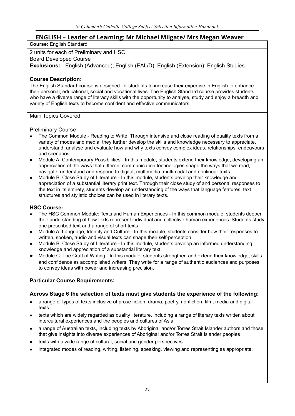### **ENGLISH – Leader of Learning: Mr Michael Milgate/ Mrs Megan Weaver**

#### **Course:** English Standard

#### 2 units for each of Preliminary and HSC

#### Board Developed Course

**Exclusions:** English (Advanced); English (EAL/D); English (Extension); English Studies

#### **Course Description:**

The English Standard course is designed for students to increase their expertise in English to enhance their personal, educational, social and vocational lives. The English Standard course provides students who have a diverse range of literacy skills with the opportunity to analyse, study and enjoy a breadth and variety of English texts to become confident and effective communicators.

Main Topics Covered:

#### Preliminary Course –

- The Common Module Reading to Write. Through intensive and close reading of quality texts from a variety of modes and media, they further develop the skills and knowledge necessary to appreciate, understand, analyse and evaluate how and why texts convey complex ideas, relationships, endeavours and scenarios.
- Module A: Contemporary Possibilities In this module, students extend their knowledge, developing an appreciation of the ways that different communication technologies shape the ways that we read, navigate, understand and respond to digital, multimedia, multimodal and nonlinear texts.
- Module B: Close Study of Literature In this module, students develop their knowledge and appreciation of a substantial literary print text. Through their close study of and personal responses to the text in its entirety, students develop an understanding of the ways that language features, text structures and stylistic choices can be used in literary texts.

#### **HSC Course-**

- **●** The HSC Common Module: Texts and Human Experiences In this common module, students deepen their understanding of how texts represent individual and collective human experiences. Students study one prescribed text and a range of short texts
- Module A: Language, Identity and Culture In this module, students consider how their responses to written, spoken, audio and visual texts can shape their self-perception.
- Module B: Close Study of Literature In this module, students develop an informed understanding, knowledge and appreciation of a substantial literary text.
- Module C: The Craft of Writing In this module, students strengthen and extend their knowledge, skills and confidence as accomplished writers. They write for a range of authentic audiences and purposes to convey ideas with power and increasing precision.

#### **Particular Course Requirements:**

#### **Across Stage 6 the selection of texts must give students the experience of the following:**

- a range of types of texts inclusive of prose fiction, drama, poetry, nonfiction, film, media and digital texts.
- texts which are widely regarded as quality literature, including a range of literary texts written about intercultural experiences and the peoples and cultures of Asia
- a range of Australian texts, including texts by Aboriginal and/or Torres Strait Islander authors and those that give insights into diverse experiences of Aboriginal and/or Torres Strait Islander peoples
- texts with a wide range of cultural, social and gender perspectives
- integrated modes of reading, writing, listening, speaking, viewing and representing as appropriate.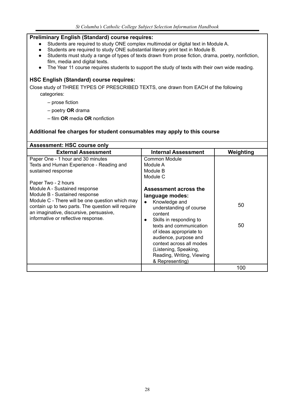#### **Preliminary English (Standard) course requires:**

- Students are required to study ONE complex multimodal or digital text in Module A.
- Students are required to study ONE substantial literary print text in Module B.
- Students must study a range of types of texts drawn from prose fiction, drama, poetry, nonfiction, film, media and digital texts.
- The Year 11 course requires students to support the study of texts with their own wide reading.

#### **HSC English (Standard) course requires:**

Close study of THREE TYPES OF PRESCRIBED TEXTS, one drawn from EACH of the following categories:

- prose fiction
- poetry **OR** drama
- film **OR** media **OR** nonfiction

#### **Additional fee charges for student consumables may apply to this course**

| <b>Assessment: HSC course only</b>                 |                            |           |  |
|----------------------------------------------------|----------------------------|-----------|--|
| <b>External Assessment</b>                         | <b>Internal Assessment</b> | Weighting |  |
| Paper One - 1 hour and 30 minutes                  | Common Module              |           |  |
| Texts and Human Experience - Reading and           | Module A                   |           |  |
| sustained response                                 | Module B                   |           |  |
|                                                    | Module C                   |           |  |
| Paper Two - 2 hours                                |                            |           |  |
| Module A - Sustained response                      | Assessment across the      |           |  |
| Module B - Sustained response                      | language modes:            |           |  |
| Module C - There will be one question which may    | Knowledge and<br>$\bullet$ |           |  |
| contain up to two parts. The question will require | understanding of course    | 50        |  |
| an imaginative, discursive, persuasive,            | content                    |           |  |
| informative or reflective response.                | Skills in responding to    |           |  |
|                                                    | texts and communication    | 50        |  |
|                                                    | of ideas appropriate to    |           |  |
|                                                    | audience, purpose and      |           |  |
|                                                    | context across all modes   |           |  |
|                                                    | (Listening, Speaking,      |           |  |
|                                                    | Reading, Writing, Viewing  |           |  |
|                                                    | & Representing)            |           |  |
|                                                    |                            | 100       |  |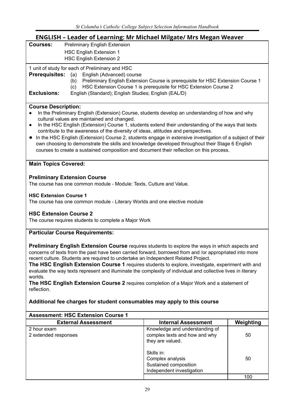### **ENGLISH – Leader of Learning: Mr Michael Milgate/ Mrs Megan Weaver**

| NULISIT – LUUULI VI LUUTIIIIB, INII INIUNUU INIIBUUT INIIS INUBUIT NUUNUI<br><b>Courses:</b><br><b>Preliminary English Extension</b> |                                                                                 |           |  |  |  |
|--------------------------------------------------------------------------------------------------------------------------------------|---------------------------------------------------------------------------------|-----------|--|--|--|
|                                                                                                                                      |                                                                                 |           |  |  |  |
| <b>HSC English Extension 1</b>                                                                                                       |                                                                                 |           |  |  |  |
| <b>HSC English Extension 2</b>                                                                                                       |                                                                                 |           |  |  |  |
| 1 unit of study for each of Preliminary and HSC                                                                                      |                                                                                 |           |  |  |  |
| <b>Prerequisites:</b><br>English (Advanced) course<br>(a)                                                                            |                                                                                 |           |  |  |  |
| (b)                                                                                                                                  | Preliminary English Extension Course is prerequisite for HSC Extension Course 1 |           |  |  |  |
| (c)                                                                                                                                  | HSC Extension Course 1 is prerequisite for HSC Extension Course 2               |           |  |  |  |
| <b>Exclusions:</b><br>English (Standard); English Studies; English (EAL/D)                                                           |                                                                                 |           |  |  |  |
|                                                                                                                                      |                                                                                 |           |  |  |  |
| <b>Course Description:</b>                                                                                                           |                                                                                 |           |  |  |  |
| In the Preliminary English (Extension) Course, students develop an understanding of how and why                                      |                                                                                 |           |  |  |  |
| cultural values are maintained and changed.                                                                                          |                                                                                 |           |  |  |  |
| In the HSC English (Extension) Course 1, students extend their understanding of the ways that texts<br>$\bullet$                     |                                                                                 |           |  |  |  |
| contribute to the awareness of the diversity of ideas, attitudes and perspectives.                                                   |                                                                                 |           |  |  |  |
| In the HSC English (Extension) Course 2, students engage in extensive investigation of a subject of their<br>$\bullet$               |                                                                                 |           |  |  |  |
| own choosing to demonstrate the skills and knowledge developed throughout their Stage 6 English                                      |                                                                                 |           |  |  |  |
| courses to create a sustained composition and document their reflection on this process.                                             |                                                                                 |           |  |  |  |
|                                                                                                                                      |                                                                                 |           |  |  |  |
| <b>Main Topics Covered:</b>                                                                                                          |                                                                                 |           |  |  |  |
|                                                                                                                                      |                                                                                 |           |  |  |  |
| <b>Preliminary Extension Course</b>                                                                                                  |                                                                                 |           |  |  |  |
| The course has one common module - Module: Texts, Culture and Value.                                                                 |                                                                                 |           |  |  |  |
|                                                                                                                                      |                                                                                 |           |  |  |  |
| <b>HSC Extension Course 1</b>                                                                                                        |                                                                                 |           |  |  |  |
| The course has one common module - Literary Worlds and one elective module                                                           |                                                                                 |           |  |  |  |
|                                                                                                                                      |                                                                                 |           |  |  |  |
| <b>HSC Extension Course 2</b>                                                                                                        |                                                                                 |           |  |  |  |
| The course requires students to complete a Major Work                                                                                |                                                                                 |           |  |  |  |
|                                                                                                                                      |                                                                                 |           |  |  |  |
| <b>Particular Course Requirements:</b>                                                                                               |                                                                                 |           |  |  |  |
|                                                                                                                                      |                                                                                 |           |  |  |  |
| <b>Preliminary English Extension Course</b> requires students to explore the ways in which aspects and                               |                                                                                 |           |  |  |  |
| concerns of texts from the past have been carried forward, borrowed from and /or appropriated into more                              |                                                                                 |           |  |  |  |
| recent culture. Students are required to undertake an Independent Related Project.                                                   |                                                                                 |           |  |  |  |
| The HSC English Extension Course 1 requires students to explore, investigate, experiment with and                                    |                                                                                 |           |  |  |  |
| evaluate the way texts represent and illuminate the complexity of individual and collective lives in literary                        |                                                                                 |           |  |  |  |
| worlds.                                                                                                                              |                                                                                 |           |  |  |  |
| The HSC English Extension Course 2 requires completion of a Major Work and a statement of                                            |                                                                                 |           |  |  |  |
| reflection.                                                                                                                          |                                                                                 |           |  |  |  |
|                                                                                                                                      |                                                                                 |           |  |  |  |
| Additional fee charges for student consumables may apply to this course                                                              |                                                                                 |           |  |  |  |
|                                                                                                                                      |                                                                                 |           |  |  |  |
| <b>Assessment: HSC Extension Course 1</b>                                                                                            |                                                                                 |           |  |  |  |
| <b>External Assessment</b>                                                                                                           | <b>Internal Assessment</b>                                                      | Weighting |  |  |  |
| 2 hour exam                                                                                                                          | Knowledge and understanding of                                                  |           |  |  |  |
| 2 extended responses                                                                                                                 | complex texts and how and why                                                   | 50        |  |  |  |
|                                                                                                                                      | they are valued.                                                                |           |  |  |  |
|                                                                                                                                      |                                                                                 |           |  |  |  |
|                                                                                                                                      | Skills in:                                                                      |           |  |  |  |
|                                                                                                                                      | Complex analysis                                                                | 50        |  |  |  |
|                                                                                                                                      |                                                                                 |           |  |  |  |
|                                                                                                                                      | Sustained composition                                                           |           |  |  |  |
|                                                                                                                                      | Independent investigation                                                       | 100       |  |  |  |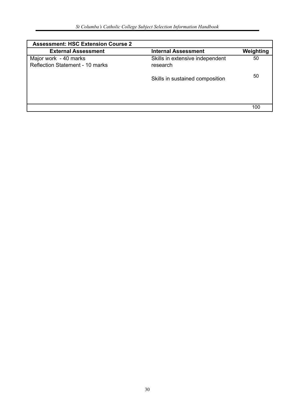| <b>Assessment: HSC Extension Course 2</b>                |                                             |           |
|----------------------------------------------------------|---------------------------------------------|-----------|
| <b>External Assessment</b>                               | <b>Internal Assessment</b>                  | Weighting |
| Major work - 40 marks<br>Reflection Statement - 10 marks | Skills in extensive independent<br>research | 50        |
|                                                          | Skills in sustained composition             | 50        |
|                                                          |                                             |           |
|                                                          |                                             | 100       |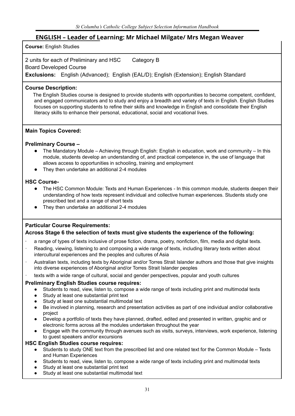#### **ENGLISH – Leader of Learning: Mr Michael Milgate/ Mrs Megan Weaver**

**Course:** English Studies

2 units for each of Preliminary and HSC Category B

Board Developed Course

**Exclusions:** English (Advanced); English (EAL/D); English (Extension); English Standard

#### **Course Description:**

The English Studies course is designed to provide students with opportunities to become competent, confident, and engaged communicators and to study and enjoy a breadth and variety of texts in English. English Studies focuses on supporting students to refine their skills and knowledge in English and consolidate their English literacy skills to enhance their personal, educational, social and vocational lives.

#### **Main Topics Covered:**

#### **Preliminary Course –**

- The Mandatory Module Achieving through English: English in education, work and community In this module, students develop an understanding of, and practical competence in, the use of language that allows access to opportunities in schooling, training and employment
- They then undertake an additional 2-4 modules

#### **HSC Course-**

- The HSC Common Module: Texts and Human Experiences In this common module, students deepen their understanding of how texts represent individual and collective human experiences. Students study one prescribed text and a range of short texts
- They then undertake an additional 2-4 modules

#### **Particular Course Requirements:**

#### **Across Stage 6 the selection of texts must give students the experience of the following:**

- · a range of types of texts inclusive of prose fiction, drama, poetry, nonfiction, film, media and digital texts.
- Reading, viewing, listening to and composing a wide range of texts, including literary texts written about intercultural experiences and the peoples and cultures of Asia
- · Australian texts, including texts by Aboriginal and/or Torres Strait Islander authors and those that give insights into diverse experiences of Aboriginal and/or Torres Strait Islander peoples
- texts with a wide range of cultural, social and gender perspectives, popular and youth cultures

#### **Preliminary English Studies course requires:**

- Students to read, view, listen to, compose a wide range of texts including print and multimodal texts
- Study at least one substantial print text
- Study at least one substantial multimodal text
- Be involved in planning, research and presentation activities as part of one individual and/or collaborative project
- Develop a portfolio of texts they have planned, drafted, edited and presented in written, graphic and or electronic forms across all the modules undertaken throughout the year
- Engage with the community through avenues such as visits, surveys, interviews, work experience, listening to guest speakers and/or excursions

#### **HSC English Studies course requires:**

- Students to study ONE text from the prescribed list and one related text for the Common Module Texts and Human Experiences
- Students to read, view, listen to, compose a wide range of texts including print and multimodal texts
- Study at least one substantial print text
- Study at least one substantial multimodal text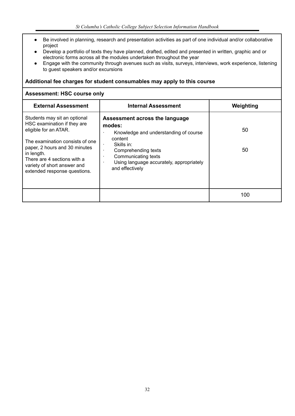- Be involved in planning, research and presentation activities as part of one individual and/or collaborative project
- Develop a portfolio of texts they have planned, drafted, edited and presented in written, graphic and or electronic forms across all the modules undertaken throughout the year
- Engage with the community through avenues such as visits, surveys, interviews, work experience, listening to guest speakers and/or excursions

#### **Additional fee charges for student consumables may apply to this course**

#### **Assessment: HSC course only**

| <b>External Assessment</b>                                                                                                                                                                                                                                           | <b>Internal Assessment</b>                                                                                                                                                                                                                                       | Weighting |
|----------------------------------------------------------------------------------------------------------------------------------------------------------------------------------------------------------------------------------------------------------------------|------------------------------------------------------------------------------------------------------------------------------------------------------------------------------------------------------------------------------------------------------------------|-----------|
| Students may sit an optional<br>HSC examination if they are<br>eligible for an ATAR.<br>The examination consists of one<br>paper, 2 hours and 30 minutes<br>in length.<br>There are 4 sections with a<br>variety of short answer and<br>extended response questions. | Assessment across the language<br>modes:<br>Knowledge and understanding of course<br>٠<br>content<br>Skills in:<br>$\bullet$<br>Comprehending texts<br>٠<br>Communicating texts<br>٠<br>Using language accurately, appropriately<br>$\bullet$<br>and effectively | 50<br>50  |
|                                                                                                                                                                                                                                                                      |                                                                                                                                                                                                                                                                  | 100       |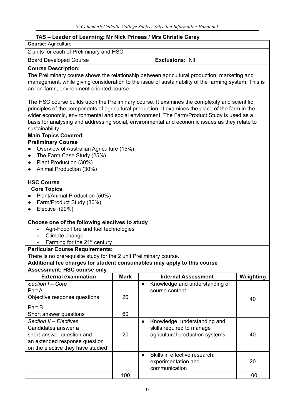### **TAS – Leader of Learning: Mr Nick Prineas / Mrs Christie Carey**

| <b>Course: Agriculture</b>                                                                                                                                                                                                                                                                                                                                                                                                                                                                                                                                   |             |                                                                                                                                                                                                                                                                                                                                                                                                                                                                                                                                                                                                          |           |
|--------------------------------------------------------------------------------------------------------------------------------------------------------------------------------------------------------------------------------------------------------------------------------------------------------------------------------------------------------------------------------------------------------------------------------------------------------------------------------------------------------------------------------------------------------------|-------------|----------------------------------------------------------------------------------------------------------------------------------------------------------------------------------------------------------------------------------------------------------------------------------------------------------------------------------------------------------------------------------------------------------------------------------------------------------------------------------------------------------------------------------------------------------------------------------------------------------|-----------|
| 2 units for each of Preliminary and HSC                                                                                                                                                                                                                                                                                                                                                                                                                                                                                                                      |             |                                                                                                                                                                                                                                                                                                                                                                                                                                                                                                                                                                                                          |           |
| <b>Board Developed Course</b>                                                                                                                                                                                                                                                                                                                                                                                                                                                                                                                                |             | <b>Exclusions: Nil</b>                                                                                                                                                                                                                                                                                                                                                                                                                                                                                                                                                                                   |           |
| <b>Course Description:</b><br>an 'on-farm', environment-oriented course.                                                                                                                                                                                                                                                                                                                                                                                                                                                                                     |             | The Preliminary course shows the relationship between agricultural production, marketing and<br>management, while giving consideration to the issue of sustainability of the farming system. This is<br>The HSC course builds upon the Preliminary course. It examines the complexity and scientific<br>principles of the components of agricultural production. It examines the place of the farm in the<br>wider economic, environmental and social environment. The Farm/Product Study is used as a<br>basis for analysing and addressing social, environmental and economic issues as they relate to |           |
| sustainability.                                                                                                                                                                                                                                                                                                                                                                                                                                                                                                                                              |             |                                                                                                                                                                                                                                                                                                                                                                                                                                                                                                                                                                                                          |           |
| <b>Main Topics Covered:</b><br><b>Preliminary Course</b><br>Overview of Australian Agriculture (15%)<br>The Farm Case Study (25%)<br>$\bullet$<br>Plant Production (30%)<br>$\bullet$<br>Animal Production (30%)<br>$\bullet$<br><b>HSC Course</b><br><b>Core Topics</b><br>Plant/Animal Production (50%)<br>Farm/Product Study (30%)<br>$\bullet$<br>Elective (20%)<br>$\bullet$<br>Choose one of the following electives to study<br>Agri-Food fibre and fuel technologies<br>$\blacksquare$<br>Climate change<br>Farming for the 21 <sup>st</sup> century |             |                                                                                                                                                                                                                                                                                                                                                                                                                                                                                                                                                                                                          |           |
| <b>Particular Course Requirements:</b><br>There is no prerequisite study for the 2 unit Preliminary course.                                                                                                                                                                                                                                                                                                                                                                                                                                                  |             |                                                                                                                                                                                                                                                                                                                                                                                                                                                                                                                                                                                                          |           |
| Additional fee charges for student consumables may apply to this course                                                                                                                                                                                                                                                                                                                                                                                                                                                                                      |             |                                                                                                                                                                                                                                                                                                                                                                                                                                                                                                                                                                                                          |           |
| <b>Assessment: HSC course only</b>                                                                                                                                                                                                                                                                                                                                                                                                                                                                                                                           |             |                                                                                                                                                                                                                                                                                                                                                                                                                                                                                                                                                                                                          |           |
| <b>External examination</b>                                                                                                                                                                                                                                                                                                                                                                                                                                                                                                                                  | <b>Mark</b> | <b>Internal Assessment</b>                                                                                                                                                                                                                                                                                                                                                                                                                                                                                                                                                                               | Weighting |
| Section I - Core<br>Part A<br>Objective response questions<br>Part B<br>Short answer questions                                                                                                                                                                                                                                                                                                                                                                                                                                                               | 20<br>60    | Knowledge and understanding of<br>$\bullet$<br>course content.                                                                                                                                                                                                                                                                                                                                                                                                                                                                                                                                           | 40        |
| Section II - Electives                                                                                                                                                                                                                                                                                                                                                                                                                                                                                                                                       |             | Knowledge, understanding and<br>$\bullet$                                                                                                                                                                                                                                                                                                                                                                                                                                                                                                                                                                |           |
| Candidates answer a<br>short-answer question and<br>an extended response question<br>on the elective they have studied                                                                                                                                                                                                                                                                                                                                                                                                                                       | 20          | skills required to manage<br>agricultural production systems                                                                                                                                                                                                                                                                                                                                                                                                                                                                                                                                             | 40        |
|                                                                                                                                                                                                                                                                                                                                                                                                                                                                                                                                                              |             | Skills in effective research,<br>$\bullet$<br>experimentation and<br>communication                                                                                                                                                                                                                                                                                                                                                                                                                                                                                                                       | 20        |
|                                                                                                                                                                                                                                                                                                                                                                                                                                                                                                                                                              | 100         |                                                                                                                                                                                                                                                                                                                                                                                                                                                                                                                                                                                                          | 100       |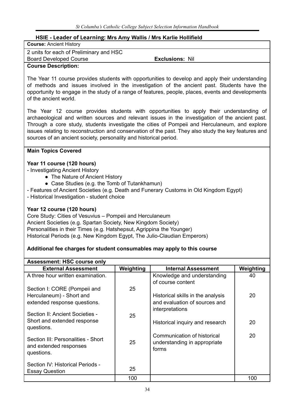#### **HSIE - Leader of Learning: Mrs Amy Wallis / Mrs Karlie Hollifield**

| <b>Course: Ancient History</b>          |                        |  |
|-----------------------------------------|------------------------|--|
| 2 units for each of Preliminary and HSC |                        |  |
| <b>Board Developed Course</b>           | <b>Exclusions: Nil</b> |  |
| <b>Course Description:</b>              |                        |  |

The Year 11 course provides students with opportunities to develop and apply their understanding of methods and issues involved in the investigation of the ancient past. Students have the opportunity to engage in the study of a range of features, people, places, events and developments of the ancient world.

The Year 12 course provides students with opportunities to apply their understanding of archaeological and written sources and relevant issues in the investigation of the ancient past. Through a core study, students investigate the cities of Pompeii and Herculaneum, and explore issues relating to reconstruction and conservation of the past. They also study the key features and sources of an ancient society, personality and historical period.

#### **Main Topics Covered**

#### **Year 11 course (120 hours)**

- Investigating Ancient History
	- The Nature of Ancient History
	- Case Studies (e.g. the Tomb of Tutankhamun)
- Features of Ancient Societies (e.g. Death and Funerary Customs in Old Kingdom Egypt)
- Historical Investigation student choice

#### **Year 12 course (120 hours)**

Core Study: Cities of Vesuvius – Pompeii and Herculaneum Ancient Societies (e.g. Spartan Society, New Kingdom Society) Personalities in their Times (e.g. Hatshepsut, Agrippina the Younger) Historical Periods (e.g. New Kingdom Egypt, The Julio-Claudian Emperors)

#### **Additional fee charges for student consumables may apply to this course**

| <b>Assessment: HSC course only</b>                                         |           |                                                                      |           |  |  |
|----------------------------------------------------------------------------|-----------|----------------------------------------------------------------------|-----------|--|--|
| <b>External Assessment</b>                                                 | Weighting | <b>Internal Assessment</b>                                           | Weighting |  |  |
| A three hour written examination.                                          |           | Knowledge and understanding<br>of course content                     | 40        |  |  |
| Section I: CORE (Pompeii and                                               | 25        |                                                                      |           |  |  |
| Herculaneum) - Short and                                                   |           | Historical skills in the analysis                                    | 20        |  |  |
| extended response questions.                                               |           | and evaluation of sources and                                        |           |  |  |
| Section II: Ancient Societies -                                            | 25        | interpretations                                                      |           |  |  |
| Short and extended response<br>questions.                                  |           | Historical inquiry and research                                      | 20        |  |  |
| Section III: Personalities - Short<br>and extended responses<br>questions. | 25        | Communication of historical<br>understanding in appropriate<br>forms | 20        |  |  |
| Section IV: Historical Periods -<br><b>Essay Question</b>                  | 25        |                                                                      |           |  |  |
|                                                                            | 100       |                                                                      | 100       |  |  |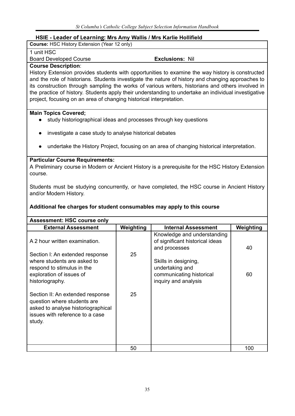#### **HSIE - Leader of Learning: Mrs Amy Wallis / Mrs Karlie Hollifield**

| <b>Course: HSC History Extension (Year 12 only)</b> |  |
|-----------------------------------------------------|--|
|-----------------------------------------------------|--|

1 unit HSC

Board Developed Course **Exclusions:** Nil

#### **Course Description**:

History Extension provides students with opportunities to examine the way history is constructed and the role of historians. Students investigate the nature of history and changing approaches to its construction through sampling the works of various writers, historians and others involved in the practice of history. Students apply their understanding to undertake an individual investigative project, focusing on an area of changing historical interpretation.

#### **Main Topics Covered;**

- study historiographical ideas and processes through key questions
- investigate a case study to analyse historical debates
- undertake the History Project, focusing on an area of changing historical interpretation.

#### **Particular Course Requirements:**

A Preliminary course in Modern or Ancient History is a prerequisite for the HSC History Extension course.

Students must be studying concurrently, or have completed, the HSC course in Ancient History and/or Modern History.

#### **Additional fee charges for student consumables may apply to this course**

| <b>Assessment: HSC course only</b>                                                                                                                 |           |                                                                                 |           |  |  |
|----------------------------------------------------------------------------------------------------------------------------------------------------|-----------|---------------------------------------------------------------------------------|-----------|--|--|
| <b>External Assessment</b>                                                                                                                         | Weighting | <b>Internal Assessment</b>                                                      | Weighting |  |  |
| A 2 hour written examination.                                                                                                                      |           | Knowledge and understanding<br>of significant historical ideas<br>and processes | 40        |  |  |
| Section I: An extended response<br>where students are asked to<br>respond to stimulus in the                                                       | 25        | Skills in designing,<br>undertaking and                                         |           |  |  |
| exploration of issues of<br>historiography.                                                                                                        |           | communicating historical<br>inquiry and analysis                                | 60        |  |  |
| Section II: An extended response<br>question where students are<br>asked to analyse historiographical<br>issues with reference to a case<br>study. | 25        |                                                                                 |           |  |  |
|                                                                                                                                                    | 50        |                                                                                 | 100       |  |  |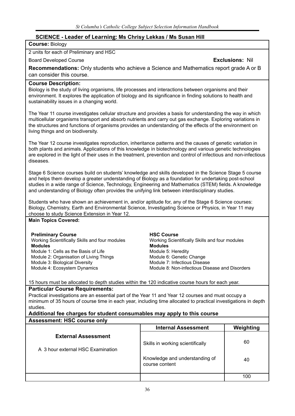#### **SCIENCE - Leader of Learning: Ms Chrisy Lekkas / Ms Susan Hill**

#### **Course:** Biology

2 units for each of Preliminary and HSC

Board Developed Course **Exclusions:** Nil

**Recommendations:** Only students who achieve a Science and Mathematics report grade A or B can consider this course.

#### **Course Description:**

Biology is the study of living organisms, life processes and interactions between organisms and their environment. It explores the application of biology and its significance in finding solutions to health and sustainability issues in a changing world.

The Year 11 course investigates cellular structure and provides a basis for understanding the way in which multicellular organisms transport and absorb nutrients and carry out gas exchange. Exploring variations in the structures and functions of organisms provides an understanding of the effects of the environment on living things and on biodiversity.

The Year 12 course investigates reproduction, inheritance patterns and the causes of genetic variation in both plants and animals. Applications of this knowledge in biotechnology and various genetic technologies are explored in the light of their uses in the treatment, prevention and control of infectious and non-infectious diseases.

Stage 6 Science courses build on students' knowledge and skills developed in the Science Stage 5 course and helps them develop a greater understanding of Biology as a foundation for undertaking post-school studies in a wide range of Science, Technology, Engineering and Mathematics (STEM) fields. A knowledge and understanding of Biology often provides the unifying link between interdisciplinary studies.

Students who have shown an achievement in, and/or aptitude for, any of the Stage 6 Science courses: Biology, Chemistry, Earth and Environmental Science, Investigating Science or Physics, in Year 11 may choose to study Science Extension in Year 12.

#### **Main Topics Covered:**

#### **Preliminary Course**

Working Scientifically Skills and four modules **Modules** Module 1: Cells as the Basis of Life Module 2: Organisation of Living Things Module 3: Biological Diversity Module 4: Ecosystem Dynamics

#### **HSC Course**

Working Scientifically Skills and four modules **Modules** Module 5: Heredity Module 6: Genetic Change Module 7: Infectious Disease Module 8: Non-infectious Disease and Disorders

15 hours must be allocated to depth studies within the 120 indicative course hours for each year.

#### **Particular Course Requirements:**

Practical investigations are an essential part of the Year 11 and Year 12 courses and must occupy a minimum of 35 hours of course time in each year, including time allocated to practical investigations in depth studies.

#### **Additional fee charges for student consumables may apply to this course**

#### **Assessment: HSC course only**

|                                                                 | <b>Internal Assessment</b>                       | Weighting |
|-----------------------------------------------------------------|--------------------------------------------------|-----------|
| <b>External Assessment</b><br>A 3 hour external HSC Examination | Skills in working scientifically                 | 60        |
|                                                                 | Knowledge and understanding of<br>course content | 40        |
|                                                                 |                                                  | 100       |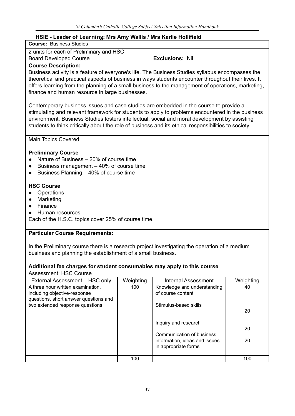# **HSIE - Leader of Learning: Mrs Amy Wallis / Mrs Karlie Hollifield**

| <b>Course: Business Studies</b> |  |
|---------------------------------|--|
|                                 |  |

2 units for each of Preliminary and HSC

Board Developed Course **Exclusions:** Nil

# **Course Description:**

Business activity is a feature of everyone's life. The Business Studies syllabus encompasses the theoretical and practical aspects of business in ways students encounter throughout their lives. It offers learning from the planning of a small business to the management of operations, marketing, finance and human resource in large businesses.

Contemporary business issues and case studies are embedded in the course to provide a stimulating and relevant framework for students to apply to problems encountered in the business environment. Business Studies fosters intellectual, social and moral development by assisting students to think critically about the role of business and its ethical responsibilities to society.

Main Topics Covered:

# **Preliminary Course**

- **●** Nature of Business 20% of course time
- **●** Business management 40% of course time
- **●** Business Planning 40% of course time

# **HSC Course**

- **●** Operations
- **●** Marketing
- **●** Finance
- **●** Human resources

Each of the H.S.C. topics cover 25% of course time.

# **Particular Course Requirements:**

In the Preliminary course there is a research project investigating the operation of a medium business and planning the establishment of a small business.

| <b>Assessment: HSC Course</b>                                                                                                                 |           |                                                                                                            |           |
|-----------------------------------------------------------------------------------------------------------------------------------------------|-----------|------------------------------------------------------------------------------------------------------------|-----------|
| External Assessment - HSC only                                                                                                                | Weighting | <b>Internal Assessment</b>                                                                                 | Weighting |
| A three hour written examination,<br>including objective-response<br>questions, short answer questions and<br>two extended response questions | 100       | Knowledge and understanding<br>of course content<br>Stimulus-based skills                                  | 40<br>20  |
|                                                                                                                                               |           | Inquiry and research<br>Communication of business<br>information, ideas and issues<br>in appropriate forms | 20<br>20  |
|                                                                                                                                               | 100       |                                                                                                            | 100       |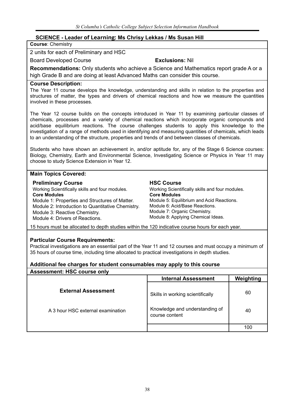# **SCIENCE - Leader of Learning: Ms Chrisy Lekkas / Ms Susan Hill**

### **Course**: Chemistry

2 units for each of Preliminary and HSC

Board Developed Course **Exclusions:** Nil

**Recommendations:** Only students who achieve a Science and Mathematics report grade A or a high Grade B and are doing at least Advanced Maths can consider this course.

#### **Course Description:**

The Year 11 course develops the knowledge, understanding and skills in relation to the properties and structures of matter, the types and drivers of chemical reactions and how we measure the quantities involved in these processes.

The Year 12 course builds on the concepts introduced in Year 11 by examining particular classes of chemicals, processes and a variety of chemical reactions which incorporate organic compounds and acid/base equilibrium reactions. The course challenges students to apply this knowledge to the investigation of a range of methods used in identifying and measuring quantities of chemicals, which leads to an understanding of the structure, properties and trends of and between classes of chemicals.

Students who have shown an achievement in, and/or aptitude for, any of the Stage 6 Science courses: Biology, Chemistry, Earth and Environmental Science, Investigating Science or Physics in Year 11 may choose to study Science Extension in Year 12.

## **Main Topics Covered:**

#### **Preliminary Course**

Working Scientifically skills and four modules. **Core Modules** Module 1: Properties and Structures of Matter. Module 2: Introduction to Quantitative Chemistry. Module 3: Reactive Chemistry. Module 4: Drivers of Reactions.

#### **HSC Course**

Working Scientifically skills and four modules. **Core Modules** Module 5: Equilibrium and Acid Reactions. Module 6: Acid/Base Reactions. Module 7: Organic Chemistry. Module 8: Applying Chemical Ideas.

15 hours must be allocated to depth studies within the 120 indicative course hours for each year.

#### **Particular Course Requirements:**

Practical investigations are an essential part of the Year 11 and 12 courses and must occupy a minimum of 35 hours of course time, including time allocated to practical investigations in depth studies.

| <b>Assessment: HSC course only</b> |                                                  |           |
|------------------------------------|--------------------------------------------------|-----------|
|                                    | <b>Internal Assessment</b>                       | Weighting |
| <b>External Assessment</b>         | Skills in working scientifically                 | 60        |
| A 3 hour HSC external examination  | Knowledge and understanding of<br>course content | 40        |
|                                    |                                                  | 100       |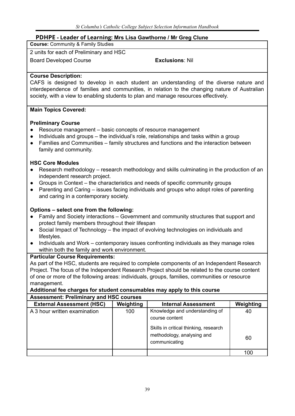# **PDHPE - Leader of Learning: Mrs Lisa Gawthorne / Mr Greg Clune**

**Course:** Community & Family Studies

2 units for each of Preliminary and HSC

Board Developed Course **Exclusions**: Nil

# **Course Description:**

CAFS is designed to develop in each student an understanding of the diverse nature and interdependence of families and communities, in relation to the changing nature of Australian society, with a view to enabling students to plan and manage resources effectively.

# **Main Topics Covered:**

# **Preliminary Course**

- Resource management basic concepts of resource management
- Individuals and groups the individual's role, relationships and tasks within a group
- Families and Communities family structures and functions and the interaction between family and community.

# **HSC Core Modules**

- Research methodology research methodology and skills culminating in the production of an independent research project.
- Groups in Context the characteristics and needs of specific community groups
- Parenting and Caring issues facing individuals and groups who adopt roles of parenting and caring in a contemporary society.

# **Options – select one from the following:**

- **●** Family and Society interactions Government and community structures that support and protect family members throughout their lifespan
- **●** Social Impact of Technology the impact of evolving technologies on individuals and lifestyles.
- **●** Individuals and Work contemporary issues confronting individuals as they manage roles within both the family and work environment.

# **Particular Course Requirements:**

As part of the HSC, students are required to complete components of an Independent Research Project. The focus of the Independent Research Project should be related to the course content of one or more of the following areas: individuals, groups, families, communities or resource management.

#### **Additional fee charges for student consumables may apply to this course Assessment: Preliminary and HSC courses**

| <b>External Assessment (HSC)</b> | Weighting | <b>Internal Assessment</b>                                                                | Weighting |
|----------------------------------|-----------|-------------------------------------------------------------------------------------------|-----------|
| A 3 hour written examination     | 100       | Knowledge and understanding of<br>course content<br>Skills in critical thinking, research | 40        |
|                                  |           | methodology, analysing and<br>communicating                                               | 60        |
|                                  |           |                                                                                           | 100       |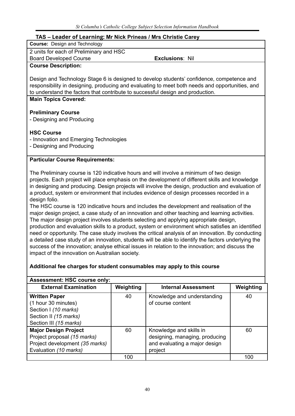# **TAS – Leader of Learning: Mr Nick Prineas / Mrs Christie Carey**

**Course:** Design and Technology

2 units for each of Preliminary and HSC

Board Developed Course **Exclusions**: Nil

# **Course Description:**

Design and Technology Stage 6 is designed to develop students' confidence, competence and responsibility in designing, producing and evaluating to meet both needs and opportunities, and to understand the factors that contribute to successful design and production.

## **Main Topics Covered:**

# **Preliminary Course**

- Designing and Producing

## **HSC Course**

- Innovation and Emerging Technologies

- Designing and Producing

# **Particular Course Requirements:**

The Preliminary course is 120 indicative hours and will involve a minimum of two design projects. Each project will place emphasis on the development of different skills and knowledge in designing and producing. Design projects will involve the design, production and evaluation of a product, system or environment that includes evidence of design processes recorded in a design folio.

The HSC course is 120 indicative hours and includes the development and realisation of the major design project, a case study of an innovation and other teaching and learning activities. The major design project involves students selecting and applying appropriate design, production and evaluation skills to a product, system or environment which satisfies an identified need or opportunity. The case study involves the critical analysis of an innovation. By conducting a detailed case study of an innovation, students will be able to identify the factors underlying the success of the innovation; analyse ethical issues in relation to the innovation; and discuss the impact of the innovation on Australian society.

| <b>Assessment: HSC course only:</b>                                                                                    |           |                                                                                                       |           |
|------------------------------------------------------------------------------------------------------------------------|-----------|-------------------------------------------------------------------------------------------------------|-----------|
| <b>External Examination</b>                                                                                            | Weighting | <b>Internal Assessment</b>                                                                            | Weighting |
| <b>Written Paper</b><br>(1 hour 30 minutes)<br>Section I (10 marks)<br>Section II (15 marks)<br>Section III (15 marks) | 40        | Knowledge and understanding<br>of course content                                                      | 40        |
| <b>Major Design Project</b><br>Project proposal (15 marks)<br>Project development (35 marks)<br>Evaluation (10 marks)  | 60        | Knowledge and skills in<br>designing, managing, producing<br>and evaluating a major design<br>project | 60        |
|                                                                                                                        | 100       |                                                                                                       | 100       |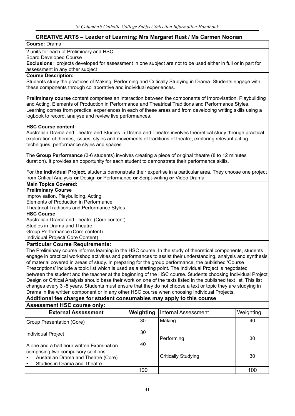# **CREATIVE ARTS – Leader of Learning: Mrs Margaret Rust / Ms Carmen Noonan**

#### **Course:** Drama

#### 2 units for each of Preliminary and HSC

Board Developed Course

**Exclusions**: projects developed for assessment in one subject are not to be used either in full or in part for assessment in any other subject

#### **Course Description:**

Students study the practices of Making, Performing and Critically Studying in Drama. Students engage with these components through collaborative and individual experiences.

**Preliminary course** content comprises an interaction between the components of Improvisation, Playbuilding and Acting, Elements of Production in Performance and Theatrical Traditions and Performance Styles. Learning comes from practical experiences in each of these areas and from developing writing skills using a logbook to record, analyse and review live performances.

#### **HSC Course content**

Australian Drama and Theatre and Studies in Drama and Theatre involves theoretical study through practical exploration of themes, issues, styles and movements of traditions of theatre, exploring relevant acting techniques, performance styles and spaces.

The **Group Performance** (3-6 students) involves creating a piece of original theatre (8 to 12 minutes duration). It provides an opportunity for each student to demonstrate their performance skills.

For t**he Individual Project,** students demonstrate their expertise in a particular area. They choose one project from Critical Analysis **or** Design **or** Performance **or** Script-writing **or** Video Drama.

#### **Main Topics Covered:**

#### **Preliminary Course**

Improvisation, Playbuilding, Acting

Elements of Production in Performance Theatrical Traditions and Performance Styles

**HSC Course**

Australian Drama and Theatre (Core content)

Studies in Drama and Theatre

Group Performance (Core content)

Individual Project( Core Content)

#### **Particular Course Requirements:**

The Preliminary course informs learning in the HSC course. In the study of theoretical components, students engage in practical workshop activities and performances to assist their understanding, analysis and synthesis of material covered in areas of study. In preparing for the group performance, the published 'Course Prescriptions' include a topic list which is used as a starting point. The Individual Project is negotiated between the student and the teacher at the beginning of the HSC course. Students choosing Individual Project Design or Critical Analysis should base their work on one of the texts listed in the published text list. This list changes every 3 -5 years. Students must ensure that they do not choose a text or topic they are studying in Drama in the written component or in any other HSC course when choosing Individual Projects.

| <b>Assessment HSC course only:</b>                                                                                                                                |           |                            |           |  |
|-------------------------------------------------------------------------------------------------------------------------------------------------------------------|-----------|----------------------------|-----------|--|
| <b>External Assessment</b>                                                                                                                                        | Weighting | <b>Internal Assessment</b> | Weighting |  |
| Group Presentation (Core)                                                                                                                                         | 30        | Making                     | 40        |  |
| Individual Project                                                                                                                                                | 30        | Performing                 | 30        |  |
| I A one and a half hour written Examination.<br>comprising two compulsory sections:<br>Australian Drama and Theatre (Core)<br>Studies in Drama and Theatre<br>∣ ∙ | 40        | <b>Critically Studying</b> | 30        |  |
|                                                                                                                                                                   | 100       |                            | 100       |  |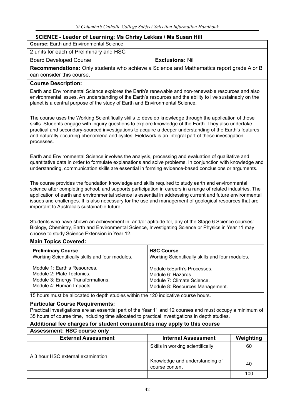# **SCIENCE - Leader of Learning: Ms Chrisy Lekkas / Ms Susan Hill**

**Course**: Earth and Environmental Science

2 units for each of Preliminary and HSC

Board Developed Course **Exclusions:** Nil

**Recommendations:** Only students who achieve a Science and Mathematics report grade A or B can consider this course.

#### **Course Description:**

Earth and Environmental Science explores the Earth's renewable and non-renewable resources and also environmental issues. An understanding of the Earth's resources and the ability to live sustainably on the planet is a central purpose of the study of Earth and Environmental Science.

The course uses the Working Scientifically skills to develop knowledge through the application of those skills. Students engage with inquiry questions to explore knowledge of the Earth. They also undertake practical and secondary-sourced investigations to acquire a deeper understanding of the Earth's features and naturally occurring phenomena and cycles. Fieldwork is an integral part of these investigation processes.

Earth and Environmental Science involves the analysis, processing and evaluation of qualitative and quantitative data in order to formulate explanations and solve problems. In conjunction with knowledge and understanding, communication skills are essential in forming evidence-based conclusions or arguments.

The course provides the foundation knowledge and skills required to study earth and environmental science after completing school, and supports participation in careers in a range of related industries. The application of earth and environmental science is essential in addressing current and future environmental issues and challenges. It is also necessary for the use and management of geological resources that are important to Australia's sustainable future.

Students who have shown an achievement in, and/or aptitude for, any of the Stage 6 Science courses: Biology, Chemistry, Earth and Environmental Science, Investigating Science or Physics in Year 11 may choose to study Science Extension in Year 12.

# **Main Topics Covered:**

| <b>Preliminary Course</b>                       | <b>HSC Course</b>                               |  |  |
|-------------------------------------------------|-------------------------------------------------|--|--|
| Working Scientifically skills and four modules. | Working Scientifically skills and four modules. |  |  |
| Module 1: Earth's Resources.                    | Module 5:Earth's Processes.                     |  |  |
| Module 2: Plate Tectonics.                      | Module 6: Hazards.                              |  |  |
| Module 3: Energy Transformations.               | Module 7: Climate Science.                      |  |  |
| Module 4: Human Impacts.                        | Module 8: Resources Management.                 |  |  |

15 hours must be allocated to depth studies within the 120 indicative course hours.

#### **Particular Course Requirements:**

Practical investigations are an essential part of the Year 11 and 12 courses and must occupy a minimum of 35 hours of course time, including time allocated to practical investigations in depth studies.

| <b>Assessment: HSC course only</b> |                                                  |           |
|------------------------------------|--------------------------------------------------|-----------|
| <b>External Assessment</b>         | <b>Internal Assessment</b>                       | Weighting |
|                                    | Skills in working scientifically                 | 60        |
| A 3 hour HSC external examination  | Knowledge and understanding of<br>course content | 40        |
|                                    |                                                  | 100       |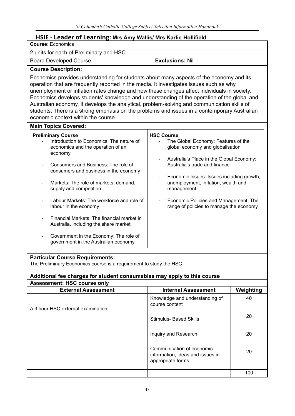# **HSIE - Leader of Learning: Mrs Amy Wallis/ Mrs Karlie Hollifield**

| <b>Course: Economics</b>                                                                                                                                                                                                                                                                                                                                                                                                                                                                                                                                                                                               |                                                                                                                                                                                                                                                                                                                                                                 |  |  |
|------------------------------------------------------------------------------------------------------------------------------------------------------------------------------------------------------------------------------------------------------------------------------------------------------------------------------------------------------------------------------------------------------------------------------------------------------------------------------------------------------------------------------------------------------------------------------------------------------------------------|-----------------------------------------------------------------------------------------------------------------------------------------------------------------------------------------------------------------------------------------------------------------------------------------------------------------------------------------------------------------|--|--|
| 2 units for each of Preliminary and HSC                                                                                                                                                                                                                                                                                                                                                                                                                                                                                                                                                                                |                                                                                                                                                                                                                                                                                                                                                                 |  |  |
| <b>Board Developed Course</b>                                                                                                                                                                                                                                                                                                                                                                                                                                                                                                                                                                                          | <b>Exclusions: Nil</b>                                                                                                                                                                                                                                                                                                                                          |  |  |
| <b>Course Description:</b>                                                                                                                                                                                                                                                                                                                                                                                                                                                                                                                                                                                             |                                                                                                                                                                                                                                                                                                                                                                 |  |  |
| Economics provides understanding for students about many aspects of the economy and its<br>operation that are frequently reported in the media. It investigates issues such as why<br>unemployment or inflation rates change and how these changes affect individuals in society.<br>Economics develops students' knowledge and understanding of the operation of the global and<br>Australian economy. It develops the analytical, problem-solving and communication skills of<br>students. There is a strong emphasis on the problems and issues in a contemporary Australian<br>economic context within the course. |                                                                                                                                                                                                                                                                                                                                                                 |  |  |
| <b>Main Topics Covered:</b>                                                                                                                                                                                                                                                                                                                                                                                                                                                                                                                                                                                            |                                                                                                                                                                                                                                                                                                                                                                 |  |  |
| <b>Preliminary Course</b><br>Introduction to Economics: The nature of<br>economics and the operation of an<br>economy<br>Consumers and Business: The role of<br>consumers and business in the economy<br>Markets: The role of markets, demand,<br>supply and competition<br>Labour Markets: The workforce and role of<br>labour in the economy<br>Financial Markets: The financial market in<br>Australia, including the share market<br>Government in the Economy: The role of<br>government in the Australian economy                                                                                                | <b>HSC Course</b><br>The Global Economy: Features of the<br>global economy and globalisation<br>Australia's Place in the Global Economy:<br>Australia's trade and finance<br>Economic Issues: Issues including growth,<br>unemployment, inflation, wealth and<br>management<br>Economic Policies and Management: The<br>range of policies to manage the economy |  |  |

# **Particular Course Requirements:**

The Preliminary Economics course is a requirement to study the HSC

| <b>Assessment: HSC course only</b> |                                                                                    |           |  |
|------------------------------------|------------------------------------------------------------------------------------|-----------|--|
| <b>External Assessment</b>         | <b>Internal Assessment</b>                                                         | Weighting |  |
| A 3 hour HSC external examination  | Knowledge and understanding of<br>course content                                   | 40        |  |
|                                    | <b>Stimulus- Based Skills</b>                                                      | 20        |  |
|                                    | Inquiry and Research                                                               | 20        |  |
|                                    | Communication of economic<br>information, ideas and issues in<br>appropriate forms | 20        |  |
|                                    |                                                                                    | 100       |  |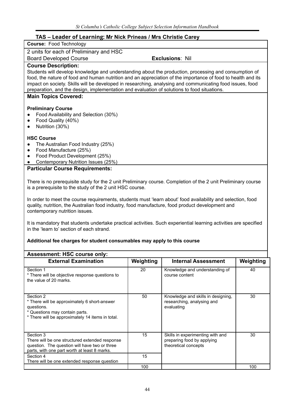# **TAS – Leader of Learning: Mr Nick Prineas / Mrs Christie Carey**

**Course:** Food Technology

2 units for each of Preliminary and HSC

Board Developed Course **Exclusions**: Nil

#### **Course Description:**

Students will develop knowledge and understanding about the production, processing and consumption of food, the nature of food and human nutrition and an appreciation of the importance of food to health and its impact on society. Skills will be developed in researching, analysing and communicating food issues, food preparation, and the design, implementation and evaluation of solutions to food situations.

#### **Main Topics Covered:**

### **Preliminary Course**

- Food Availability and Selection (30%)
- Food Quality (40%)
- Nutrition (30%)

#### **HSC Course**

- The Australian Food Industry (25%)
- Food Manufacture (25%)
- Food Product Development (25%)
- Contemporary Nutrition Issues (25%)

#### **Particular Course Requirements:**

There is no prerequisite study for the 2 unit Preliminary course. Completion of the 2 unit Preliminary course is a prerequisite to the study of the 2 unit HSC course.

In order to meet the course requirements, students must 'learn about' food availability and selection, food quality, nutrition, the Australian food industry, food manufacture, food product development and contemporary nutrition issues.

It is mandatory that students undertake practical activities. Such experiential learning activities are specified in the 'learn to' section of each strand.

| <b>Assessment: HSC course only:</b>                                                                                                                           |           |                                                                                        |           |
|---------------------------------------------------------------------------------------------------------------------------------------------------------------|-----------|----------------------------------------------------------------------------------------|-----------|
| <b>External Examination</b>                                                                                                                                   | Weighting | <b>Internal Assessment</b>                                                             | Weighting |
| Section 1<br>* There will be objective response questions to<br>the value of 20 marks.                                                                        | 20        | Knowledge and understanding of<br>course content                                       | 40        |
| Section 2<br>* There will be approximately 6 short-answer<br>questions.<br>* Questions may contain parts.<br>* There will be approximately 14 items in total. | 50        | Knowledge and skills in designing,<br>researching, analysing and<br>evaluating         | 30        |
| Section 3<br>There will be one structured extended response<br>question. The question will have two or three<br>parts, with one part worth at least 8 marks.  | 15        | Skills in experimenting with and<br>preparing food by applying<br>theoretical concepts | 30        |
| Section 4<br>There will be one extended response question                                                                                                     | 15        |                                                                                        |           |
|                                                                                                                                                               | 100       |                                                                                        | 100       |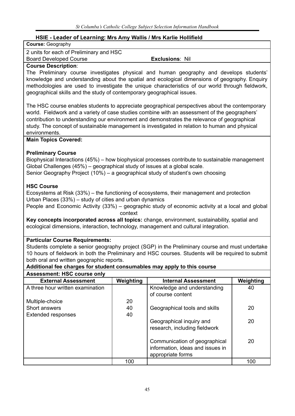# **HSIE - Leader of Learning: Mrs Amy Wallis / Mrs Karlie Hollifield**

| HSIE - Leader of Learning: Mrs Amy Wallis / Mrs Karlie Hollifield                                |           |                                                                                                    |           |  |
|--------------------------------------------------------------------------------------------------|-----------|----------------------------------------------------------------------------------------------------|-----------|--|
| <b>Course: Geography</b>                                                                         |           |                                                                                                    |           |  |
| 2 units for each of Preliminary and HSC                                                          |           |                                                                                                    |           |  |
| <b>Board Developed Course</b>                                                                    |           | <b>Exclusions: Nil</b>                                                                             |           |  |
| <b>Course Description:</b>                                                                       |           |                                                                                                    |           |  |
| The Preliminary course investigates physical and human geography and develops students'          |           |                                                                                                    |           |  |
| knowledge and understanding about the spatial and ecological dimensions of geography. Enquiry    |           |                                                                                                    |           |  |
| methodologies are used to investigate the unique characteristics of our world through fieldwork, |           |                                                                                                    |           |  |
| geographical skills and the study of contemporary geographical issues.                           |           |                                                                                                    |           |  |
| The HSC course enables students to appreciate geographical perspectives about the contemporary   |           |                                                                                                    |           |  |
| world. Fieldwork and a variety of case studies combine with an assessment of the geographers'    |           |                                                                                                    |           |  |
| contribution to understanding our environment and demonstrates the relevance of geographical     |           |                                                                                                    |           |  |
| study. The concept of sustainable management is investigated in relation to human and physical   |           |                                                                                                    |           |  |
| environments.                                                                                    |           |                                                                                                    |           |  |
| <b>Main Topics Covered:</b>                                                                      |           |                                                                                                    |           |  |
| <b>Preliminary Course</b>                                                                        |           |                                                                                                    |           |  |
| Biophysical Interactions (45%) – how biophysical processes contribute to sustainable management  |           |                                                                                                    |           |  |
| Global Challenges (45%) – geographical study of issues at a global scale.                        |           |                                                                                                    |           |  |
| Senior Geography Project (10%) - a geographical study of student's own choosing                  |           |                                                                                                    |           |  |
| <b>HSC Course</b>                                                                                |           |                                                                                                    |           |  |
| Ecosystems at Risk (33%) – the functioning of ecosystems, their management and protection        |           |                                                                                                    |           |  |
| Urban Places (33%) – study of cities and urban dynamics                                          |           |                                                                                                    |           |  |
| People and Economic Activity (33%) – geographic study of economic activity at a local and global |           |                                                                                                    |           |  |
|                                                                                                  | context   |                                                                                                    |           |  |
| Key concepts incorporated across all topics: change, environment, sustainability, spatial and    |           |                                                                                                    |           |  |
| ecological dimensions, interaction, technology, management and cultural integration.             |           |                                                                                                    |           |  |
| <b>Particular Course Requirements:</b>                                                           |           |                                                                                                    |           |  |
| Students complete a senior geography project (SGP) in the Preliminary course and must undertake  |           |                                                                                                    |           |  |
|                                                                                                  |           | 10 hours of fieldwork in both the Preliminary and HSC courses. Students will be required to submit |           |  |
| both oral and written geographic reports.                                                        |           |                                                                                                    |           |  |
| Additional fee charges for student consumables may apply to this course                          |           |                                                                                                    |           |  |
| <b>Assessment: HSC course only</b>                                                               |           |                                                                                                    |           |  |
| <b>External Assessment</b>                                                                       | Weighting | <b>Internal Assessment</b>                                                                         | Weighting |  |
| A three hour written examination                                                                 |           | Knowledge and understanding                                                                        | 40        |  |
|                                                                                                  |           | of course content                                                                                  |           |  |
| Multiple-choice                                                                                  | 20        |                                                                                                    |           |  |
| Short answers                                                                                    | 40        | Geographical tools and skills                                                                      | 20        |  |
| <b>Extended responses</b>                                                                        | 40        |                                                                                                    |           |  |
|                                                                                                  |           | Geographical inquiry and                                                                           | 20        |  |
|                                                                                                  |           | research, including fieldwork                                                                      |           |  |
|                                                                                                  |           | Communication of geographical                                                                      | 20        |  |
|                                                                                                  |           | information, ideas and issues in                                                                   |           |  |
|                                                                                                  |           | appropriate forms                                                                                  |           |  |
|                                                                                                  | 100       |                                                                                                    | 100       |  |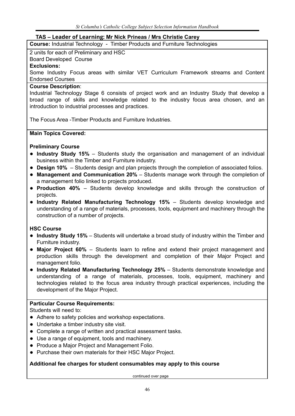# **TAS – Leader of Learning: Mr Nick Prineas / Mrs Christie Carey**

**Course:** Industrial Technology - Timber Products and Furniture Technologies

#### 2 units for each of Preliminary and HSC

Board Developed Course

# **Exclusions:**

Some Industry Focus areas with similar VET Curriculum Framework streams and Content Endorsed Courses

### **Course Description**:

Industrial Technology Stage 6 consists of project work and an Industry Study that develop a broad range of skills and knowledge related to the industry focus area chosen, and an introduction to industrial processes and practices.

The Focus Area -Timber Products and Furniture Industries.

# **Main Topics Covered:**

# **Preliminary Course**

- **Industry Study 15%** Students study the organisation and management of an individual business within the Timber and Furniture industry.
- **Design 10%** Students design and plan projects through the completion of associated folios.
- **Management and Communication 20%** Students manage work through the completion of a management folio linked to projects produced.
- **Production 40%** Students develop knowledge and skills through the construction of projects.
- **Industry Related Manufacturing Technology 15%** Students develop knowledge and understanding of a range of materials, processes, tools, equipment and machinery through the construction of a number of projects.

# **HSC Course**

- **Industry Study 15%** Students will undertake a broad study of industry within the Timber and Furniture industry.
- **Major Project 60%** Students learn to refine and extend their project management and production skills through the development and completion of their Major Project and management folio.
- **Industry Related Manufacturing Technology 25%** Students demonstrate knowledge and understanding of a range of materials, processes, tools, equipment, machinery and technologies related to the focus area industry through practical experiences, including the development of the Major Project.

# **Particular Course Requirements:**

Students will need to:

- Adhere to safety policies and workshop expectations.
- Undertake a timber industry site visit.
- Complete a range of written and practical assessment tasks.
- Use a range of equipment, tools and machinery.
- Produce a Major Project and Management Folio.
- Purchase their own materials for their HSC Major Project.

# **Additional fee charges for student consumables may apply to this course**

continued over page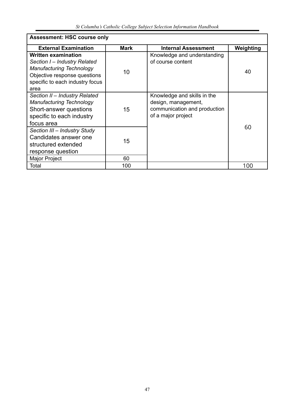*St Columba's Catholic College Subject Selection Information Handbook*

| <b>Assessment: HSC course only</b>                                                                                                                                       |             |                                                                                                          |           |  |  |
|--------------------------------------------------------------------------------------------------------------------------------------------------------------------------|-------------|----------------------------------------------------------------------------------------------------------|-----------|--|--|
| <b>External Examination</b>                                                                                                                                              | <b>Mark</b> | <b>Internal Assessment</b>                                                                               | Weighting |  |  |
| <b>Written examination</b><br>Section I – Industry Related<br><b>Manufacturing Technology</b><br>Objective response questions<br>specific to each industry focus<br>area | 10          | Knowledge and understanding<br>of course content                                                         | 40        |  |  |
| Section II - Industry Related<br><b>Manufacturing Technology</b><br>Short-answer questions<br>specific to each industry<br>focus area                                    | 15          | Knowledge and skills in the<br>design, management,<br>communication and production<br>of a major project |           |  |  |
| Section III – Industry Study<br>Candidates answer one<br>structured extended<br>response question                                                                        | 15          |                                                                                                          | 60        |  |  |
| Major Project                                                                                                                                                            | 60          |                                                                                                          |           |  |  |
| Total                                                                                                                                                                    | 100         |                                                                                                          | 100       |  |  |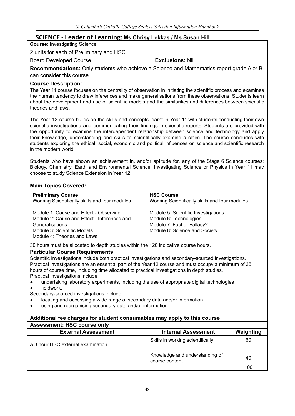# **SCIENCE - Leader of Learning: Ms Chrisy Lekkas / Ms Susan Hill**

**Course**: Investigating Science

2 units for each of Preliminary and HSC

Board Developed Course **Exclusions:** Nil

**Recommendations:** Only students who achieve a Science and Mathematics report grade A or B can consider this course.

#### **Course Description:**

The Year 11 course focuses on the centrality of observation in initiating the scientific process and examines the human tendency to draw inferences and make generalisations from these observations. Students learn about the development and use of scientific models and the similarities and differences between scientific theories and laws.

The Year 12 course builds on the skills and concepts learnt in Year 11 with students conducting their own scientific investigations and communicating their findings in scientific reports. Students are provided with the opportunity to examine the interdependent relationship between science and technology and apply their knowledge, understanding and skills to scientifically examine a claim. The course concludes with students exploring the ethical, social, economic and political influences on science and scientific research in the modern world.

Students who have shown an achievement in, and/or aptitude for, any of the Stage 6 Science courses: Biology, Chemistry, Earth and Environmental Science, Investigating Science or Physics in Year 11 may choose to study Science Extension in Year 12.

| <b>Main Topics Covered:</b>                                                                                                                                            |                                                                                                                              |
|------------------------------------------------------------------------------------------------------------------------------------------------------------------------|------------------------------------------------------------------------------------------------------------------------------|
| <b>Preliminary Course</b><br>Working Scientifically skills and four modules.                                                                                           | <b>HSC Course</b><br>Working Scientifically skills and four modules.                                                         |
| Module 1: Cause and Effect - Observing<br>Module 2: Cause and Effect - Inferences and<br>Generalisations<br>Module 3: Scientific Models<br>Module 4: Theories and Laws | Module 5: Scientific Investigations<br>Module 6: Technologies<br>Module 7: Fact or Fallacy?<br>Module 8: Science and Society |

30 hours must be allocated to depth studies within the 120 indicative course hours.

#### **Particular Course Requirements:**

Scientific investigations include both practical investigations and secondary-sourced investigations. Practical investigations are an essential part of the Year 12 course and must occupy a minimum of 35 hours of course time, including time allocated to practical investigations in depth studies. Practical investigations include:

- undertaking laboratory experiments, including the use of appropriate digital technologies
- fieldwork.
- Secondary-sourced investigations include:
- locating and accessing a wide range of secondary data and/or information
- using and reorganising secondary data and/or information.

| <b>Assessment: HSC course only</b> |                                                  |           |
|------------------------------------|--------------------------------------------------|-----------|
| <b>External Assessment</b>         | <b>Internal Assessment</b>                       | Weighting |
| A 3 hour HSC external examination  | Skills in working scientifically                 | 60        |
|                                    | Knowledge and understanding of<br>course content | 40        |
|                                    |                                                  | 100       |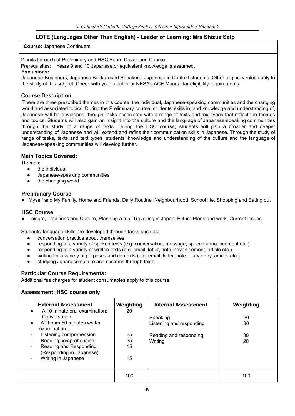# **LOTE (Languages Other Than English) - Leader of Learning: Mrs Shizue Sato**

#### **Course:** Japanese Continuers

2 units for each of Preliminary and HSC Board Developed Course

Prerequisites: Years 9 and 10 Japanese or equivalent knowledge is assumed.

#### **Exclusions:**

Japanese Beginners; Japanese Background Speakers, Japanese in Context students. Other eligibility rules apply to the study of this subject. Check with your teacher or NESA's ACE Manual for eligibility requirements.

#### **Course Description:**

There are three prescribed themes in this course: the individual, Japanese-speaking communities and the changing world and associated topics. During the Preliminary course, students' skills in, and knowledge and understanding of, Japanese will be developed through tasks associated with a range of texts and text types that reflect the themes and topics. Students will also gain an insight into the culture and the language of Japanese-speaking communities through the study of a range of texts. During the HSC course, students will gain a broader and deeper understanding of Japanese and will extend and refine their communication skills in Japanese. Through the study of range of tasks, texts and text types, students' knowledge and understanding of the culture and the language of Japanese-speaking communities will develop further.

# **Main Topics Covered:**

Themes:

- the individual
- Japanese-speaking communities
- the changing world

## **Preliminary Course**

● Myself and My Family, Home and Friends, Daily Routine, Neighbourhood, School life, Shopping and Eating out

# **HSC Course**

● Leisure, Traditions and Culture, Planning a trip, Travelling in Japan, Future Plans and work, Current Issues

Students' language skills are developed through tasks such as:

- conversation practice about themselves
- responding to a variety of spoken texts (e.g. conversation, message, speech,announcement etc.)
- responding to a variety of written texts (e.g. email, letter, note, advertisement, article etc.)
- writing for a variety of purposes and contexts (e.g. email, letter, note, diary entry, article, etc.)
- studying Japanese culture and customs through texts

#### **Particular Course Requirements:**

Additional fee charges for student consumables apply to this course

# **Assessment: HSC course only**

| <b>External Assessment</b><br>A 10 minute oral examination:<br>Conversation<br>A 2hours 50 minutes written<br>examination:<br>Listening comprehension<br>Reading comprehension<br>Reading and Responding<br>(Responding in Japanese) | Weighting<br>20<br>25<br>25<br>15 | <b>Internal Assessment</b><br>Speaking<br>Listening and responding<br>Reading and responding<br>Writing | Weighting<br>20<br>30<br>30<br>20 |
|--------------------------------------------------------------------------------------------------------------------------------------------------------------------------------------------------------------------------------------|-----------------------------------|---------------------------------------------------------------------------------------------------------|-----------------------------------|
| Writing in Japanese                                                                                                                                                                                                                  | 15                                |                                                                                                         |                                   |
|                                                                                                                                                                                                                                      | 100                               |                                                                                                         | 100                               |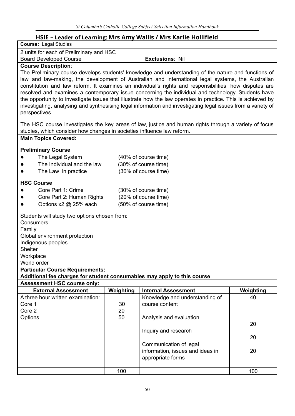# **HSIE – Leader of Learning: Mrs Amy Wallis / Mrs Karlie Hollifield**

| <b>Course: Legal Studies</b>                                            |                      | Half - Leager of Learning: Mrs Affly Wallis / Mrs Karlie Hollitield                                          |           |  |  |  |
|-------------------------------------------------------------------------|----------------------|--------------------------------------------------------------------------------------------------------------|-----------|--|--|--|
|                                                                         |                      |                                                                                                              |           |  |  |  |
| 2 units for each of Preliminary and HSC                                 |                      |                                                                                                              |           |  |  |  |
| <b>Board Developed Course</b>                                           |                      | <b>Exclusions: Nil</b>                                                                                       |           |  |  |  |
| <b>Course Description:</b>                                              |                      |                                                                                                              |           |  |  |  |
|                                                                         |                      | The Preliminary course develops students' knowledge and understanding of the nature and functions of         |           |  |  |  |
|                                                                         |                      | law and law-making, the development of Australian and international legal systems, the Australian            |           |  |  |  |
|                                                                         |                      | constitution and law reform. It examines an individual's rights and responsibilities, how disputes are       |           |  |  |  |
|                                                                         |                      | resolved and examines a contemporary issue concerning the individual and technology. Students have           |           |  |  |  |
|                                                                         |                      | the opportunity to investigate issues that illustrate how the law operates in practice. This is achieved by  |           |  |  |  |
|                                                                         |                      | investigating, analysing and synthesising legal information and investigating legal issues from a variety of |           |  |  |  |
| perspectives.                                                           |                      |                                                                                                              |           |  |  |  |
|                                                                         |                      | The HSC course investigates the key areas of law, justice and human rights through a variety of focus        |           |  |  |  |
| studies, which consider how changes in societies influence law reform.  |                      |                                                                                                              |           |  |  |  |
| <b>Main Topics Covered:</b>                                             |                      |                                                                                                              |           |  |  |  |
|                                                                         |                      |                                                                                                              |           |  |  |  |
| <b>Preliminary Course</b>                                               |                      |                                                                                                              |           |  |  |  |
| The Legal System                                                        |                      | (40% of course time)                                                                                         |           |  |  |  |
| The Individual and the law                                              |                      | (30% of course time)                                                                                         |           |  |  |  |
| The Law in practice                                                     |                      | (30% of course time)                                                                                         |           |  |  |  |
| <b>HSC Course</b>                                                       |                      |                                                                                                              |           |  |  |  |
| Core Part 1: Crime<br>$\bullet$                                         |                      | (30% of course time)                                                                                         |           |  |  |  |
| Core Part 2: Human Rights<br>$\bullet$                                  | (20% of course time) |                                                                                                              |           |  |  |  |
| Options x2 @ 25% each                                                   |                      | (50% of course time)                                                                                         |           |  |  |  |
|                                                                         |                      |                                                                                                              |           |  |  |  |
| Students will study two options chosen from:                            |                      |                                                                                                              |           |  |  |  |
| Consumers                                                               |                      |                                                                                                              |           |  |  |  |
| Family                                                                  |                      |                                                                                                              |           |  |  |  |
| Global environment protection                                           |                      |                                                                                                              |           |  |  |  |
| Indigenous peoples<br><b>Shelter</b>                                    |                      |                                                                                                              |           |  |  |  |
| Workplace                                                               |                      |                                                                                                              |           |  |  |  |
| World order                                                             |                      |                                                                                                              |           |  |  |  |
| <b>Particular Course Requirements:</b>                                  |                      |                                                                                                              |           |  |  |  |
| Additional fee charges for student consumables may apply to this course |                      |                                                                                                              |           |  |  |  |
| <b>Assessment HSC course only:</b>                                      |                      |                                                                                                              |           |  |  |  |
| <b>External Assessment</b>                                              | Weighting            | <b>Internal Assessment</b>                                                                                   | Weighting |  |  |  |
| A three hour written examination:                                       |                      | Knowledge and understanding of                                                                               | 40        |  |  |  |
| Core 1                                                                  | 30                   | course content                                                                                               |           |  |  |  |
| Core 2                                                                  | 20                   |                                                                                                              |           |  |  |  |
| Options                                                                 | 50                   | Analysis and evaluation                                                                                      |           |  |  |  |
|                                                                         |                      |                                                                                                              | 20        |  |  |  |
|                                                                         |                      | Inquiry and research                                                                                         |           |  |  |  |
|                                                                         |                      |                                                                                                              | 20        |  |  |  |
|                                                                         |                      | Communication of legal                                                                                       |           |  |  |  |
|                                                                         |                      | information, issues and ideas in                                                                             | 20        |  |  |  |
|                                                                         |                      | appropriate forms                                                                                            |           |  |  |  |
|                                                                         |                      |                                                                                                              |           |  |  |  |
|                                                                         | 100                  |                                                                                                              | 100       |  |  |  |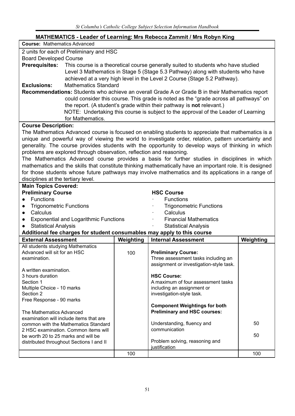| MATHEMATICS - Leader of Learning: Mrs Rebecca Zammit / Mrs Robyn King   |                                     |                                                                                                           |           |  |  |  |  |
|-------------------------------------------------------------------------|-------------------------------------|-----------------------------------------------------------------------------------------------------------|-----------|--|--|--|--|
| <b>Course: Mathematics Advanced</b>                                     |                                     |                                                                                                           |           |  |  |  |  |
| 2 units for each of Preliminary and HSC                                 |                                     |                                                                                                           |           |  |  |  |  |
| <b>Board Developed Course</b>                                           |                                     |                                                                                                           |           |  |  |  |  |
| <b>Prerequisites:</b>                                                   |                                     | This course is a theoretical course generally suited to students who have studied                         |           |  |  |  |  |
|                                                                         |                                     | Level 3 Mathematics in Stage 5 (Stage 5.3 Pathway) along with students who have                           |           |  |  |  |  |
|                                                                         |                                     | achieved at a very high level in the Level 2 Course (Stage 5.2 Pathway).                                  |           |  |  |  |  |
| <b>Mathematics Standard</b><br><b>Exclusions:</b>                       |                                     |                                                                                                           |           |  |  |  |  |
|                                                                         |                                     | <b>Recommendations:</b> Students who achieve an overall Grade A or Grade B in their Mathematics report    |           |  |  |  |  |
|                                                                         |                                     | could consider this course. This grade is noted as the "grade across all pathways" on                     |           |  |  |  |  |
|                                                                         |                                     | the report. (A student's grade within their pathway is not relevant.)                                     |           |  |  |  |  |
|                                                                         |                                     | NOTE: Undertaking this course is subject to the approval of the Leader of Learning                        |           |  |  |  |  |
| for Mathematics.                                                        |                                     |                                                                                                           |           |  |  |  |  |
| <b>Course Description:</b>                                              |                                     |                                                                                                           |           |  |  |  |  |
|                                                                         |                                     | The Mathematics Advanced course is focused on enabling students to appreciate that mathematics is a       |           |  |  |  |  |
|                                                                         |                                     | unique and powerful way of viewing the world to investigate order, relation, pattern uncertainty and      |           |  |  |  |  |
|                                                                         |                                     | generality. The course provides students with the opportunity to develop ways of thinking in which        |           |  |  |  |  |
| problems are explored through observation, reflection and reasoning.    |                                     |                                                                                                           |           |  |  |  |  |
|                                                                         |                                     | The Mathematics Advanced course provides a basis for further studies in disciplines in which              |           |  |  |  |  |
|                                                                         |                                     | mathematics and the skills that constitute thinking mathematically have an important role. It is designed |           |  |  |  |  |
|                                                                         |                                     | for those students whose future pathways may involve mathematics and its applications in a range of       |           |  |  |  |  |
| disciplines at the tertiary level.                                      |                                     |                                                                                                           |           |  |  |  |  |
| <b>Main Topics Covered:</b>                                             |                                     |                                                                                                           |           |  |  |  |  |
| <b>Preliminary Course</b>                                               |                                     | <b>HSC Course</b>                                                                                         |           |  |  |  |  |
| <b>Functions</b>                                                        |                                     | <b>Functions</b>                                                                                          |           |  |  |  |  |
| <b>Trigonometric Functions</b>                                          |                                     | <b>Trigonometric Functions</b>                                                                            |           |  |  |  |  |
| Calculus<br>$\bullet$                                                   |                                     | Calculus                                                                                                  |           |  |  |  |  |
| <b>Exponential and Logarithmic Functions</b><br>$\bullet$               |                                     | <b>Financial Mathematics</b>                                                                              |           |  |  |  |  |
| <b>Statistical Analysis</b>                                             |                                     | <b>Statistical Analysis</b>                                                                               |           |  |  |  |  |
| Additional fee charges for student consumables may apply to this course |                                     |                                                                                                           |           |  |  |  |  |
| <b>External Assessment</b>                                              | Weighting                           | <b>Internal Assessment</b>                                                                                | Weighting |  |  |  |  |
| All students studying Mathematics<br>Advanced will sit for an HSC       |                                     | <b>Preliminary Course:</b>                                                                                |           |  |  |  |  |
| examination.                                                            | 100                                 | Three assessment tasks including an                                                                       |           |  |  |  |  |
|                                                                         |                                     | assignment or investigation-style task.                                                                   |           |  |  |  |  |
| A written examination.                                                  |                                     |                                                                                                           |           |  |  |  |  |
| 3 hours duration                                                        |                                     | <b>HSC Course:</b>                                                                                        |           |  |  |  |  |
| Section 1                                                               |                                     | A maximum of four assessment tasks                                                                        |           |  |  |  |  |
| Multiple Choice - 10 marks                                              |                                     | including an assignment or                                                                                |           |  |  |  |  |
| Section 2<br>Free Response - 90 marks                                   |                                     | investigation-style task.                                                                                 |           |  |  |  |  |
|                                                                         |                                     | <b>Component Weightings for both</b>                                                                      |           |  |  |  |  |
| The Mathematics Advanced                                                | <b>Preliminary and HSC courses:</b> |                                                                                                           |           |  |  |  |  |
| examination will include items that are                                 |                                     |                                                                                                           |           |  |  |  |  |
| common with the Mathematics Standard                                    |                                     | Understanding, fluency and                                                                                | 50        |  |  |  |  |
| 2 HSC examination. Common items will                                    |                                     | communication                                                                                             |           |  |  |  |  |
| be worth 20 to 25 marks and will be                                     |                                     |                                                                                                           | 50        |  |  |  |  |
| distributed throughout Sections I and II                                |                                     | Problem solving, reasoning and<br>justification                                                           |           |  |  |  |  |
|                                                                         | 100                                 |                                                                                                           | 100       |  |  |  |  |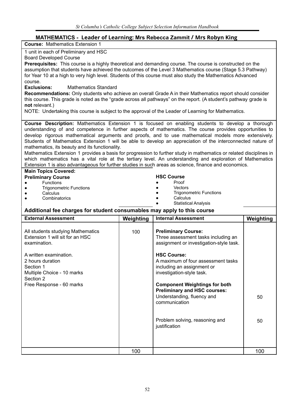# **MATHEMATICS - Leader of Learning: Mrs Rebecca Zammit / Mrs Robyn King**

| -ייירדיסט - בכממכר טרבכמה וווואָ, ווווט ולטטכטטע במחווחות רווווט ולטטיורדיום<br><b>Course: Mathematics Extension 1</b>                                                                                       |           |                                             |           |  |  |  |
|--------------------------------------------------------------------------------------------------------------------------------------------------------------------------------------------------------------|-----------|---------------------------------------------|-----------|--|--|--|
| 1 unit in each of Preliminary and HSC                                                                                                                                                                        |           |                                             |           |  |  |  |
| <b>Board Developed Course</b>                                                                                                                                                                                |           |                                             |           |  |  |  |
| Prerequisites: This course is a highly theoretical and demanding course. The course is constructed on the                                                                                                    |           |                                             |           |  |  |  |
| assumption that students have achieved the outcomes of the Level 3 Mathematics course (Stage 5.3 Pathway)                                                                                                    |           |                                             |           |  |  |  |
| for Year 10 at a high to very high level. Students of this course must also study the Mathematics Advanced<br>course.                                                                                        |           |                                             |           |  |  |  |
| <b>Mathematics Standard</b><br><b>Exclusions:</b>                                                                                                                                                            |           |                                             |           |  |  |  |
| Recommendations: Only students who achieve an overall Grade A in their Mathematics report should consider                                                                                                    |           |                                             |           |  |  |  |
| this course. This grade is noted as the "grade across all pathways" on the report. (A student's pathway grade is                                                                                             |           |                                             |           |  |  |  |
| not relevant.)                                                                                                                                                                                               |           |                                             |           |  |  |  |
| NOTE: Undertaking this course is subject to the approval of the Leader of Learning for Mathematics.                                                                                                          |           |                                             |           |  |  |  |
|                                                                                                                                                                                                              |           |                                             |           |  |  |  |
| Course Description: Mathematics Extension 1 is focused on enabling students to develop a thorough<br>understanding of and competence in further aspects of mathematics. The course provides opportunities to |           |                                             |           |  |  |  |
| develop rigorous mathematical arguments and proofs, and to use mathematical models more extensively.                                                                                                         |           |                                             |           |  |  |  |
| Students of Mathematics Extension 1 will be able to develop an appreciation of the interconnected nature of                                                                                                  |           |                                             |           |  |  |  |
| mathematics, its beauty and its functionality.                                                                                                                                                               |           |                                             |           |  |  |  |
| Mathematics Extension 1 provides a basis for progression to further study in mathematics or related disciplines in                                                                                           |           |                                             |           |  |  |  |
| which mathematics has a vital role at the tertiary level. An understanding and exploration of Mathematics                                                                                                    |           |                                             |           |  |  |  |
| Extension 1 is also advantageous for further studies in such areas as science, finance and economics.                                                                                                        |           |                                             |           |  |  |  |
| <b>Main Topics Covered:</b><br><b>Preliminary Course</b>                                                                                                                                                     |           | <b>HSC Course</b>                           |           |  |  |  |
| Functions                                                                                                                                                                                                    |           | Proof                                       |           |  |  |  |
| <b>Trigonometric Functions</b>                                                                                                                                                                               |           | Vectors                                     |           |  |  |  |
| Calculus                                                                                                                                                                                                     |           | <b>Trigonometric Functions</b>              |           |  |  |  |
| Combinatorics                                                                                                                                                                                                |           | Calculus<br><b>Statistical Analysis</b>     |           |  |  |  |
| Additional fee charges for student consumables may apply to this course                                                                                                                                      |           |                                             |           |  |  |  |
| <b>External Assessment</b>                                                                                                                                                                                   | Weighting | <b>Internal Assessment</b>                  | Weighting |  |  |  |
|                                                                                                                                                                                                              |           |                                             |           |  |  |  |
| All students studying Mathematics                                                                                                                                                                            | 100       | <b>Preliminary Course:</b>                  |           |  |  |  |
| Extension 1 will sit for an HSC                                                                                                                                                                              |           | Three assessment tasks including an         |           |  |  |  |
| examination.                                                                                                                                                                                                 |           | assignment or investigation-style task.     |           |  |  |  |
| A written examination.                                                                                                                                                                                       |           | <b>HSC Course:</b>                          |           |  |  |  |
| 2 hours duration                                                                                                                                                                                             |           | A maximum of four assessment tasks          |           |  |  |  |
| Section 1                                                                                                                                                                                                    |           | including an assignment or                  |           |  |  |  |
| Multiple Choice - 10 marks                                                                                                                                                                                   |           | investigation-style task.                   |           |  |  |  |
| Section 2                                                                                                                                                                                                    |           |                                             |           |  |  |  |
| Free Response - 60 marks                                                                                                                                                                                     |           | <b>Component Weightings for both</b>        |           |  |  |  |
|                                                                                                                                                                                                              |           | <b>Preliminary and HSC courses:</b>         |           |  |  |  |
|                                                                                                                                                                                                              |           | Understanding, fluency and<br>communication | 50        |  |  |  |
|                                                                                                                                                                                                              |           |                                             |           |  |  |  |
|                                                                                                                                                                                                              |           |                                             |           |  |  |  |
|                                                                                                                                                                                                              |           | Problem solving, reasoning and              | 50        |  |  |  |
|                                                                                                                                                                                                              |           | justification                               |           |  |  |  |
|                                                                                                                                                                                                              |           |                                             |           |  |  |  |
|                                                                                                                                                                                                              |           |                                             |           |  |  |  |
|                                                                                                                                                                                                              |           |                                             |           |  |  |  |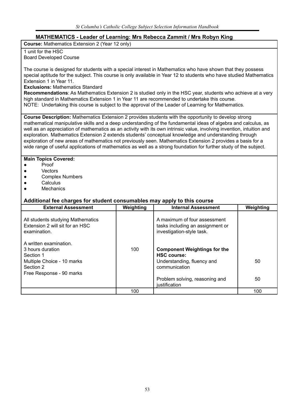# **MATHEMATICS - Leader of Learning: Mrs Rebecca Zammit / Mrs Robyn King**

**Course:** Mathematics Extension 2 (Year 12 only)

#### 1 unit for the HSC Board Developed Course

The course is designed for students with a special interest in Mathematics who have shown that they possess special aptitude for the subject. This course is only available in Year 12 to students who have studied Mathematics Extension 1 in Year 11.

**Exclusions:** Mathematics Standard

**Recommendations**: As Mathematics Extension 2 is studied only in the HSC year, students who achieve at a very high standard in Mathematics Extension 1 in Year 11 are recommended to undertake this course. NOTE: Undertaking this course is subject to the approval of the Leader of Learning for Mathematics.

**Course Description:** Mathematics Extension 2 provides students with the opportunity to develop strong mathematical manipulative skills and a deep understanding of the fundamental ideas of algebra and calculus, as well as an appreciation of mathematics as an activity with its own intrinsic value, involving invention, intuition and exploration. Mathematics Extension 2 extends students' conceptual knowledge and understanding through exploration of new areas of mathematics not previously seen. Mathematics Extension 2 provides a basis for a wide range of useful applications of mathematics as well as a strong foundation for further study of the subject.

#### **Main Topics Covered:**

- **Proof**
- Vectors
- Complex Numbers
- **Calculus**
- **Mechanics**

| <b>External Assessment</b>                                                                                                     | Weighting | <b>Internal Assessment</b>                                                                               | Weighting |
|--------------------------------------------------------------------------------------------------------------------------------|-----------|----------------------------------------------------------------------------------------------------------|-----------|
| All students studying Mathematics<br>Extension 2 will sit for an HSC<br>examination.                                           |           | A maximum of four assessment<br>tasks including an assignment or<br>investigation-style task.            |           |
| A written examination.<br>3 hours duration<br>Section 1<br>Multiple Choice - 10 marks<br>Section 2<br>Free Response - 90 marks | 100       | <b>Component Weightings for the</b><br><b>HSC course:</b><br>Understanding, fluency and<br>communication | 50        |
|                                                                                                                                |           | Problem solving, reasoning and<br>justification                                                          | 50        |
|                                                                                                                                | 100       |                                                                                                          | 100       |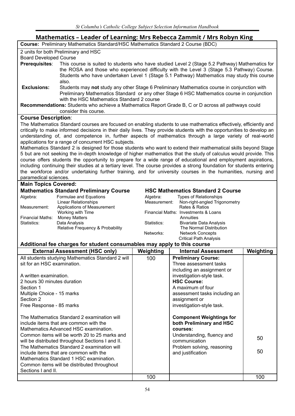# **Mathematics – Leader of Learning: Mrs Rebecca Zammit / Mrs Robyn King**

|                               | Mathematics – Leader of Learning: Mrs Rebecca Zammit / Mrs Robyn King                                                  |              |                                                                                                |           |  |  |
|-------------------------------|------------------------------------------------------------------------------------------------------------------------|--------------|------------------------------------------------------------------------------------------------|-----------|--|--|
|                               | Course: Preliminary Mathematics Standard/HSC Mathematics Standard 2 Course (BDC)                                       |              |                                                                                                |           |  |  |
|                               | 2 units for both Preliminary and HSC                                                                                   |              |                                                                                                |           |  |  |
| <b>Board Developed Course</b> |                                                                                                                        |              |                                                                                                |           |  |  |
| Prerequisites:                |                                                                                                                        |              | This course is suited to students who have studied Level 2 (Stage 5.2 Pathway) Mathematics for |           |  |  |
|                               |                                                                                                                        |              | the ROSA and those who experienced difficulty with the Level 3 (Stage 5.3 Pathway) Course.     |           |  |  |
|                               |                                                                                                                        |              | Students who have undertaken Level 1 (Stage 5.1 Pathway) Mathematics may study this course     |           |  |  |
|                               | also.                                                                                                                  |              |                                                                                                |           |  |  |
| <b>Exclusions:</b>            |                                                                                                                        |              | Students may not study any other Stage 6 Preliminary Mathematics course in conjunction with    |           |  |  |
|                               |                                                                                                                        |              | Preliminary Mathematics Standard or any other Stage 6 HSC Mathematics course in conjunction    |           |  |  |
|                               | with the HSC Mathematics Standard 2 course                                                                             |              |                                                                                                |           |  |  |
|                               |                                                                                                                        |              |                                                                                                |           |  |  |
|                               | Recommendations: Students who achieve a Mathematics Report Grade B, C or D across all pathways could                   |              |                                                                                                |           |  |  |
|                               | consider this course.                                                                                                  |              |                                                                                                |           |  |  |
| <b>Course Description:</b>    |                                                                                                                        |              |                                                                                                |           |  |  |
|                               | The Mathematics Standard courses are focused on enabling students to use mathematics effectively, efficiently and      |              |                                                                                                |           |  |  |
|                               | critically to make informed decisions in their daily lives. They provide students with the opportunities to develop an |              |                                                                                                |           |  |  |
|                               | understanding of, and competence in, further aspects of mathematics through a large variety of real-world              |              |                                                                                                |           |  |  |
|                               | applications for a range of concurrent HSC subjects.                                                                   |              |                                                                                                |           |  |  |
|                               | Mathematics Standard 2 is designed for those students who want to extend their mathematical skills beyond Stage        |              |                                                                                                |           |  |  |
|                               | 5 but are not seeking the in-depth knowledge of higher mathematics that the study of calculus would provide. This      |              |                                                                                                |           |  |  |
|                               | course offers students the opportunity to prepare for a wide range of educational and employment aspirations,          |              |                                                                                                |           |  |  |
|                               | including continuing their studies at a tertiary level. The course provides a strong foundation for students entering  |              |                                                                                                |           |  |  |
|                               | the workforce and/or undertaking further training, and for university courses in the humanities, nursing and           |              |                                                                                                |           |  |  |
| paramedical sciences.         |                                                                                                                        |              |                                                                                                |           |  |  |
| <b>Main Topics Covered:</b>   |                                                                                                                        |              |                                                                                                |           |  |  |
|                               | <b>Mathematics Standard Preliminary Course</b>                                                                         |              | <b>HSC Mathematics Standard 2 Course</b>                                                       |           |  |  |
| Algebra:                      | Formulae and Equations                                                                                                 | Algebra:     | <b>Types of Relationships</b>                                                                  |           |  |  |
|                               | <b>Linear Relationships</b>                                                                                            | Measurement: | Non-right-angled Trigonometry                                                                  |           |  |  |
| Measurement:                  | Applications of Measurement                                                                                            |              | Rates & Ratios                                                                                 |           |  |  |
|                               | Working with Time                                                                                                      |              | Financial Maths: Investments & Loans                                                           |           |  |  |
| Financial Maths:              | <b>Money Matters</b>                                                                                                   |              | Annuities                                                                                      |           |  |  |
| Statistics:                   | Data Analysis                                                                                                          | Statistics:  | <b>Bivariate Data Analysis</b>                                                                 |           |  |  |
|                               | Relative Frequency & Probability                                                                                       |              | The Normal Distribution                                                                        |           |  |  |
|                               |                                                                                                                        | Networks:    | <b>Network Concepts</b>                                                                        |           |  |  |
|                               |                                                                                                                        |              | <b>Critical Path Analysis</b>                                                                  |           |  |  |
|                               | Additional fee charges for student consumables may apply to this course                                                |              |                                                                                                |           |  |  |
|                               | <b>External Assessment (HSC only)</b>                                                                                  | Weighting    | <b>Internal Assessment</b>                                                                     | Weighting |  |  |
|                               | All students studying Mathematics Standard 2 will                                                                      | 100          | <b>Preliminary Course:</b>                                                                     |           |  |  |
| sit for an HSC examination.   |                                                                                                                        |              | Three assessment tasks                                                                         |           |  |  |
|                               |                                                                                                                        |              | including an assignment or                                                                     |           |  |  |
| A written examination.        |                                                                                                                        |              | investigation-style task.                                                                      |           |  |  |
| 2 hours 30 minutes duration   |                                                                                                                        |              | <b>HSC Course:</b>                                                                             |           |  |  |
| Section 1                     |                                                                                                                        |              | A maximum of four                                                                              |           |  |  |
| Multiple Choice - 15 marks    |                                                                                                                        |              | assessment tasks including an                                                                  |           |  |  |
| Section 2                     |                                                                                                                        |              | assignment or                                                                                  |           |  |  |
| Free Response - 85 marks      |                                                                                                                        |              | investigation-style task.                                                                      |           |  |  |
|                               |                                                                                                                        |              |                                                                                                |           |  |  |
|                               | The Mathematics Standard 2 examination will                                                                            |              | <b>Component Weightings for</b>                                                                |           |  |  |
|                               | include items that are common with the                                                                                 |              | both Preliminary and HSC                                                                       |           |  |  |
|                               | Mathematics Advanced HSC examination.                                                                                  |              |                                                                                                |           |  |  |
|                               |                                                                                                                        |              | courses:                                                                                       |           |  |  |
|                               | Common items will be worth 20 to 25 marks and                                                                          |              | Understanding, fluency and                                                                     | 50        |  |  |
|                               | will be distributed throughout Sections I and II.                                                                      |              | communication                                                                                  |           |  |  |
|                               | The Mathematics Standard 2 examination will                                                                            |              | Problem solving, reasoning                                                                     | 50        |  |  |
|                               | include items that are common with the                                                                                 |              | and justification                                                                              |           |  |  |
|                               | Mathematics Standard 1 HSC examination.                                                                                |              |                                                                                                |           |  |  |
|                               | Common items will be distributed throughout                                                                            |              |                                                                                                |           |  |  |
| Sections I and II.            |                                                                                                                        |              |                                                                                                |           |  |  |
|                               |                                                                                                                        | 100          |                                                                                                | 100       |  |  |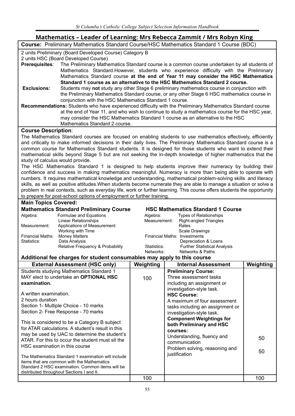# **Mathematics – Leader of Learning: Mrs Rebecca Zammit / Mrs Robyn King**

| <b>Course:</b> Preliminary Mathematics Standard Course/HSC Mathematics Standard 1 Course (BDC) |
|------------------------------------------------------------------------------------------------|
|                                                                                                |

2 units Preliminary (Board Developed Course) Category B

|  |  |  | 2 units HSC (Board Developed Course) |
|--|--|--|--------------------------------------|
|  |  |  |                                      |

- **Prerequisites**: The Preliminary Mathematics Standard course is a common course undertaken by all students of Mathematics Standard.However, students who experience difficulty with the Preliminary Mathematics Standard course **at the end of Year 11 may consider the HSC Mathematics Standard 1 course as an alternative to the HSC Mathematics Standard 2 course. Exclusions:** Students may **not** study any other Stage 6 preliminary mathematics course in conjunction with
	- the Preliminary Mathematics Standard course, or any other Stage 6 HSC mathematics course in conjunction with the HSC Mathematics Standard 1 course.
- **Recommendations:** Students who have experienced difficulty with the Preliminary Mathematics Standard course at the end of Year 11, and who wish to continue to study a mathematics course for the HSC year, may consider the HSC Mathematics Standard 1 course as an alternative to the HSC Mathematics Standard 2 course.

#### **Course Description**:

The Mathematics Standard courses are focused on enabling students to use mathematics effectively, efficiently and critically to make informed decisions in their daily lives. The Preliminary Mathematics Standard course is a common course for Mathematics Standard students. It is designed for those students who want to extend their mathematical skills beyond Stage 5 but are not seeking the in-depth knowledge of higher mathematics that the study of calculus would provide.

The HSC Mathematics Standard 1 is designed to help students improve their numeracy by building their confidence and success in making mathematics meaningful. Numeracy is more than being able to operate with numbers. It requires mathematical knowledge and understanding, mathematical problem-solving skills and literacy skills, as well as positive attitudes.When students become numerate they are able to manage a situation or solve a problem in real contexts, such as everyday life, work or further learning. This course offers students the opportunity to prepare for post-school options of employment or further training.

#### **Main Topics Covered:**

|                         | <b>Mathematics Standard Preliminary Course</b> | <b>HSC Mathematics Standard 1 0</b> |                                 |  |
|-------------------------|------------------------------------------------|-------------------------------------|---------------------------------|--|
| Algebra:                | Formulae and Equations                         | Algebra:                            | <b>Types of Relationships</b>   |  |
|                         | Linear Relationships                           | Measurement:                        | <b>Right-angled Triangles</b>   |  |
| Measurement:            | Applications of Measurement                    |                                     | Rates                           |  |
|                         | Working with Time                              |                                     | <b>Scale Drawings</b>           |  |
| <b>Financial Maths:</b> | <b>Money Matters</b>                           | <b>Financial Maths: Investments</b> |                                 |  |
| Statistics:             | Data Analysis                                  |                                     | Depreciation & Loans            |  |
|                         | Relative Frequency & Probability               | Statistics:                         | <b>Further Statistical Anal</b> |  |

#### $R$  **Mathematics Standard 1 Course**

| <b>Types of Relationships</b>       |
|-------------------------------------|
| <b>Right-angled Triangles</b>       |
| Rates                               |
| <b>Scale Drawings</b>               |
| Financial Maths: Investments        |
| Depreciation & Loans                |
| <b>Further Statistical Analysis</b> |
| <b>Networks &amp; Paths</b>         |
|                                     |

| <b>External Assessment (HSC only)</b>                                                                                                                                                                                                                                                                                                                                                                                                                                                                                                                                                                                                                                                      | Weighting | <b>Internal Assessment</b>                                                                                                                                                                                                                                                                                                                                                                                          | Weighting |
|--------------------------------------------------------------------------------------------------------------------------------------------------------------------------------------------------------------------------------------------------------------------------------------------------------------------------------------------------------------------------------------------------------------------------------------------------------------------------------------------------------------------------------------------------------------------------------------------------------------------------------------------------------------------------------------------|-----------|---------------------------------------------------------------------------------------------------------------------------------------------------------------------------------------------------------------------------------------------------------------------------------------------------------------------------------------------------------------------------------------------------------------------|-----------|
| Students studying Mathematics Standard 1<br>MAY elect to undertake an <b>OPTIONAL HSC</b><br>examination.<br>A written examination.<br>2 hours duration<br>Section 1- Multiple Choice - 10 marks<br>Section 2- Free Response - 70 marks<br>This is considered to be a Category B subject<br>for ATAR calculations. A student's result in this<br>may be used by UAC to determine the student's<br>ATAR. For this to occur the student must sit the<br>HSC examination in this course<br>The Mathematics Standard 1 examination will include<br>items that are common with the Mathematics<br>Standard 2 HSC examination. Common items will be<br>distributed throughout Sections I and II. | 100       | <b>Preliminary Course:</b><br>Three assessment tasks<br>including an assignment or<br>investigation-style task.<br><b>HSC Course:</b><br>A maximum of four assessment<br>tasks including an assignment or<br>investigation-style task.<br><b>Component Weightings for</b><br>both Preliminary and HSC<br>courses:<br>Understanding, fluency and<br>communication<br>Problem solving, reasoning and<br>justification | 50<br>50  |
|                                                                                                                                                                                                                                                                                                                                                                                                                                                                                                                                                                                                                                                                                            | 100       |                                                                                                                                                                                                                                                                                                                                                                                                                     | 100       |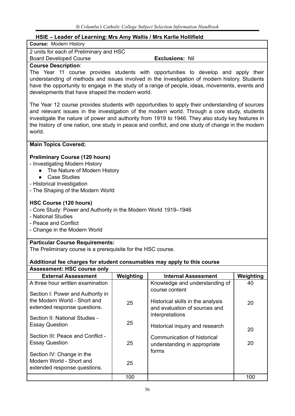# **HSIE – Leader of Learning: Mrs Amy Wallis / Mrs Karlie Hollifield**

| .<br><b>Course: Modern History</b>                                                                                                                                                                                                                                                                                                                                                                                 |           |                                                                                                                                                                                                                                                                                       |           |
|--------------------------------------------------------------------------------------------------------------------------------------------------------------------------------------------------------------------------------------------------------------------------------------------------------------------------------------------------------------------------------------------------------------------|-----------|---------------------------------------------------------------------------------------------------------------------------------------------------------------------------------------------------------------------------------------------------------------------------------------|-----------|
| 2 units for each of Preliminary and HSC                                                                                                                                                                                                                                                                                                                                                                            |           |                                                                                                                                                                                                                                                                                       |           |
| <b>Board Developed Course</b>                                                                                                                                                                                                                                                                                                                                                                                      |           | <b>Exclusions: Nil</b>                                                                                                                                                                                                                                                                |           |
| <b>Course Description:</b><br>developments that have shaped the modern world.                                                                                                                                                                                                                                                                                                                                      |           | The Year 11 course provides students with opportunities to develop and apply their<br>understanding of methods and issues involved in the investigation of modern history. Students<br>have the opportunity to engage in the study of a range of people, ideas, movements, events and |           |
| The Year 12 course provides students with opportunities to apply their understanding of sources<br>and relevant issues in the investigation of the modern world. Through a core study, students<br>investigate the nature of power and authority from 1919 to 1946. They also study key features in<br>the history of one nation, one study in peace and conflict, and one study of change in the modern<br>world. |           |                                                                                                                                                                                                                                                                                       |           |
| <b>Main Topics Covered;</b>                                                                                                                                                                                                                                                                                                                                                                                        |           |                                                                                                                                                                                                                                                                                       |           |
| <b>Preliminary Course (120 hours)</b><br>- Investigating Modern History<br>The Nature of Modern History<br><b>Case Studies</b><br>$\bullet$<br>- Historical Investigation<br>- The Shaping of the Modern World                                                                                                                                                                                                     |           |                                                                                                                                                                                                                                                                                       |           |
| HSC Course (120 hours)<br>- Core Study: Power and Authority in the Modern World 1919-1946<br>- National Studies<br>- Peace and Conflict<br>- Change in the Modern World                                                                                                                                                                                                                                            |           |                                                                                                                                                                                                                                                                                       |           |
| <b>Particular Course Requirements:</b>                                                                                                                                                                                                                                                                                                                                                                             |           |                                                                                                                                                                                                                                                                                       |           |
| The Preliminary course is a prerequisite for the HSC course.                                                                                                                                                                                                                                                                                                                                                       |           |                                                                                                                                                                                                                                                                                       |           |
| Additional fee charges for student consumables may apply to this course                                                                                                                                                                                                                                                                                                                                            |           |                                                                                                                                                                                                                                                                                       |           |
| <b>Assessment: HSC course only</b>                                                                                                                                                                                                                                                                                                                                                                                 |           |                                                                                                                                                                                                                                                                                       |           |
| <b>External Assessment</b>                                                                                                                                                                                                                                                                                                                                                                                         | Weighting | <b>Internal Assessment</b>                                                                                                                                                                                                                                                            | Weighting |
| A three hour written examination                                                                                                                                                                                                                                                                                                                                                                                   |           | Knowledge and understanding of<br>course content                                                                                                                                                                                                                                      | 40        |
| Section I: Power and Authority in<br>the Modern World - Short and<br>extended response questions.                                                                                                                                                                                                                                                                                                                  | 25        | Historical skills in the analysis<br>and evaluation of sources and                                                                                                                                                                                                                    | 20        |
| Section II: National Studies -<br><b>Essay Question</b>                                                                                                                                                                                                                                                                                                                                                            | 25        | interpretations<br>Historical inquiry and research                                                                                                                                                                                                                                    | 20        |
| Section III: Peace and Conflict -<br><b>Essay Question</b>                                                                                                                                                                                                                                                                                                                                                         | 25        | Communication of historical<br>understanding in appropriate                                                                                                                                                                                                                           | 20        |
| Section IV: Change in the<br>Modern World - Short and<br>extended response questions.                                                                                                                                                                                                                                                                                                                              | 25        | forms                                                                                                                                                                                                                                                                                 |           |
|                                                                                                                                                                                                                                                                                                                                                                                                                    | 100       |                                                                                                                                                                                                                                                                                       | 100       |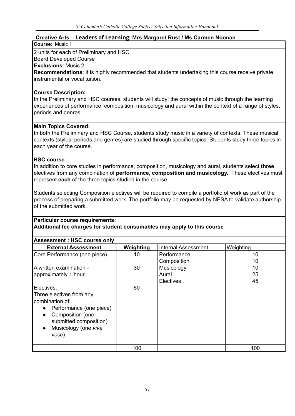# **Creative Arts – Leaders of Learning: Mrs Margaret Rust / Ms Carmen Noonan**

### **Course**: Music 1

2 units for each of Preliminary and HSC

# Board Developed Course

**Exclusions**: Music 2

**Recommendations**: It is highly recommended that students undertaking this course receive private instrumental or vocal tuition.

# **Course Description:**

In the Preliminary and HSC courses, students will study: the concepts of music through the learning experiences of performance, composition, musicology and aural within the context of a range of styles, periods and genres.

# **Main Topics Covered:**

In both the Preliminary and HSC Course, students study music in a variety of contexts. These musical contexts (styles, periods and genres) are studied through specific topics. Students study three topics in each year of the course.

# **HSC course**

In addition to core studies in performance, composition, musicology and aural, students select **three** electives from any combination of **performance, composition and musicology.** These electives must represent **each** of the three topics studied in the course.

Students selecting Composition electives will be required to compile a portfolio of work as part of the process of preparing a submitted work. The portfolio may be requested by NESA to validate authorship of the submitted work.

#### **Particular course requirements: Additional fee charges for student consumables may apply to this course**

| <b>Assessment: HSC course only</b>   |           |                            |           |
|--------------------------------------|-----------|----------------------------|-----------|
| <b>External Assessment</b>           | Weighting | <b>Internal Assessment</b> | Weighting |
| Core Performance (one piece)         | 10        | Performance                | 10        |
|                                      |           | Composition                | 10        |
| A written examination -              | 30        | Musicology                 | 10        |
| approximately 1 hour                 |           | Aural                      | 25        |
|                                      |           | <b>Electives</b>           | 45        |
| Electives:                           | 60        |                            |           |
| Three electives from any             |           |                            |           |
| combination of:                      |           |                            |           |
| Performance (one piece)<br>$\bullet$ |           |                            |           |
| Composition (one<br>$\bullet$        |           |                            |           |
| submitted composition)               |           |                            |           |
| Musicology (one viva<br>$\bullet$    |           |                            |           |
| voce)                                |           |                            |           |
|                                      |           |                            |           |
|                                      | 100       |                            | 100       |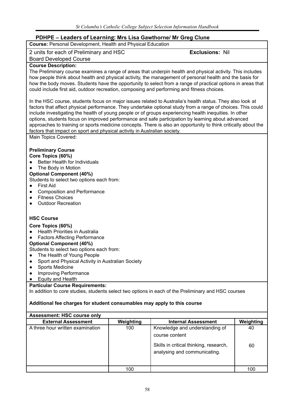# **PDHPE – Leaders of Learning: Mrs Lisa Gawthorne/ Mr Greg Clune**

| <b>ECUACIS OF ECULTINIA, MIS EISA SANGIOITIC</b> IN SICH<br>Course: Personal Development, Health and Physical Education                                                                                                                                                                                                                                                                                                                                                                                                                                                                                                                |           |                                                                                                     |           |
|----------------------------------------------------------------------------------------------------------------------------------------------------------------------------------------------------------------------------------------------------------------------------------------------------------------------------------------------------------------------------------------------------------------------------------------------------------------------------------------------------------------------------------------------------------------------------------------------------------------------------------------|-----------|-----------------------------------------------------------------------------------------------------|-----------|
| 2 units for each of Preliminary and HSC                                                                                                                                                                                                                                                                                                                                                                                                                                                                                                                                                                                                |           | <b>Exclusions: Nil</b>                                                                              |           |
| <b>Board Developed Course</b>                                                                                                                                                                                                                                                                                                                                                                                                                                                                                                                                                                                                          |           |                                                                                                     |           |
| <b>Course Description:</b><br>The Preliminary course examines a range of areas that underpin health and physical activity. This includes<br>how people think about health and physical activity, the management of personal health and the basis for<br>how the body moves. Students have the opportunity to select from a range of practical options in areas that<br>could include first aid, outdoor recreation, composing and performing and fitness choices.                                                                                                                                                                      |           |                                                                                                     |           |
| In the HSC course, students focus on major issues related to Australia's health status. They also look at<br>factors that affect physical performance. They undertake optional study from a range of choices. This could<br>include investigating the health of young people or of groups experiencing health inequities. In other<br>options, students focus on improved performance and safe participation by learning about advanced<br>approaches to training or sports medicine concepts. There is also an opportunity to think critically about the<br>factors that impact on sport and physical activity in Australian society. |           |                                                                                                     |           |
| Main Topics Covered:                                                                                                                                                                                                                                                                                                                                                                                                                                                                                                                                                                                                                   |           |                                                                                                     |           |
| <b>Preliminary Course</b><br>Core Topics (60%)<br>Better Health for Individuals<br>The Body in Motion<br>$\bullet$<br><b>Optional Component (40%)</b><br>Students to select two options each from:<br><b>First Aid</b><br>$\bullet$<br><b>Composition and Performance</b><br>$\bullet$<br><b>Fitness Choices</b><br>$\bullet$<br><b>Outdoor Recreation</b><br>$\bullet$                                                                                                                                                                                                                                                                |           |                                                                                                     |           |
| <b>HSC Course</b>                                                                                                                                                                                                                                                                                                                                                                                                                                                                                                                                                                                                                      |           |                                                                                                     |           |
| Core Topics (60%)                                                                                                                                                                                                                                                                                                                                                                                                                                                                                                                                                                                                                      |           |                                                                                                     |           |
| <b>Health Priorities in Australia</b>                                                                                                                                                                                                                                                                                                                                                                                                                                                                                                                                                                                                  |           |                                                                                                     |           |
| <b>Factors Affecting Performance</b><br><b>Optional Component (40%)</b>                                                                                                                                                                                                                                                                                                                                                                                                                                                                                                                                                                |           |                                                                                                     |           |
| Students to select two options each from:                                                                                                                                                                                                                                                                                                                                                                                                                                                                                                                                                                                              |           |                                                                                                     |           |
| The Health of Young People                                                                                                                                                                                                                                                                                                                                                                                                                                                                                                                                                                                                             |           |                                                                                                     |           |
| Sport and Physical Activity in Australian Society<br><b>Sports Medicine</b>                                                                                                                                                                                                                                                                                                                                                                                                                                                                                                                                                            |           |                                                                                                     |           |
| <b>Improving Performance</b><br>$\bullet$                                                                                                                                                                                                                                                                                                                                                                                                                                                                                                                                                                                              |           |                                                                                                     |           |
| Equity and Health<br>$\bullet$                                                                                                                                                                                                                                                                                                                                                                                                                                                                                                                                                                                                         |           |                                                                                                     |           |
| <b>Particular Course Requirements:</b>                                                                                                                                                                                                                                                                                                                                                                                                                                                                                                                                                                                                 |           |                                                                                                     |           |
|                                                                                                                                                                                                                                                                                                                                                                                                                                                                                                                                                                                                                                        |           | In addition to core studies, students select two options in each of the Preliminary and HSC courses |           |
| Additional fee charges for student consumables may apply to this course                                                                                                                                                                                                                                                                                                                                                                                                                                                                                                                                                                |           |                                                                                                     |           |
| <b>Assessment: HSC course only</b>                                                                                                                                                                                                                                                                                                                                                                                                                                                                                                                                                                                                     |           |                                                                                                     |           |
| <b>External Assessment</b>                                                                                                                                                                                                                                                                                                                                                                                                                                                                                                                                                                                                             | Weighting | <b>Internal Assessment</b>                                                                          | Weighting |
| A three hour written examination                                                                                                                                                                                                                                                                                                                                                                                                                                                                                                                                                                                                       | 100       | Knowledge and understanding of<br>course content                                                    | 40        |
|                                                                                                                                                                                                                                                                                                                                                                                                                                                                                                                                                                                                                                        |           |                                                                                                     |           |
|                                                                                                                                                                                                                                                                                                                                                                                                                                                                                                                                                                                                                                        |           | Skills in critical thinking, research,                                                              | 60        |
|                                                                                                                                                                                                                                                                                                                                                                                                                                                                                                                                                                                                                                        |           | analysing and communicating.                                                                        |           |
|                                                                                                                                                                                                                                                                                                                                                                                                                                                                                                                                                                                                                                        |           |                                                                                                     |           |

100 | 100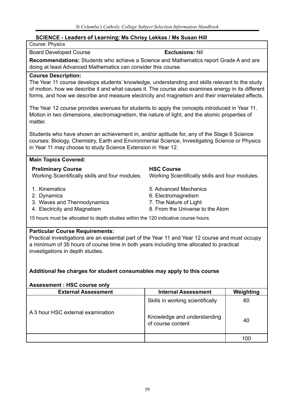# **SCIENCE - Leaders of Learning: Ms Chrisy Lekkas / Ms Susan Hill**

| <b>SCIENCE - Leaders of Learning: Ms Chrisy Lekkas / Ms Susan Hill</b>                                                                                                                                                                                                                                                                                                                                                                                                                                                                                                                                                                             |                                                                                                            |           |
|----------------------------------------------------------------------------------------------------------------------------------------------------------------------------------------------------------------------------------------------------------------------------------------------------------------------------------------------------------------------------------------------------------------------------------------------------------------------------------------------------------------------------------------------------------------------------------------------------------------------------------------------------|------------------------------------------------------------------------------------------------------------|-----------|
| Course: Physics                                                                                                                                                                                                                                                                                                                                                                                                                                                                                                                                                                                                                                    |                                                                                                            |           |
| <b>Board Developed Course</b>                                                                                                                                                                                                                                                                                                                                                                                                                                                                                                                                                                                                                      | <b>Exclusions: Nil</b>                                                                                     |           |
| Recommendations: Students who achieve a Science and Mathematics report Grade A and are<br>doing at least Advanced Mathematics can consider this course.                                                                                                                                                                                                                                                                                                                                                                                                                                                                                            |                                                                                                            |           |
| <b>Course Description:</b><br>The Year 11 course develops students' knowledge, understanding and skills relevant to the study<br>of motion, how we describe it and what causes it. The course also examines energy in its different<br>forms, and how we describe and measure electricity and magnetism and their interrelated effects.<br>The Year 12 course provides avenues for students to apply the concepts introduced in Year 11.<br>Motion in two dimensions, electromagnetism, the nature of light, and the atomic properties of<br>matter.<br>Students who have shown an achievement in, and/or aptitude for, any of the Stage 6 Science |                                                                                                            |           |
| courses: Biology, Chemistry, Earth and Environmental Science, Investigating Science or Physics<br>in Year 11 may choose to study Science Extension in Year 12.                                                                                                                                                                                                                                                                                                                                                                                                                                                                                     |                                                                                                            |           |
| <b>Main Topics Covered:</b>                                                                                                                                                                                                                                                                                                                                                                                                                                                                                                                                                                                                                        |                                                                                                            |           |
| <b>Preliminary Course</b><br>Working Scientifically skills and four modules.                                                                                                                                                                                                                                                                                                                                                                                                                                                                                                                                                                       | <b>HSC Course</b><br>Working Scientifically skills and four modules.                                       |           |
| 1. Kinematics<br>2. Dynamics<br>3. Waves and Thermodynamics<br>4. Electricity and Magnetism                                                                                                                                                                                                                                                                                                                                                                                                                                                                                                                                                        | 5. Advanced Mechanics<br>6. Electromagnetism<br>7. The Nature of Light<br>8. From the Universe to the Atom |           |
| 15 hours must be allocated to depth studies within the 120 indicative course hours.                                                                                                                                                                                                                                                                                                                                                                                                                                                                                                                                                                |                                                                                                            |           |
| <b>Particular Course Requirements:</b><br>Practical investigations are an essential part of the Year 11 and Year 12 course and must occupy<br>a minimum of 35 hours of course time in both years including time allocated to practical<br>investigations in depth studies.                                                                                                                                                                                                                                                                                                                                                                         |                                                                                                            |           |
| Additional fee charges for student consumables may apply to this course                                                                                                                                                                                                                                                                                                                                                                                                                                                                                                                                                                            |                                                                                                            |           |
| <b>Assessment: HSC course only</b><br><b>External Assessment</b>                                                                                                                                                                                                                                                                                                                                                                                                                                                                                                                                                                                   | <b>Internal Assessment</b>                                                                                 | Weighting |
|                                                                                                                                                                                                                                                                                                                                                                                                                                                                                                                                                                                                                                                    | Skills in working scientifically                                                                           | 60        |
| A 3 hour HSC external examination                                                                                                                                                                                                                                                                                                                                                                                                                                                                                                                                                                                                                  | Knowledge and understanding                                                                                | 40        |

of course content

100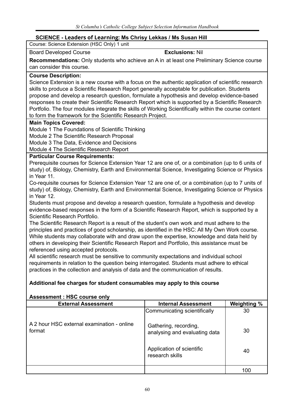# **SCIENCE - Leaders of Learning: Ms Chrisy Lekkas / Ms Susan Hill**

Course: Science Extension (HSC Only) 1 unit

# Board Developed Course **Exclusions:** Nil

**Recommendations:** Only students who achieve an A in at least one Preliminary Science course can consider this course.

#### **Course Description:**

Science Extension is a new course with a focus on the authentic application of scientific research skills to produce a Scientific Research Report generally acceptable for publication. Students propose and develop a research question, formulate a hypothesis and develop evidence-based responses to create their Scientific Research Report which is supported by a Scientific Research Portfolio. The four modules integrate the skills of Working Scientifically within the course content to form the framework for the Scientific Research Project.

## **Main Topics Covered:**

Module 1 The Foundations of Scientific Thinking

Module 2 The Scientific Research Proposal

Module 3 The Data, Evidence and Decisions

Module 4 The Scientific Research Report

## **Particular Course Requirements:**

Prerequisite courses for Science Extension Year 12 are one of, or a combination (up to 6 units of study) of, Biology, Chemistry, Earth and Environmental Science, Investigating Science or Physics in Year 11.

Co-requisite courses for Science Extension Year 12 are one of, or a combination (up to 7 units of study) of, Biology, Chemistry, Earth and Environmental Science, Investigating Science or Physics in Year 12.

Students must propose and develop a research question, formulate a hypothesis and develop evidence-based responses in the form of a Scientific Research Report, which is supported by a Scientific Research Portfolio.

The Scientific Research Report is a result of the student's own work and must adhere to the principles and practices of good scholarship, as identified in the HSC: All My Own Work course. While students may collaborate with and draw upon the expertise, knowledge and data held by others in developing their Scientific Research Report and Portfolio, this assistance must be referenced using accepted protocols.

All scientific research must be sensitive to community expectations and individual school requirements in relation to the question being interrogated. Students must adhere to ethical practices in the collection and analysis of data and the communication of results.

# **Additional fee charges for student consumables may apply to this course**

| <b>ASSESSITIBILE: HOU COULSE OILLY</b>               |                                                        |             |
|------------------------------------------------------|--------------------------------------------------------|-------------|
| <b>External Assessment</b>                           | <b>Internal Assessment</b>                             | Weighting % |
|                                                      | Communicating scientifically                           | 30          |
| A 2 hour HSC external examination - online<br>format | Gathering, recording,<br>analysing and evaluating data | 30          |
|                                                      | Application of scientific<br>research skills           | 40          |
|                                                      |                                                        | 100         |

# **Assessment : HSC course only**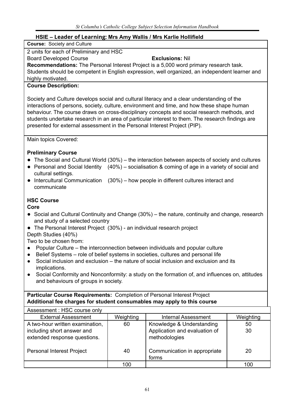# **HSIE – Leader of Learning: Mrs Amy Wallis / Mrs Karlie Hollifield**

**Course:** Society and Culture

# 2 units for each of Preliminary and HSC

# Board Developed Course **Exclusions:** Nil

**Recommendations:** The Personal Interest Project is a 5,000 word primary research task. Students should be competent in English expression, well organized, an independent learner and highly motivated.

# **Course Description:**

Society and Culture develops social and cultural literacy and a clear understanding of the interactions of persons, society, culture, environment and time, and how these shape human behaviour. The course draws on cross-disciplinary concepts and social research methods, and students undertake research in an area of particular interest to them. The research findings are presented for external assessment in the Personal Interest Project (PIP).

Main topics Covered:

# **Preliminary Course**

- The Social and Cultural World (30%) the interaction between aspects of society and cultures
- Personal and Social Identity (40%) socialisation & coming of age in a variety of social and cultural settings.
- Intercultural Communication (30%) how people in different cultures interact and communicate

# **HSC Course**

**Core**

- Social and Cultural Continuity and Change (30%) the nature, continuity and change, research and study of a selected country
- The Personal Interest Project (30%) an individual research project

Depth Studies (40%)

Two to be chosen from:

- Popular Culture the interconnection between individuals and popular culture
- Belief Systems role of belief systems in societies, cultures and personal life
- Social inclusion and exclusion the nature of social inclusion and exclusion and its implications.
- **●** Social Conformity and Nonconformity: a study on the formation of, and influences on, attitudes and behaviours of groups in society.

# **Particular Course Requirements:** Completion of Personal Interest Project **Additional fee charges for student consumables may apply to this course**

| Assessment: HSC course only                                |           |                                                |           |
|------------------------------------------------------------|-----------|------------------------------------------------|-----------|
| <b>External Assessment</b>                                 | Weighting | <b>Internal Assessment</b>                     | Weighting |
| A two-hour written examination,                            | 60        | Knowledge & Understanding                      | 50        |
| including short answer and<br>extended response questions. |           | Application and evaluation of<br>methodologies | 30        |
| <b>Personal Interest Project</b>                           | 40        | Communication in appropriate<br>forms          | 20        |
|                                                            | 100       |                                                | 100       |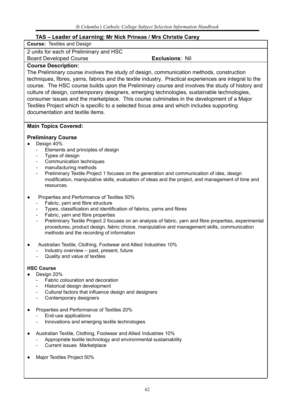# **TAS – Leader of Learning: Mr Nick Prineas / Mrs Christie Carey**

| <b>Course: Textiles and Design</b>                                                                     |                        |
|--------------------------------------------------------------------------------------------------------|------------------------|
| 2 units for each of Preliminary and HSC                                                                |                        |
| <b>Board Developed Course</b>                                                                          | <b>Exclusions: Nil</b> |
| <b>Course Description:</b>                                                                             |                        |
| The Preliminary course involves the study of design, communication methods, construction               |                        |
| techniques, fibres, yarns, fabrics and the textile industry. Practical experiences are integral to the |                        |
| course. The HSC course builds upon the Preliminary course and involves the study of history and        |                        |
| culture of design, contemporary designers, emerging technologies, sustainable technologies             |                        |

culture of design, contemporary designers, emerging technologies, sustainable technologies, consumer issues and the marketplace. This course culminates in the development of a Major Textiles Project which is specific to a selected focus area and which includes supporting documentation and textile items.

## **Main Topics Covered:**

## **Preliminary Course**

#### Design 40%

- Elements and principles of design
- Types of design
- Communication techniques
- manufacturing methods
- Preliminary Textile Project 1 focuses on the generation and communication of ides, design modification, manipulative skills, evaluation of ideas and the project, and management of time and resources.
- Properties and Performance of Textiles 50%
	- Fabric, yarn and fibre structure
	- Types, classification and identification of fabrics, yarns and fibres
	- Fabric, yarn and fibre properties
	- Preliminary Textile Project 2 focuses on an analysis of fabric, yarn and fibre properties, experimental procedures, product design, fabric choice, manipulative and management skills, communication methods and the recording of information
- Australian Textile, Clothing, Footwear and Allied Industries 10%
	- Industry overview past, present, future
	- Quality and value of textiles

#### **HSC Course**

- Design 20%
	- Fabric colouration and decoration
	- Historical design development
	- Cultural factors that influence design and designers
	- Contemporary designers
- Properties and Performance of Textiles 20%
	- End-use applications
	- Innovations and emerging textile technologies
- Australian Textile, Clothing, Footwear and Allied Industries 10%
	- Appropriate textile technology and environmental sustainability
	- Current issues Marketplace
- Major Textiles Project 50%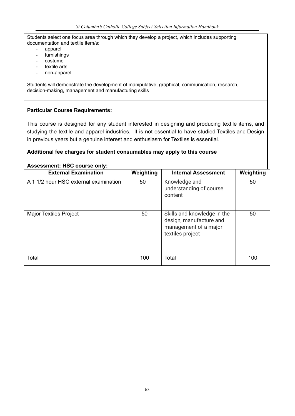Students select one focus area through which they develop a project, which includes supporting documentation and textile item/s:

- apparel
- furnishings
- costume
- textile arts
- non-apparel

Students will demonstrate the development of manipulative, graphical, communication, research, decision-making, management and manufacturing skills

## **Particular Course Requirements:**

This course is designed for any student interested in designing and producing textile items, and studying the textile and apparel industries. It is not essential to have studied Textiles and Design in previous years but a genuine interest and enthusiasm for Textiles is essential.

| <b>Assessment: HSC course only:</b>   |           |                                                                                                     |           |
|---------------------------------------|-----------|-----------------------------------------------------------------------------------------------------|-----------|
| <b>External Examination</b>           | Weighting | <b>Internal Assessment</b>                                                                          | Weighting |
| A 1 1/2 hour HSC external examination | 50        | Knowledge and<br>understanding of course<br>content                                                 | 50        |
| <b>Major Textiles Project</b>         | 50        | Skills and knowledge in the<br>design, manufacture and<br>management of a major<br>textiles project | 50        |
| Total                                 | 100       | Total                                                                                               | 100       |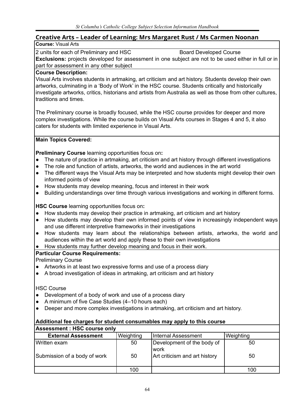# **Creative Arts – Leader of Learning: Mrs Margaret Rust / Ms Carmen Noonan**

# **Course:** Visual Arts

2 units for each of Preliminary and HSC Board Developed Course **Exclusions:** projects developed for assessment in one subject are not to be used either in full or in part for assessment in any other subject

# **Course Description:**

Visual Arts involves students in artmaking, art criticism and art history. Students develop their own artworks, culminating in a 'Body of Work' in the HSC course. Students critically and historically investigate artworks, critics, historians and artists from Australia as well as those from other cultures, traditions and times.

The Preliminary course is broadly focused, while the HSC course provides for deeper and more complex investigations. While the course builds on Visual Arts courses in Stages 4 and 5, it also caters for students with limited experience in Visual Arts.

# **Main Topics Covered:**

**Preliminary Course** learning opportunities focus on**:**

- The nature of practice in artmaking, art criticism and art history through different investigations
- The role and function of artists, artworks, the world and audiences in the art world
- The different ways the Visual Arts may be interpreted and how students might develop their own informed points of view
- How students may develop meaning, focus and interest in their work
- Building understandings over time through various investigations and working in different forms.

**HSC Course** learning opportunities focus on**:**

- How students may develop their practice in artmaking, art criticism and art history
- How students may develop their own informed points of view in increasingly independent ways and use different interpretive frameworks in their investigations
- How students may learn about the relationships between artists, artworks, the world and audiences within the art world and apply these to their own investigations
- **●** How students may further develop meaning and focus in their work.

# **Particular Course Requirements:**

Preliminary Course

- Artworks in at least two expressive forms and use of a process diary
- A broad investigation of ideas in artmaking, art criticism and art history

HSC Course

- Development of a body of work and use of a process diary
- A minimum of five Case Studies (4–10 hours each)
- Deeper and more complex investigations in artmaking, art criticism and art history.

| <b>Assessment : HSC course only</b> |           |                                    |           |  |
|-------------------------------------|-----------|------------------------------------|-----------|--|
| <b>External Assessment</b>          | Weighting | <b>Internal Assessment</b>         | Weighting |  |
| Written exam                        | 50        | Development of the body of<br>work | 50        |  |
| Submission of a body of work        | 50        | Art criticism and art history      | 50        |  |
|                                     | 100       |                                    | 100       |  |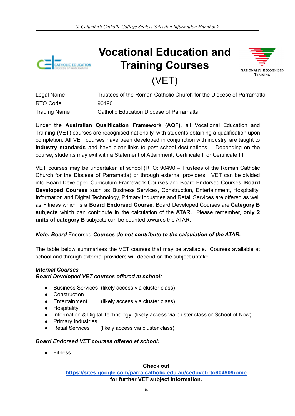

# **Vocational Education and Training Courses**



# (VET)

| Legal Name          | Trustees of the Roman Catholic Church for the Diocese of Parramatta |
|---------------------|---------------------------------------------------------------------|
| RTO Code            | 90490                                                               |
| <b>Trading Name</b> | Catholic Education Diocese of Parramatta                            |

Under the **Australian Qualification Framework (AQF),** all Vocational Education and Training (VET) courses are recognised nationally, with students obtaining a qualification upon completion. All VET courses have been developed in conjunction with industry, are taught to **industry standards** and have clear links to post school destinations. Depending on the course, students may exit with a Statement of Attainment, Certificate II or Certificate III.

VET courses may be undertaken at school (RTO: 90490 – Trustees of the Roman Catholic Church for the Diocese of Parramatta) or through external providers. VET can be divided into Board Developed Curriculum Framework Courses and Board Endorsed Courses. **Board Developed Courses** such as Business Services, Construction, Entertainment, Hospitality, Information and Digital Technology, Primary Industries and Retail Services are offered as well as Fitness which is a **Board Endorsed Course**. Board Developed Courses are **Category B subjects** which can contribute in the calculation of the **ATAR.** Please remember, **only 2 units of category B** subjects can be counted towards the ATAR.

# *Note: Board* Endorsed *Courses do not contribute to the calculation of the ATAR.*

The table below summarises the VET courses that may be available. Courses available at school and through external providers will depend on the subject uptake.

# *Internal Courses Board Developed VET courses offered at school:*

- Business Services (likely access via cluster class)
- Construction
- Entertainment (likely access via cluster class)
- Hospitality
- Information & Digital Technology (likely access via cluster class or School of Now)
- Primary Industries
- Retail Services (likely access via cluster class)

# *Board Endorsed VET courses offered at school:*

● Fitness

#### **Check out**

**<https://sites.google.com/parra.catholic.edu.au/cedpvet-rto90490/home> for further VET subject information.**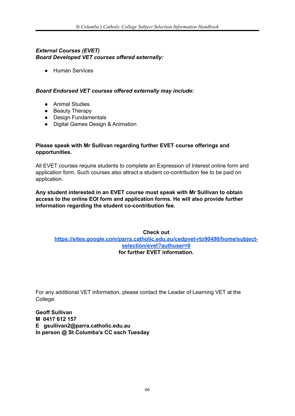# *External Courses (EVET) Board Developed VET courses offered externally:*

● Human Services

# *Board Endorsed VET courses offered externally may include:*

- Animal Studies
- Beauty Therapy
- Design Fundamentals
- Digital Games Design & Animation

#### **Please speak with Mr Sullivan regarding further EVET course offerings and opportunities.**

All EVET courses require students to complete an Expression of Interest online form and application form. Such courses also attract a student co-contribution fee to be paid on application.

**Any student interested in an EVET course must speak with Mr Sullivan to obtain access to the online EOI form and application forms. He will also provide further information regarding the student co-contribution fee.**

## **Check out [https://sites.google.com/parra.catholic.edu.au/cedpvet-rto90490/home/subject](https://sites.google.com/parra.catholic.edu.au/cedpvet-rto90490/home/subject-selection/evet?authuser=0)[selection/evet?authuser=0](https://sites.google.com/parra.catholic.edu.au/cedpvet-rto90490/home/subject-selection/evet?authuser=0) for further EVET information.**

For any additional VET information, please contact the Leader of Learning VET at the College:

**Geoff Sullivan M 0417 612 157 E gsullivan2@parra.catholic.edu.au In person @ St Columba's CC each Tuesday**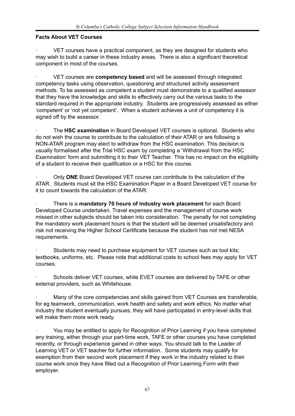# **Facts About VET Courses**

VET courses have a practical component, as they are designed for students who may wish to build a career in these industry areas. There is also a significant theoretical component in most of the courses.

· VET courses are **competency based** and will be assessed through integrated competency tasks using observation, questioning and structured activity assessment methods. To be assessed as competent a student must demonstrate to a qualified assessor that they have the knowledge and skills to effectively carry out the various tasks to the standard required in the appropriate industry. Students are progressively assessed as either 'competent' or 'not yet competent'. When a student achieves a unit of competency it is signed off by the assessor.

· The **HSC examination** in Board Developed VET courses is optional. Students who do not wish the course to contribute to the calculation of their ATAR or are following a NON-ATAR program may elect to withdraw from the HSC examination. This decision is usually formalised after the Trial HSC exam by completing a 'Withdrawal from the HSC Examination' form and submitting it to their VET Teacher. This has no impact on the eligibility of a student to receive their qualification or a HSC for this course.

· Only **ONE** Board Developed VET course can contribute to the calculation of the ATAR. Students must sit the HSC Examination Paper in a Board Developed VET course for it to count towards the calculation of the ATAR.

· There is a **mandatory 70 hours of industry work placement** for each Board Developed Course undertaken. Travel expenses and the management of course work missed in other subjects should be taken into consideration. The penalty for not completing the mandatory work placement hours is that the student will be deemed unsatisfactory and risk not receiving the Higher School Certificate because the student has not met NESA requirements.

Students may need to purchase equipment for VET courses such as tool kits; textbooks, uniforms, etc. Please note that additional costs to school fees may apply for VET courses.

Schools deliver VET courses, while EVET courses are delivered by TAFE or other external providers, such as Whitehouse.

Many of the core competencies and skills gained from VET Courses are transferable, for eg teamwork, communication, work health and safety and work ethics. No matter what industry the student eventually pursues, they will have participated in entry-level skills that will make them more work ready.

· You may be entitled to apply for Recognition of Prior Learning if you have completed any training, either through your part-time work, TAFE or other courses you have completed recently, or through experience gained in other ways. You should talk to the Leader of Learning VET or VET teacher for further information. Some students may qualify for exemption from their second work placement if they work in the industry related to their course work once they have filled out a Recognition of Prior Learning Form with their employer.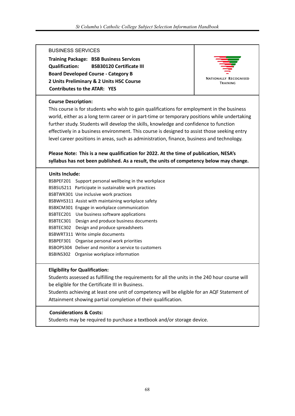#### BUSINESS SERVICES

**Training Package: BSB Business Services Qualification: BSB30120 Certificate III Board Developed Course - Category B 2 Units Preliminary & 2 Units HSC Course Contributes to the ATAR: YES**



### **Course Description:**

This course is for students who wish to gain qualifications for employment in the business world, either as a long term career or in part-time or temporary positions while undertaking further study. Students will develop the skills, knowledge and confidence to function effectively in a business environment. This course is designed to assist those seeking entry level career positions in areas, such as administration, finance, business and technology.

# **Please Note: This is a new qualification for 2022. At the time of publication, NESA's syllabus has not been published. As a result, the units of competency below may change.**

#### **Units Include:**

| BSBPEF201 | Support personal wellbeing in the workplace          |
|-----------|------------------------------------------------------|
|           | BSBSUS211 Participate in sustainable work practices  |
|           | BSBTWK301 Use inclusive work practices               |
|           | BSBWHS311 Assist with maintaining workplace safety   |
|           | BSBXCM301 Engage in workplace communication          |
|           | BSBTEC201 Use business software applications         |
|           | BSBTEC301 Design and produce business documents      |
| BSBTEC302 | Design and produce spreadsheets                      |
|           | BSBWRT311 Write simple documents                     |
| BSBPEF301 | Organise personal work priorities                    |
|           | BSBOPS304 Deliver and monitor a service to customers |
| BSBINS302 | Organise workplace information                       |

#### **Eligibility for Qualification:**

Students assessed as fulfilling the requirements for all the units in the 240 hour course will be eligible for the Certificate III in Business.

Students achieving at least one unit of competency will be eligible for an AQF Statement of Attainment showing partial completion of their qualification.

#### **Considerations & Costs:**

Students may be required to purchase a textbook and/or storage device.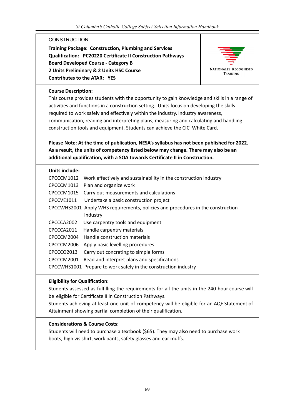# **CONSTRUCTION**

**Training Package: Construction, Plumbing and Services Qualification: PC20220 Certificate II Construction Pathways Board Developed Course - Category B 2 Units Preliminary & 2 Units HSC Course Contributes to the ATAR: YES**



**NATIONALLY RECOGNISED** TRAINING

#### **Course Description:**

This course provides students with the opportunity to gain knowledge and skills in a range of activities and functions in a construction setting. Units focus on developing the skills required to work safely and effectively within the industry, industry awareness, communication, reading and interpreting plans, measuring and calculating and handling construction tools and equipment. Students can achieve the CIC White Card.

# **Please Note: At the time of publication, NESA's syllabus has not been published for 2022. As a result, the units of competency listed below may change. There may also be an additional qualification, with a SOA towards Certificate II in Construction.**

#### **Units include:**

| CPCCCM1012 | Work effectively and sustainability in the construction industry                |
|------------|---------------------------------------------------------------------------------|
| CPCCCM1013 | Plan and organize work                                                          |
| CPCCCM1015 | Carry out measurements and calculations                                         |
| CPCCVE1011 | Undertake a basic construction project                                          |
|            | CPCCWHS2001 Apply WHS requirements, policies and procedures in the construction |
|            | industry                                                                        |
| CPCCCA2002 | Use carpentry tools and equipment                                               |
| CPCCCA2011 | Handle carpentry materials                                                      |
| CPCCCM2004 | Handle construction materials                                                   |
| CPCCCM2006 | Apply basic levelling procedures                                                |
| CPCCCO2013 | Carry out concreting to simple forms                                            |
| CPCCCM2001 | Read and interpret plans and specifications                                     |
|            | CPCCWHS1001 Prepare to work safely in the construction industry                 |

#### **Eligibility for Qualification:**

Students assessed as fulfilling the requirements for all the units in the 240-hour course will be eligible for Certificate II in Construction Pathways.

Students achieving at least one unit of competency will be eligible for an AQF Statement of Attainment showing partial completion of their qualification.

#### **Considerations & Course Costs:**

Students will need to purchase a textbook (\$65). They may also need to purchase work boots, high vis shirt, work pants, safety glasses and ear muffs.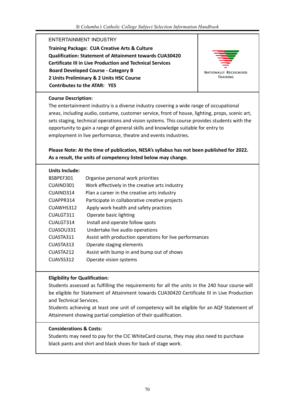# ENTERTAINMENT INDUSTRY

**Training Package: CUA Creative Arts & Culture Qualification: Statement of Attainment towards CUA30420 Certificate III in Live Production and Technical Services Board Developed Course - Category B 2 Units Preliminary & 2 Units HSC Course Contributes to the ATAR: YES**



#### **Course Description:**

The entertainment industry is a diverse industry covering a wide range of occupational areas, including audio, costume, customer service, front of house, lighting, props, scenic art, sets staging, technical operations and vision systems. This course provides students with the opportunity to gain a range of general skills and knowledge suitable for entry to employment in live performance, theatre and events industries.

# **Please Note: At the time of publication, NESA's syllabus has not been published for 2022. As a result, the units of competency listed below may change.**

#### **Units Include:**

| BSBPEF301 | Organise personal work priorities                       |
|-----------|---------------------------------------------------------|
| CUAIND301 | Work effectively in the creative arts industry          |
| CUAIND314 | Plan a career in the creative arts industry             |
| CUAPPR314 | Participate in collaborative creative projects          |
| CUAWHS312 | Apply work health and safety practices                  |
| CUALGT311 | Operate basic lighting                                  |
| CUALGT314 | Install and operate follow spots                        |
| CUASOU331 | Undertake live audio operations                         |
| CUASTA311 | Assist with production operations for live performances |
| CUASTA313 | Operate staging elements                                |
| CUASTA212 | Assist with bump in and bump out of shows               |
| CUAVSS312 | Operate vision systems                                  |

#### **Eligibility for Qualification:**

Students assessed as fulfilling the requirements for all the units in the 240 hour course will be eligible for Statement of Attainment towards CUA30420 Certificate III in Live Production and Technical Services.

Students achieving at least one unit of competency will be eligible for an AQF Statement of Attainment showing partial completion of their qualification.

#### **Considerations & Costs:**

Students may need to pay for the CIC WhiteCard course, they may also need to purchase black pants and shirt and black shoes for back of stage work.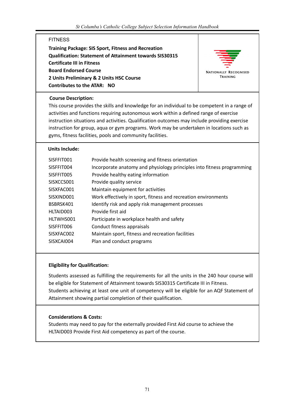### **FITNESS**

**Training Package: SIS Sport, Fitness and Recreation Qualification: Statement of Attainment towards SIS30315 Certificate III in Fitness Board Endorsed Course 2 Units Preliminary & 2 Units HSC Course Contributes to the ATAR: NO**



#### **Course Description:**

This course provides the skills and knowledge for an individual to be competent in a range of activities and functions requiring autonomous work within a defined range of exercise instruction situations and activities. Qualification outcomes may include providing exercise instruction for group, aqua or gym programs. Work may be undertaken in locations such as gyms, fitness facilities, pools and community facilities.

#### **Units Include:**

| SISFFIT001 | Provide health screening and fitness orientation                       |
|------------|------------------------------------------------------------------------|
| SISFFIT004 | Incorporate anatomy and physiology principles into fitness programming |
| SISFFIT005 | Provide healthy eating information                                     |
| SISXCCS001 | Provide quality service                                                |
| SISXFAC001 | Maintain equipment for activities                                      |
| SISXIND001 | Work effectively in sport, fitness and recreation environments         |
| BSBRSK401  | Identify risk and apply risk management processes                      |
| HLTAID003  | Provide first aid                                                      |
| HLTWHS001  | Participate in workplace health and safety                             |
| SISFFIT006 | Conduct fitness appraisals                                             |
| SISXFAC002 | Maintain sport, fitness and recreation facilities                      |
| SISXCAI004 | Plan and conduct programs                                              |

#### **Eligibility for Qualification:**

Students assessed as fulfilling the requirements for all the units in the 240 hour course will be eligible for Statement of Attainment towards SIS30315 Certificate III in Fitness. Students achieving at least one unit of competency will be eligible for an AQF Statement of Attainment showing partial completion of their qualification.

## **Considerations & Costs:**

Students may need to pay for the externally provided First Aid course to achieve the HLTAID003 Provide First Aid competency as part of the course.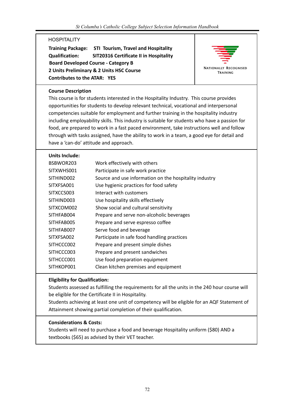# **HOSPITALITY**

**Training Package: STI Tourism, Travel and Hospitality Qualification: SIT20316 Certificate II in Hospitality Board Developed Course - Category B 2 Units Preliminary & 2 Units HSC Course Contributes to the ATAR: YES**



#### **Course Description**

This course is for students interested in the Hospitality Industry. This course provides opportunities for students to develop relevant technical, vocational and interpersonal competencies suitable for employment and further training in the hospitality industry including employability skills. This industry is suitable for students who have a passion for food, are prepared to work in a fast paced environment, take instructions well and follow through with tasks assigned, have the ability to work in a team, a good eye for detail and have a 'can-do' attitude and approach.

#### **Units Include:**

| Work effectively with others                           |
|--------------------------------------------------------|
| Participate in safe work practice                      |
| Source and use information on the hospitality industry |
| Use hygienic practices for food safety                 |
| Interact with customers                                |
| Use hospitality skills effectively                     |
| Show social and cultural sensitivity                   |
| Prepare and serve non-alcoholic beverages              |
| Prepare and serve espresso coffee                      |
| Serve food and beverage                                |
| Participate in safe food handling practices            |
| Prepare and present simple dishes                      |
| Prepare and present sandwiches                         |
| Use food preparation equipment                         |
| Clean kitchen premises and equipment                   |
|                                                        |

#### **Eligibility for Qualification:**

Students assessed as fulfilling the requirements for all the units in the 240 hour course will be eligible for the Certificate II in Hospitality.

Students achieving at least one unit of competency will be eligible for an AQF Statement of Attainment showing partial completion of their qualification.

#### **Considerations & Costs:**

Students will need to purchase a food and beverage Hospitality uniform (\$80) AND a textbooks (\$65) as advised by their VET teacher.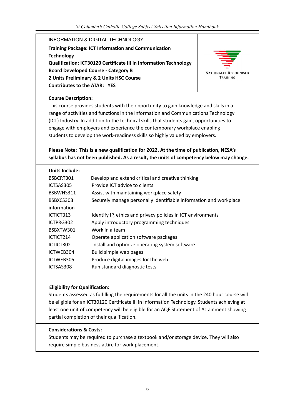## INFORMATION & DIGITAL TECHNOLOGY

**Training Package: ICT Information and Communication Technology Qualification: ICT30120 Certificate III in Information Technology Board Developed Course - Category B 2 Units Preliminary & 2 Units HSC Course Contributes to the ATAR: YES**



#### **Course Description:**

This course provides students with the opportunity to gain knowledge and skills in a range of activities and functions in the Information and Communications Technology (ICT) Industry. In addition to the technical skills that students gain, opportunities to engage with employers and experience the contemporary workplace enabling students to develop the work-readiness skills so highly valued by employers.

## **Please Note: This is a new qualification for 2022. At the time of publication, NESA's syllabus has not been published. As a result, the units of competency below may change.**

#### **Units Include:**

| BSBCRT301   | Develop and extend critical and creative thinking                 |
|-------------|-------------------------------------------------------------------|
| ICTSAS305   | Provide ICT advice to clients                                     |
| BSBWHS311   | Assist with maintaining workplace safety                          |
| BSBXCS303   | Securely manage personally identifiable information and workplace |
| information |                                                                   |
| ICTICT313   | Identify IP, ethics and privacy policies in ICT environments      |
| ICTPRG302   | Apply introductory programming techniques                         |
| BSBXTW301   | Work in a team                                                    |
| ICTICT214   | Operate application software packages                             |
| ICTICT302   | Install and optimize operating system software                    |
| ICTWEB304   | Build simple web pages                                            |
| ICTWEB305   | Produce digital images for the web                                |
| ICTSAS308   | Run standard diagnostic tests                                     |
|             |                                                                   |

#### **Eligibility for Qualification:**

Students assessed as fulfilling the requirements for all the units in the 240 hour course will be eligible for an ICT30120 Certificate III in Information Technology. Students achieving at least one unit of competency will be eligible for an AQF Statement of Attainment showing partial completion of their qualification.

#### **Considerations & Costs:**

Students may be required to purchase a textbook and/or storage device. They will also require simple business attire for work placement.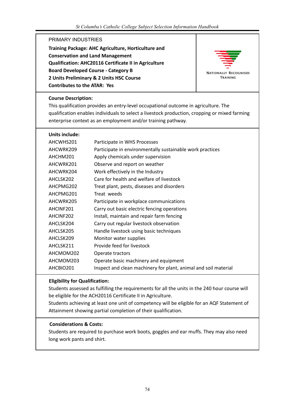#### PRIMARY INDUSTRIES

**Training Package: AHC Agriculture, Horticulture and Conservation and Land Management Qualification: AHC20116 Certificate II in Agriculture Board Developed Course - Category B 2 Units Preliminary & 2 Units HSC Course Contributes to the ATAR: Yes**



#### **Course Description:**

This qualification provides an entry-level occupational outcome in agriculture. The qualification enables individuals to select a livestock production, cropping or mixed farming enterprise context as an employment and/or training pathway.

#### **Units include:**

| AHCWHS201 | Participate in WHS Processes                                    |
|-----------|-----------------------------------------------------------------|
| AHCWRK209 | Participate in environmentally sustainable work practices       |
| AHCHM201  | Apply chemicals under supervision                               |
| AHCWRK201 | Observe and report on weather                                   |
| AHCWRK204 | Work effectively in the Industry                                |
| AHCLSK202 | Care for health and welfare of livestock                        |
| AHCPMG202 | Treat plant, pests, diseases and disorders                      |
| AHCPMG201 | Treat weeds                                                     |
| AHCWRK205 | Participate in workplace communications                         |
| AHCINF201 | Carry out basic electric fencing operations                     |
| AHCINF202 | Install, maintain and repair farm fencing                       |
| AHCLSK204 | Carry out regular livestock observation                         |
| AHCLSK205 | Handle livestock using basic techniques                         |
| AHCLSK209 | Monitor water supplies                                          |
| AHCLSK211 | Provide feed for livestock                                      |
| AHCMOM202 | Operate tractors                                                |
| AHCMOM203 | Operate basic machinery and equipment                           |
| AHCBIO201 | Inspect and clean machinery for plant, animal and soil material |

#### **Eligibility for Qualification:**

Students assessed as fulfilling the requirements for all the units in the 240 hour course will be eligible for the ACH20116 Certificate II in Agriculture.

Students achieving at least one unit of competency will be eligible for an AQF Statement of Attainment showing partial completion of their qualification.

#### **Considerations & Costs:**

Students are required to purchase work boots, goggles and ear muffs. They may also need long work pants and shirt.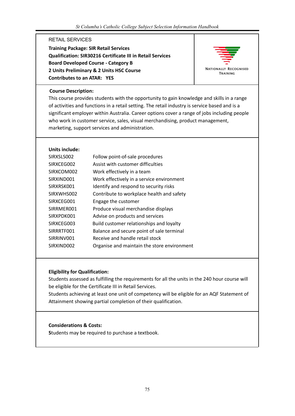#### RETAIL SERVICES

**Training Package: SIR Retail Services Qualification: SIR30216 Certificate III in Retail Services Board Developed Course - Category B 2 Units Preliminary & 2 Units HSC Course Contributes to an ATAR: YES**



#### **Course Description:**

This course provides students with the opportunity to gain knowledge and skills in a range of activities and functions in a retail setting. The retail industry is service based and is a significant employer within Australia. Career options cover a range of jobs including people who work in customer service, sales, visual merchandising, product management, marketing, support services and administration.

#### **Units include:**

| SIRXSLS002 | Follow point-of-sale procedures             |
|------------|---------------------------------------------|
| SIRXCEG002 | Assist with customer difficulties           |
| SIRXCOM002 | Work effectively in a team                  |
| SIRXIND001 | Work effectively in a service environment   |
| SIRXRSK001 | Identify and respond to security risks      |
| SIRXWHS002 | Contribute to workplace health and safety   |
| SIRXCEG001 | Engage the customer                         |
| SIRRMER001 | Produce visual merchandise displays         |
| SIRXPDK001 | Advise on products and services             |
| SIRXCEG003 | Build customer relationships and loyalty    |
| SIRRRTF001 | Balance and secure point of sale terminal   |
| SIRRINV001 | Receive and handle retail stock             |
| SIRXIND002 | Organise and maintain the store environment |
|            |                                             |

#### **Eligibility for Qualification:**

Students assessed as fulfilling the requirements for all the units in the 240 hour course will be eligible for the Certificate III in Retail Services.

Students achieving at least one unit of competency will be eligible for an AQF Statement of Attainment showing partial completion of their qualification.

#### **Considerations & Costs:**

**S**tudents may be required to purchase a textbook.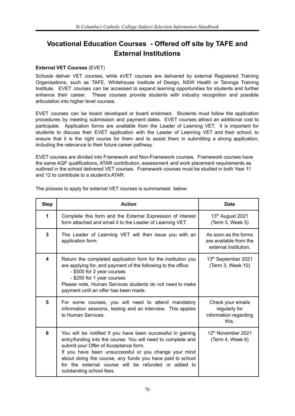# **Vocational Education Courses - Offered off site by TAFE and External Institutions**

#### **External VET Courses** (EVET)

Schools deliver VET courses, while eVET courses are delivered by external Registered Training Organisations, such as TAFE, Whitehouse Institute of Design, NSW Health or Taronga Training Institute. EVET courses can be accessed to expand learning opportunities for students and further enhance their career. These courses provide students with industry recognition and possible articulation into higher level courses.

EVET courses can be board developed or board endorsed. Students must follow the application procedures by meeting submission and payment dates. EVET courses attract an additional cost to participate. Application forms are available from the Leader of Learning VET. It is important for students to discuss their EVET application with the Leader of Learning VET and their school, to ensure that it is the right course for them and to assist them in submitting a strong application, including the relevance to their future career pathway.

EVET courses are divided into Framework and Non-Framework courses. Framework courses have the same AQF qualifications, ATAR contribution, assessment and work placement requirements as outlined in the school delivered VET courses. Framework courses must be studied in both Year 11 and 12 to contribute to a student's ATAR.

| <b>Step</b> | <b>Action</b>                                                                                                                                                                                                                                                                                                                                                                  | <b>Date</b>                                                             |
|-------------|--------------------------------------------------------------------------------------------------------------------------------------------------------------------------------------------------------------------------------------------------------------------------------------------------------------------------------------------------------------------------------|-------------------------------------------------------------------------|
| 1           | Complete this form and the External Expression of interest<br>form attached and email it to the Leader of Learning VET.                                                                                                                                                                                                                                                        | 13 <sup>th</sup> August 2021<br>(Term 3, Week 5)                        |
| 3           | The Leader of Learning VET will then issue you with an<br>application form.                                                                                                                                                                                                                                                                                                    | As soon as the forms<br>are available from the<br>external institution. |
| 4           | Return the completed application form for the institution you<br>are applying for, and payment of the following to the office:<br>- \$500 for 2 year courses<br>- \$250 for 1 year courses<br>Please note, Human Services students do not need to make<br>payment until an offer has been made.                                                                                | 13 <sup>th</sup> September 2021<br>(Term 3, Week 10)                    |
| 5           | For some courses, you will need to attend mandatory<br>information sessions, testing and an interview. This applies<br>to Human Services.                                                                                                                                                                                                                                      | Check your emails<br>regularly for<br>information regarding<br>this.    |
| 6           | You will be notified if you have been successful in gaining<br>entry/funding into the course. You will need to complete and<br>submit your Offer of Acceptance form.<br>If you have been unsuccessful or you change your mind<br>about doing the course, any funds you have paid to school<br>for the external course will be refunded or added to<br>outstanding school fees. | 12 <sup>th</sup> November 2021<br>(Term 4, Week 6)                      |

The process to apply for external VET courses is summarised below: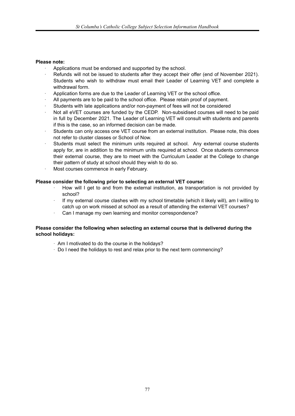#### **Please note:**

- Applications must be endorsed and supported by the school.
- Refunds will not be issued to students after they accept their offer (end of November 2021). Students who wish to withdraw must email their Leader of Learning VET and complete a withdrawal form.
- Application forms are due to the Leader of Learning VET or the school office.
- · All payments are to be paid to the school office. Please retain proof of payment.
- Students with late applications and/or non-payment of fees will not be considered
- · Not all eVET courses are funded by the CEDP. Non-subsidised courses will need to be paid in full by December 2021. The Leader of Learning VET will consult with students and parents if this is the case, so an informed decision can be made.
- Students can only access one VET course from an external institution. Please note, this does not refer to cluster classes or School of Now.
- Students must select the minimum units required at school. Any external course students apply for, are in addition to the minimum units required at school. Once students commence their external course, they are to meet with the Curriculum Leader at the College to change their pattern of study at school should they wish to do so.
- Most courses commence in early February.

#### **Please consider the following prior to selecting an external VET course:**

- · How will I get to and from the external institution, as transportation is not provided by school?
- If my external course clashes with my school timetable (which it likely will), am I willing to catch up on work missed at school as a result of attending the external VET courses?
- Can I manage my own learning and monitor correspondence?

#### **Please consider the following when selecting an external course that is delivered during the school holidays:**

- · Am I motivated to do the course in the holidays?
- · Do I need the holidays to rest and relax prior to the next term commencing?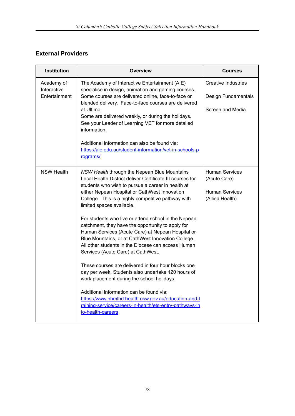# **External Providers**

| <b>Institution</b>                         | <b>Overview</b>                                                                                                                                                                                                                                                                                                                                                                                                                                                                                                                                                                                                                                                                                                                                                                                                                                                                                                                                                       | <b>Courses</b>                                                                    |
|--------------------------------------------|-----------------------------------------------------------------------------------------------------------------------------------------------------------------------------------------------------------------------------------------------------------------------------------------------------------------------------------------------------------------------------------------------------------------------------------------------------------------------------------------------------------------------------------------------------------------------------------------------------------------------------------------------------------------------------------------------------------------------------------------------------------------------------------------------------------------------------------------------------------------------------------------------------------------------------------------------------------------------|-----------------------------------------------------------------------------------|
| Academy of<br>Interactive<br>Entertainment | The Academy of Interactive Entertainment (AIE)<br>specialise in design, animation and gaming courses.<br>Some courses are delivered online, face-to-face or<br>blended delivery. Face-to-face courses are delivered<br>at Ultimo.<br>Some are delivered weekly, or during the holidays.<br>See your Leader of Learning VET for more detailed<br>information.<br>Additional information can also be found via:<br>https://aie.edu.au/student-information/vet-in-schools-p                                                                                                                                                                                                                                                                                                                                                                                                                                                                                              | <b>Creative Industries</b><br>Design Fundamentals<br>Screen and Media             |
|                                            | rograms/                                                                                                                                                                                                                                                                                                                                                                                                                                                                                                                                                                                                                                                                                                                                                                                                                                                                                                                                                              |                                                                                   |
| <b>NSW Health</b>                          | NSW Health through the Nepean Blue Mountains<br>Local Health District deliver Certificate III courses for<br>students who wish to pursue a career in health at<br>either Nepean Hospital or CathWest Innovation<br>College. This is a highly competitive pathway with<br>limited spaces available.<br>For students who live or attend school in the Nepean<br>catchment, they have the opportunity to apply for<br>Human Services (Acute Care) at Nepean Hospital or<br>Blue Mountains, or at CathWest Innovation College.<br>All other students in the Diocese can access Human<br>Services (Acute Care) at CathWest.<br>These courses are delivered in four hour blocks one<br>day per week. Students also undertake 120 hours of<br>work placement during the school holidays.<br>Additional information can be found via:<br>https://www.nbmlhd.health.nsw.gov.au/education-and-t<br>raining-service/careers-in-health/ets-entry-pathways-in<br>to-health-careers | <b>Human Services</b><br>(Acute Care)<br><b>Human Services</b><br>(Allied Health) |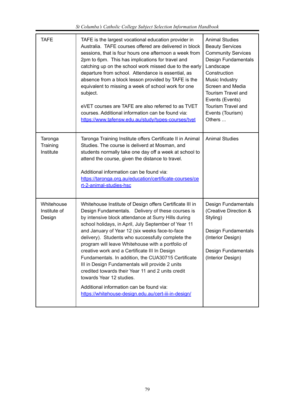| <b>TAFE</b>                          | TAFE is the largest vocational education provider in<br>Australia. TAFE courses offered are delivered in block<br>sessions, that is four hours one afternoon a week from<br>2pm to 6pm. This has implications for travel and<br>catching up on the school work missed due to the early<br>departure from school. Attendance is essential, as<br>absence from a block lesson provided by TAFE is the<br>equivalent to missing a week of school work for one<br>subject.<br>eVET courses are TAFE are also referred to as TVET<br>courses. Additional information can be found via:<br>https://www.tafensw.edu.au/study/types-courses/tvet                                                                                                 | <b>Animal Studies</b><br><b>Beauty Services</b><br><b>Community Services</b><br>Design Fundamentals<br>Landscape<br>Construction<br>Music Industry<br>Screen and Media<br><b>Tourism Travel and</b><br>Events (Events)<br>Tourism Travel and<br>Events (Tourism)<br>Others |
|--------------------------------------|------------------------------------------------------------------------------------------------------------------------------------------------------------------------------------------------------------------------------------------------------------------------------------------------------------------------------------------------------------------------------------------------------------------------------------------------------------------------------------------------------------------------------------------------------------------------------------------------------------------------------------------------------------------------------------------------------------------------------------------|----------------------------------------------------------------------------------------------------------------------------------------------------------------------------------------------------------------------------------------------------------------------------|
| Taronga<br>Training<br>Institute     | Taronga Training Institute offers Certificate II in Animal<br>Studies. The course is deliverd at Mosman, and<br>students normally take one day off a week at school to<br>attend the course, given the distance to travel.<br>Additional information can be found via:<br>https://taronga.org.au/education/certificate-courses/ce<br>rt-2-animal-studies-hsc                                                                                                                                                                                                                                                                                                                                                                             | <b>Animal Studies</b>                                                                                                                                                                                                                                                      |
| Whitehouse<br>Institute of<br>Design | Whitehouse Institute of Design offers Certificate III in<br>Design Fundamentals. Delivery of these courses is<br>by intensive block attendance at Surry Hills during<br>school holidays, in April, July September of Year 11<br>and January of Year 12 (six weeks face-to-face<br>delivery). Students who successfully complete the<br>program will leave Whitehouse with a portfolio of<br>creative work and a Certificate III In Design<br>Fundamentals. In addition, the CUA30715 Certificate<br>III in Design Fundamentals will provide 2 units<br>credited towards their Year 11 and 2 units credit<br>towards Year 12 studies.<br>Additional information can be found via:<br>https://whitehouse-design.edu.au/cert-iii-in-design/ | Design Fundamentals<br>(Creative Direction &<br>Styling)<br><b>Design Fundamentals</b><br>(Interior Design)<br>Design Fundamentals<br>(Interior Design)                                                                                                                    |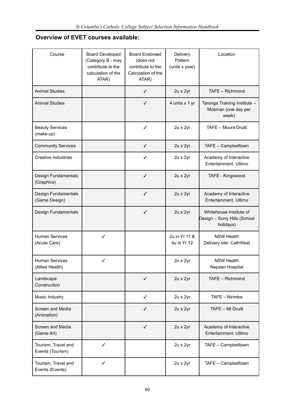## **Overview of EVET courses available:**

| Course                                   | <b>Board Developed</b><br>(Category B - may<br>contribute to the<br>calculation of the<br>ATAR) | <b>Board Endorsed</b><br>(does not<br>contribute to the<br>Calculation of the<br>ATAR) | Delivery<br>Pattern<br>(units x year) | Location                                                             |
|------------------------------------------|-------------------------------------------------------------------------------------------------|----------------------------------------------------------------------------------------|---------------------------------------|----------------------------------------------------------------------|
| <b>Animal Studies</b>                    |                                                                                                 | $\checkmark$                                                                           | 2u x 2yr                              | TAFE - Richmond                                                      |
| <b>Animal Studies</b>                    |                                                                                                 | $\checkmark$                                                                           | 4 units x 1 yr                        | Taronga Training Institute -<br>Mosman (one day per<br>week)         |
| <b>Beauty Services</b><br>(make-up)      |                                                                                                 | ✓                                                                                      | 2u x 2yr                              | TAFE - Mount Druitt                                                  |
| <b>Community Services</b>                |                                                                                                 | $\checkmark$                                                                           | 2u x 2yr                              | TAFE - Campbelltown                                                  |
| <b>Creative Industries</b>               |                                                                                                 | ✓                                                                                      | 2u x 2yr                              | Academy of Interactive<br>Entertainment, Ultimo                      |
| Design Fundamentals<br>(Graphics)        |                                                                                                 | $\checkmark$                                                                           | 2u x 2yr                              | TAFE - Kingswood                                                     |
| Design Fundamentals<br>(Game Design)     |                                                                                                 | $\checkmark$                                                                           | 2u x 2yr                              | Academy of Interactive<br>Entertainment, Ultimo                      |
| Design Fundamentals                      |                                                                                                 | ✓                                                                                      | 2u x 2yr                              | Whitehouse Institute of<br>Design - Surry Hills (School<br>holidays) |
| <b>Human Services</b><br>(Acute Care)    | ✓                                                                                               |                                                                                        | 2u in Yr 11 &<br>4u in Yr 12          | <b>NSW Health</b><br>Delivery site: CathWest                         |
| <b>Human Services</b><br>(Allied Health) | ✓                                                                                               |                                                                                        | 2u x 2yr                              | <b>NSW Health</b><br>Nepean Hospital                                 |
| Landscape<br>Construction                |                                                                                                 | ✓                                                                                      | 2u x 2yr                              | TAFE - Richmond                                                      |
| Music Industry                           |                                                                                                 | $\checkmark$                                                                           | 2u x 2yr                              | TAFE - Nirimba                                                       |
| Screen and Media<br>(Animation)          |                                                                                                 | ✓                                                                                      | 2u x 2yr                              | TAFE - Mt Druitt                                                     |
| Screen and Media<br>(Game Art)           |                                                                                                 | $\checkmark$                                                                           | 2u x 2yr                              | Academy of Interactive<br>Entertainment, Ulitmo                      |
| Tourism, Travel and<br>Events (Tourism)  | ✓                                                                                               |                                                                                        | 2u x 2yr                              | TAFE - Campbelltown                                                  |
| Tourism, Travel and<br>Events (Events)   | ✓                                                                                               |                                                                                        | 2u x 2yr                              | TAFE - Campbelltown                                                  |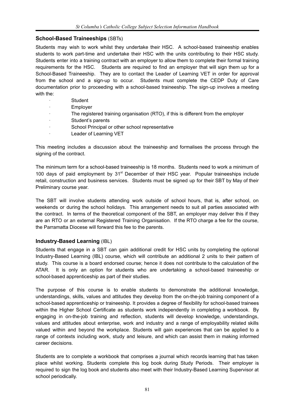## **School-Based Traineeships** (SBTs)

Students may wish to work whilst they undertake their HSC. A school-based traineeship enables students to work part-time and undertake their HSC with the units contributing to their HSC study. Students enter into a training contract with an employer to allow them to complete their formal training requirements for the HSC. Students are required to find an employer that will sign them up for a School-Based Traineeship. They are to contact the Leader of Learning VET in order for approval from the school and a sign-up to occur. Students must complete the CEDP Duty of Care documentation prior to proceeding with a school-based traineeship. The sign-up involves a meeting with the:

- **Student**
- **Employer**
- The registered training organisation (RTO), if this is different from the employer
- Student's parents
- School Principal or other school representative
- Leader of Learning VET

This meeting includes a discussion about the traineeship and formalises the process through the signing of the contract.

The minimum term for a school-based traineeship is 18 months. Students need to work a minimum of 100 days of paid employment by  $31<sup>st</sup>$  December of their HSC year. Popular traineeships include retail, construction and business services. Students must be signed up for their SBT by May of their Preliminary course year.

The SBT will involve students attending work outside of school hours, that is, after school, on weekends or during the school holidays. This arrangement needs to suit all parties associated with the contract. In terms of the theoretical component of the SBT, an employer may deliver this if they are an RTO or an external Registered Training Organisation. If the RTO charge a fee for the course, the Parramatta Diocese will forward this fee to the parents.

#### **Industry-Based Learning** (IBL)

Students that engage in a SBT can gain additional credit for HSC units by completing the optional Industry-Based Learning (IBL) course, which will contribute an additional 2 units to their pattern of study. This course is a board endorsed course; hence it does not contribute to the calculation of the ATAR. It is only an option for students who are undertaking a school-based traineeship or school-based apprenticeship as part of their studies.

The purpose of this course is to enable students to demonstrate the additional knowledge, understandings, skills, values and attitudes they develop from the on-the-job training component of a school-based apprenticeship or traineeship. It provides a degree of flexibility for school-based trainees within the Higher School Certificate as students work independently in completing a workbook. By engaging in on-the-job training and reflection, students will develop knowledge, understandings, values and attitudes about enterprise, work and industry and a range of employability related skills valued within and beyond the workplace. Students will gain experiences that can be applied to a range of contexts including work, study and leisure, and which can assist them in making informed career decisions.

Students are to complete a workbook that comprises a journal which records learning that has taken place whilst working. Students complete this log book during Study Periods. Their employer is required to sign the log book and students also meet with their Industry-Based Learning Supervisor at school periodically.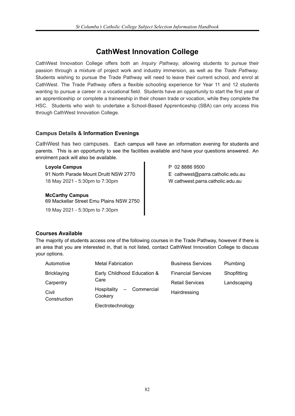# **CathWest Innovation College**

CathWest Innovation College offers both an *Inquiry Pathway*, allowing students to pursue their passion through a mixture of project work and industry immersion, as well as the *Trade Pathway*. Students wishing to pursue the Trade Pathway will need to leave their current school, and enrol at CathWest. The Trade Pathway offers a flexible schooling experience for Year 11 and 12 students wanting to pursue a career in a vocational field. Students have an opportunity to start the first year of an apprenticeship or complete a traineeship in their chosen trade or vocation, while they complete the HSC. Students who wish to undertake a School-Based Apprenticeship (SBA) can only access this through CathWest Innovation College.

### **Campus Details & Information Evenings**

CathWest has two campuses. Each campus will have an information evening for students and parents. This is an opportunity to see the facilities available and have your questions answered. An enrolment pack will also be available.

#### **Loyola Campus**

91 North Parade Mount Druitt NSW 2770 18 May 2021 - 5:30pm to 7:30pm

**McCarthy Campus** 69 Mackellar Street Emu Plains NSW 2750 19 May 2021 - 5:30pm to 7:30pm

P 02 8886 9500 E cathwest@parra.catholic.edu.au W cathwest.parra.catholic.edu.au

## **Courses Available**

The majority of students access one of the following courses in the Trade Pathway, however if there is an area that you are interested in, that is not listed, contact CathWest Innovation College to discuss your options.

| Automotive            | <b>Metal Fabrication</b>               | <b>Business Services</b>  | Plumbing    |
|-----------------------|----------------------------------------|---------------------------|-------------|
| <b>Bricklaying</b>    | Early Childhood Education &            | <b>Financial Services</b> | Shopfitting |
| Carpentry             | Care                                   | <b>Retail Services</b>    | Landscaping |
| Civil<br>Construction | - Commercial<br>Hospitality<br>Cookery | Hairdressing              |             |
|                       | Electrotechnology                      |                           |             |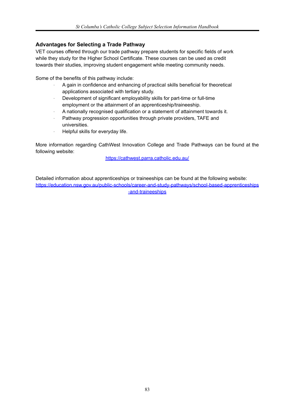## **Advantages for Selecting a Trade Pathway**

VET courses offered through our trade pathway prepare students for specific fields of work while they study for the Higher School Certificate. These courses can be used as credit towards their studies, improving student engagement while meeting community needs.

Some of the benefits of this pathway include:

- · A gain in confidence and enhancing of practical skills beneficial for theoretical applications associated with tertiary study.
- · Development of significant employability skills for part-time or full-time employment or the attainment of an apprenticeship/traineeship.
- · A nationally recognised qualification or a statement of attainment towards it.
- Pathway progression opportunities through private providers, TAFE and universities.
- Helpful skills for everyday life.

More information regarding CathWest Innovation College and Trade Pathways can be found at the following website:

<https://cathwest.parra.catholic.edu.au/>

Detailed information about apprenticeships or traineeships can be found at the following website: [https://education.nsw.gov.au/public-schools/career-and-study-pathways/school-based-apprenticeships](https://education.nsw.gov.au/public-schools/career-and-study-pathways/school-based-apprenticeships-and-traineeships) [-and-traineeships](https://education.nsw.gov.au/public-schools/career-and-study-pathways/school-based-apprenticeships-and-traineeships)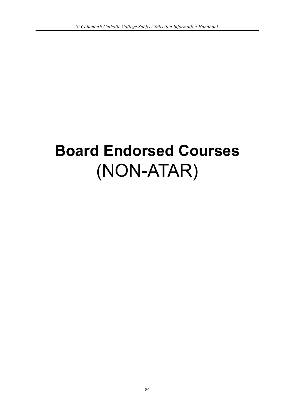# **Board Endorsed Courses** (NON-ATAR)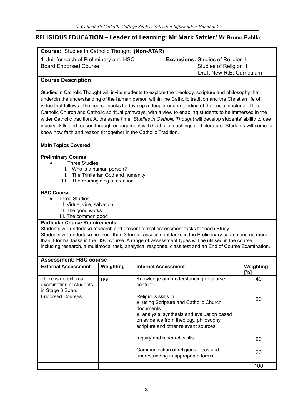## **RELIGIOUS EDUCATION – Leader of Learning: Mr Mark Sattler/ Mr Bruno Pahlke**

| <b>Course: Studies in Catholic Thought (Non-ATAR)</b> |                                          |  |  |  |
|-------------------------------------------------------|------------------------------------------|--|--|--|
| 1 Unit for each of Preliminary and HSC                | <b>Exclusions: Studies of Religion I</b> |  |  |  |
| <b>Board Endorsed Course</b>                          | <b>Studies of Religion II</b>            |  |  |  |
|                                                       | Draft New R.E. Curriculum                |  |  |  |
| <b>Course Description</b>                             |                                          |  |  |  |
|                                                       |                                          |  |  |  |

Studies in Catholic Thought will invite students to explore the theology, scripture and philosophy that underpin the understanding of the human person within the Catholic tradition and the Christian life of virtue that follows. The course seeks to develop a deeper understanding of the social doctrine of the Catholic Church and Catholic spiritual pathways, with a view to enabling students to be immersed in the wider Catholic tradition. At the same time, *Studies in Catholic Thought* will develop students' ability to use inquiry skills and reason through engagement with Catholic teachings and literature. Students will come to know how faith and reason fit together in the Catholic Tradition.

#### **Main Topics Covered**

#### **Preliminary Course**

- **Three Studies** 
	- I. Who is a human person?
	- II. The Trinitarian God and humanity
	- III. The re-imagining of creation

#### **HSC Course**

- **Three Studies** 
	- I. Virtue, vice, salvation
	- II. The good works
	- III. The common good

#### **Particular Course Requirements:**

Students will undertake research and present formal assessment tasks for each Study. Students will undertake no more than 3 formal assessment tasks in the Preliminary course and no more than 4 formal tasks in the HSC course. A range of assessment types will be utilised in the course, including research, a multimodal task, analytical response, class test and an End of Course Examination.

| <b>Assessment: HSC course</b>                                       |           |                                                                                                                                                                                                            |                  |  |
|---------------------------------------------------------------------|-----------|------------------------------------------------------------------------------------------------------------------------------------------------------------------------------------------------------------|------------------|--|
| <b>External Assessment</b>                                          | Weighting | <b>Internal Assessment</b>                                                                                                                                                                                 | Weighting<br>[%] |  |
| There is no external<br>examination of students<br>in Stage 6 Board | n/a       | Knowledge and understanding of course<br>content                                                                                                                                                           | 40               |  |
| <b>Endorsed Courses.</b>                                            |           | Religious skills in:<br>• using Scripture and Catholic Church<br>documents<br>• analysis, synthesis and evaluation based<br>on evidence from theology, philosophy,<br>scripture and other relevant sources | 20               |  |
|                                                                     |           | Inquiry and research skills                                                                                                                                                                                | 20               |  |
|                                                                     |           | Communication of religious ideas and<br>understanding in appropriate forms                                                                                                                                 | 20               |  |
|                                                                     |           |                                                                                                                                                                                                            | 100              |  |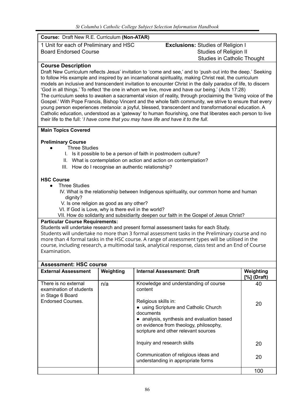| Course: Draft New R.E. Curriculum (Non-ATAR)                                                                                                                                                                                                                                                                                                                                                                                                                                                                                                                                                                                                                                                                                                                                                                                                                                                                                                                                                 |                                                                                         |  |  |
|----------------------------------------------------------------------------------------------------------------------------------------------------------------------------------------------------------------------------------------------------------------------------------------------------------------------------------------------------------------------------------------------------------------------------------------------------------------------------------------------------------------------------------------------------------------------------------------------------------------------------------------------------------------------------------------------------------------------------------------------------------------------------------------------------------------------------------------------------------------------------------------------------------------------------------------------------------------------------------------------|-----------------------------------------------------------------------------------------|--|--|
| 1 Unit for each of Preliminary and HSC                                                                                                                                                                                                                                                                                                                                                                                                                                                                                                                                                                                                                                                                                                                                                                                                                                                                                                                                                       | <b>Exclusions: Studies of Religion I</b>                                                |  |  |
| <b>Board Endorsed Course</b>                                                                                                                                                                                                                                                                                                                                                                                                                                                                                                                                                                                                                                                                                                                                                                                                                                                                                                                                                                 | <b>Studies of Religion II</b>                                                           |  |  |
|                                                                                                                                                                                                                                                                                                                                                                                                                                                                                                                                                                                                                                                                                                                                                                                                                                                                                                                                                                                              | <b>Studies in Catholic Thought</b>                                                      |  |  |
| <b>Course Description</b>                                                                                                                                                                                                                                                                                                                                                                                                                                                                                                                                                                                                                                                                                                                                                                                                                                                                                                                                                                    |                                                                                         |  |  |
| Draft New Curriculum reflects Jesus' invitation to 'come and see,' and to 'push out into the deep.' Seeking<br>to follow His example and inspired by an incarnational spirituality, making Christ real, the curriculum<br>models an inclusive and transcendent invitation to encounter Christ in the daily paradox of life, to discern<br>'God in all things.' To reflect 'the one in whom we live, move and have our being.' (Acts 17:28)<br>The curriculum seeks to awaken a sacramental vision of reality, through proclaiming the 'living voice of the<br>Gospel.' With Pope Francis, Bishop Vincent and the whole faith community, we strive to ensure that every<br>young person experiences <i>metanoia</i> : a joyful, blessed, transcendent and transformational education. A<br>Catholic education, understood as a 'gateway' to human flourishing, one that liberates each person to live<br>their life to the full: 'I have come that you may have life and have it to the full. |                                                                                         |  |  |
| <b>Main Topics Covered</b><br><b>Preliminary Course</b><br><b>Three Studies</b>                                                                                                                                                                                                                                                                                                                                                                                                                                                                                                                                                                                                                                                                                                                                                                                                                                                                                                              |                                                                                         |  |  |
| I. Is it possible to be a person of faith in postmodern culture?                                                                                                                                                                                                                                                                                                                                                                                                                                                                                                                                                                                                                                                                                                                                                                                                                                                                                                                             |                                                                                         |  |  |
| II. What is contemplation on action and action on contemplation?                                                                                                                                                                                                                                                                                                                                                                                                                                                                                                                                                                                                                                                                                                                                                                                                                                                                                                                             |                                                                                         |  |  |
| III. How do I recognise an authentic relationship?                                                                                                                                                                                                                                                                                                                                                                                                                                                                                                                                                                                                                                                                                                                                                                                                                                                                                                                                           |                                                                                         |  |  |
| <b>HSC Course</b>                                                                                                                                                                                                                                                                                                                                                                                                                                                                                                                                                                                                                                                                                                                                                                                                                                                                                                                                                                            |                                                                                         |  |  |
| <b>Three Studies</b>                                                                                                                                                                                                                                                                                                                                                                                                                                                                                                                                                                                                                                                                                                                                                                                                                                                                                                                                                                         |                                                                                         |  |  |
| dignity?                                                                                                                                                                                                                                                                                                                                                                                                                                                                                                                                                                                                                                                                                                                                                                                                                                                                                                                                                                                     | IV. What is the relationship between Indigenous spirituality, our common home and human |  |  |
| V. Is one religion as good as any other?                                                                                                                                                                                                                                                                                                                                                                                                                                                                                                                                                                                                                                                                                                                                                                                                                                                                                                                                                     |                                                                                         |  |  |
| VI. If God is Love, why is there evil in the world?                                                                                                                                                                                                                                                                                                                                                                                                                                                                                                                                                                                                                                                                                                                                                                                                                                                                                                                                          |                                                                                         |  |  |
| VII. How do solidarity and subsidiarity deepen our faith in the Gospel of Jesus Christ?                                                                                                                                                                                                                                                                                                                                                                                                                                                                                                                                                                                                                                                                                                                                                                                                                                                                                                      |                                                                                         |  |  |

### **Particular Course Requirements:**

Students will undertake research and present formal assessment tasks for each Study. Students will undertake no more than 3 formal assessment tasks in the Preliminary course and no more than 4 formal tasks in the HSC course. A range of assessment types will be utilised in the course, including research, a multimodal task, analytical response, class test and an End of Course Examination.

| <b>Assessment: HSC course</b>                                       |           |                                                                                                                                                                                                            |                            |  |
|---------------------------------------------------------------------|-----------|------------------------------------------------------------------------------------------------------------------------------------------------------------------------------------------------------------|----------------------------|--|
| <b>External Assessment</b>                                          | Weighting | <b>Internal Assessment: Draft</b>                                                                                                                                                                          | Weighting<br>$[%]$ (Draft) |  |
| There is no external<br>examination of students<br>in Stage 6 Board | n/a       | Knowledge and understanding of course<br>content                                                                                                                                                           | 40                         |  |
| <b>Endorsed Courses.</b>                                            |           | Religious skills in:<br>• using Scripture and Catholic Church<br>documents<br>• analysis, synthesis and evaluation based<br>on evidence from theology, philosophy,<br>scripture and other relevant sources | 20                         |  |
|                                                                     |           | Inquiry and research skills                                                                                                                                                                                | 20                         |  |
|                                                                     |           | Communication of religious ideas and<br>understanding in appropriate forms                                                                                                                                 | 20                         |  |
|                                                                     |           |                                                                                                                                                                                                            | 100                        |  |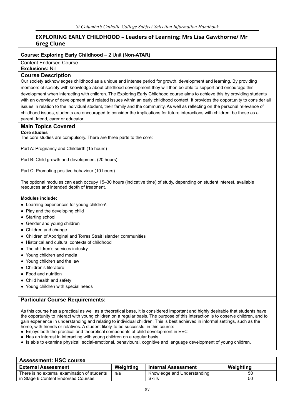## **EXPLORING EARLY CHILDHOOD – Leaders of Learning: Mrs Lisa Gawthorne/ Mr Greg Clune**

#### **Course: Exploring Early Childhood** – 2 Unit **(Non-ATAR)**

Content Endorsed Course

#### **Exclusions:** Nil

#### **Course Description**

Our society acknowledges childhood as a unique and intense period for growth, development and learning. By providing members of society with knowledge about childhood development they will then be able to support and encourage this development when interacting with children. The Exploring Early Childhood course aims to achieve this by providing students with an overview of development and related issues within an early childhood context. It provides the opportunity to consider all issues in relation to the individual student, their family and the community. As well as reflecting on the personal relevance of childhood issues, students are encouraged to consider the implications for future interactions with children, be these as a parent, friend, carer or educator.

#### **Main Topics Covered**

#### **Core studies**

The core studies are compulsory. There are three parts to the core:

Part A: Pregnancy and Childbirth (15 hours)

Part B: Child growth and development (20 hours)

Part C: Promoting positive behaviour (10 hours)

The optional modules can each occupy 15–30 hours (indicative time) of study, depending on student interest, available resources and intended depth of treatment.

#### **Modules include:**

- Learning experiences for young children\
- Play and the developing child
- Starting school
- Gender and young children
- Children and change
- Children of Aboriginal and Torres Strait Islander communities
- Historical and cultural contexts of childhood
- The children's services industry
- Young children and media
- Young children and the law
- Children's literature
- Food and nutrition
- Child health and safety
- Young children with special needs

#### **Particular Course Requirements:**

As this course has a practical as well as a theoretical base, it is considered important and highly desirable that students have the opportunity to interact with young children on a regular basis. The purpose of this interaction is to observe children, and to gain experience in understanding and relating to individual children. This is best achieved in informal settings, such as the home, with friends or relatives. A student likely to be successful in this course:

- Enjoys both the practical and theoretical components of child development in EEC
- Has an interest in interacting with young children on a regular basis
- Is able to examine physical, social-emotional, behavioural, cognitive and language development of young children.

| <b>Assessment: HSC course</b>                |           |                             |           |
|----------------------------------------------|-----------|-----------------------------|-----------|
| <b>External Assessment</b>                   | Weighting | <b>Internal Assessment</b>  | Weighting |
| There is no external examination of students | n/a       | Knowledge and Understanding | 50        |
| in Stage 6 Content Endorsed Courses.         |           | Skills                      | 50        |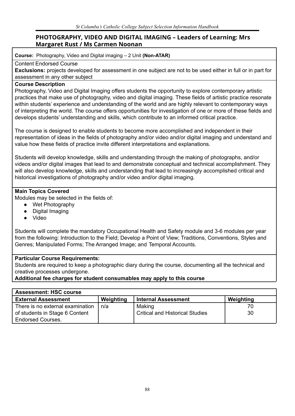## **PHOTOGRAPHY, VIDEO AND DIGITAL IMAGING – Leaders of Learning: Mrs Margaret Rust / Ms Carmen Noonan**

**Course:** Photography, Video and Digital imaging – 2 Unit **(Non-ATAR)**

## Content Endorsed Course

**Exclusions:** projects developed for assessment in one subject are not to be used either in full or in part for assessment in any other subject

## **Course Description**

Photography, Video and Digital Imaging offers students the opportunity to explore contemporary artistic practices that make use of photography, video and digital imaging. These fields of artistic practice resonate within students' experience and understanding of the world and are highly relevant to contemporary ways of interpreting the world. The course offers opportunities for investigation of one or more of these fields and develops students' understanding and skills, which contribute to an informed critical practice.

The course is designed to enable students to become more accomplished and independent in their representation of ideas in the fields of photography and/or video and/or digital imaging and understand and value how these fields of practice invite different interpretations and explanations.

Students will develop knowledge, skills and understanding through the making of photographs, and/or videos and/or digital images that lead to and demonstrate conceptual and technical accomplishment. They will also develop knowledge, skills and understanding that lead to increasingly accomplished critical and historical investigations of photography and/or video and/or digital imaging.

## **Main Topics Covered**

Modules may be selected in the fields of:

- Wet Photography
- Digital Imaging
- **Video**

Students will complete the mandatory Occupational Health and Safety module and 3-6 modules per year from the following: Introduction to the Field; Develop a Point of View; Traditions, Conventions, Styles and Genres; Manipulated Forms; The Arranged Image; and Temporal Accounts.

## **Particular Course Requirements:**

Students are required to keep a photographic diary during the course, documenting all the technical and creative processes undergone.

## **Additional fee charges for student consumables may apply to this course**

| <b>Assessment: HSC course</b>    |           |                                        |           |
|----------------------------------|-----------|----------------------------------------|-----------|
| <b>External Assessment</b>       | Weighting | <b>Internal Assessment</b>             | Weighting |
| There is no external examination | n/a       | Making                                 | 70        |
| of students in Stage 6 Content   |           | <b>Critical and Historical Studies</b> | 30        |
| <b>Endorsed Courses.</b>         |           |                                        |           |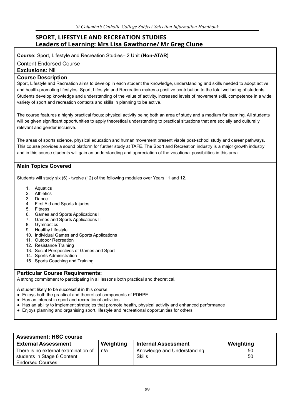## **SPORT, LIFESTYLE AND RECREATION STUDIES Leaders of Learning: Mrs Lisa Gawthorne/ Mr Greg Clune**

**Course:** Sport, Lifestyle and Recreation Studies– 2 Unit **(Non-ATAR)**

Content Endorsed Course

**Exclusions:** Nil

#### **Course Description**

Sport, Lifestyle and Recreation aims to develop in each student the knowledge, understanding and skills needed to adopt active and health-promoting lifestyles. Sport, Lifestyle and Recreation makes a positive contribution to the total wellbeing of students. Students develop knowledge and understanding of the value of activity, increased levels of movement skill, competence in a wide variety of sport and recreation contexts and skills in planning to be active.

The course features a highly practical focus: physical activity being both an area of study and a medium for learning. All students will be given significant opportunities to apply theoretical understanding to practical situations that are socially and culturally relevant and gender inclusive.

The areas of sports science, physical education and human movement present viable post-school study and career pathways. This course provides a sound platform for further study at TAFE. The Sport and Recreation industry is a major growth industry and in this course students will gain an understanding and appreciation of the vocational possibilities in this area.

### **Main Topics Covered**

Students will study six (6) - twelve (12) of the following modules over Years 11 and 12.

- 1. Aquatics
- 2. Athletics
- 3. Dance
- 4. First Aid and Sports Injuries
- 5. Fitness
- 6. Games and Sports Applications I
- 7. Games and Sports Applications II
- 8. Gymnastics
- 9. Healthy Lifestyle
- 10. Individual Games and Sports Applications
- 11. Outdoor Recreation
- 12. Resistance Training
- 13. Social Perspectives of Games and Sport
- 14. Sports Administration
- 15. Sports Coaching and Training

#### **Particular Course Requirements:**

A strong commitment to participating in all lessons both practical and theoretical.

A student likely to be successful in this course:

- Enjoys both the practical and theoretical components of PDHPE
- Has an interest in sport and recreational activities
- Has an ability to implement strategies that promote health, physical activity and enhanced performance
- Enjoys planning and organising sport, lifestyle and recreational opportunities for others

| <b>Assessment: HSC course</b>       |           |                             |           |
|-------------------------------------|-----------|-----------------------------|-----------|
| <b>External Assessment</b>          | Weighting | <b>Internal Assessment</b>  | Weighting |
| There is no external examination of | n/a       | Knowledge and Understanding | 50        |
| students in Stage 6 Content         |           | <b>Skills</b>               | 50        |
| <b>Endorsed Courses.</b>            |           |                             |           |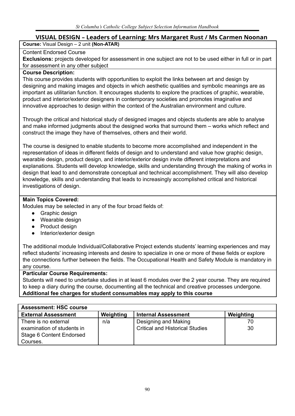## **VISUAL DESIGN – Leaders of Learning: Mrs Margaret Rust / Ms Carmen Noonan**

**Course:** Visual Design – 2 unit **(Non-ATAR)**

## Content Endorsed Course

**Exclusions:** projects developed for assessment in one subject are not to be used either in full or in part for assessment in any other subject

## **Course Description:**

This course provides students with opportunities to exploit the links between art and design by designing and making images and objects in which aesthetic qualities and symbolic meanings are as important as utilitarian function. It encourages students to explore the practices of graphic, wearable, product and interior/exterior designers in contemporary societies and promotes imaginative and innovative approaches to design within the context of the Australian environment and culture.

Through the critical and historical study of designed images and objects students are able to analyse and make informed judgments about the designed works that surround them – works which reflect and construct the image they have of themselves, others and their world.

The course is designed to enable students to become more accomplished and independent in the representation of ideas in different fields of design and to understand and value how graphic design, wearable design, product design, and interior/exterior design invite different interpretations and explanations. Students will develop knowledge, skills and understanding through the making of works in design that lead to and demonstrate conceptual and technical accomplishment. They will also develop knowledge, skills and understanding that leads to increasingly accomplished critical and historical investigations of design.

## **Main Topics Covered:**

Modules may be selected in any of the four broad fields of:

- Graphic design
- Wearable design
- Product design
- Interior/exterior design

The additional module Individual/Collaborative Project extends students' learning experiences and may reflect students' increasing interests and desire to specialize in one or more of these fields or explore the connections further between the fields. The Occupational Health and Safety Module is mandatory in any course.

## **Particular Course Requirements:**

Students will need to undertake studies in at least 6 modules over the 2 year course. They are required to keep a diary during the course, documenting all the technical and creative processes undergone. **Additional fee charges for student consumables may apply to this course**

| <b>Assessment: HSC course</b> |           |                                        |           |
|-------------------------------|-----------|----------------------------------------|-----------|
| <b>External Assessment</b>    | Weighting | <b>Internal Assessment</b>             | Weighting |
| There is no external          | n/a       | Designing and Making                   | 70        |
| examination of students in    |           | <b>Critical and Historical Studies</b> | 30        |
| Stage 6 Content Endorsed      |           |                                        |           |
| Courses.                      |           |                                        |           |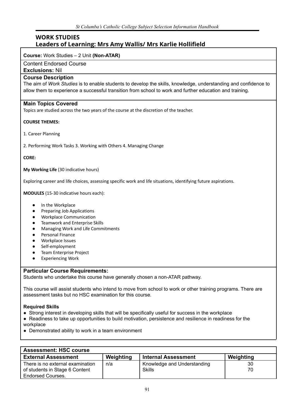## **WORK STUDIES Leaders of Learning: Mrs Amy Wallis/ Mrs Karlie Hollifield**

#### **Course:** Work Studies – 2 Unit **(Non-ATAR)**

Content Endorsed Course

**Exclusions:** Nil

#### **Course Description**

The aim of *Work Studies* is to enable students to develop the skills, knowledge, understanding and confidence to allow them to experience a successful transition from school to work and further education and training.

#### **Main Topics Covered**

Topics are studied across the two years of the course at the discretion of the teacher.

#### **COURSE THEMES:**

1. Career Planning

2. Performing Work Tasks 3. Working with Others 4. Managing Change

#### **CORE:**

**My Working Life** (30 indicative hours)

Exploring career and life choices, assessing specific work and life situations, identifying future aspirations.

**MODULES** (15-30 indicative hours each):

- In the Workplace
- Preparing Job Applications
- **Workplace Communication**
- Teamwork and Enterprise Skills
- Managing Work and Life Commitments
- **Personal Finance**
- Workplace Issues
- Self-employment
- Team Enterprise Project
- Experiencing Work

#### **Particular Course Requirements:**

Students who undertake this course have generally chosen a non-ATAR pathway.

This course will assist students who intend to move from school to work or other training programs. There are assessment tasks but no HSC examination for this course.

#### **Required Skills**

- Strong interest in developing skills that will be specifically useful for success in the workplace
- Readiness to take up opportunities to build motivation, persistence and resilience in readiness for the workplace
- Demonstrated ability to work in a team environment

| <b>Assessment: HSC course</b>    |           |                             |           |
|----------------------------------|-----------|-----------------------------|-----------|
| <b>External Assessment</b>       | Weighting | <b>Internal Assessment</b>  | Weighting |
| There is no external examination | n/a       | Knowledge and Understanding | 30        |
| of students in Stage 6 Content   |           | <b>Skills</b>               | 70        |
| <b>Endorsed Courses.</b>         |           |                             |           |